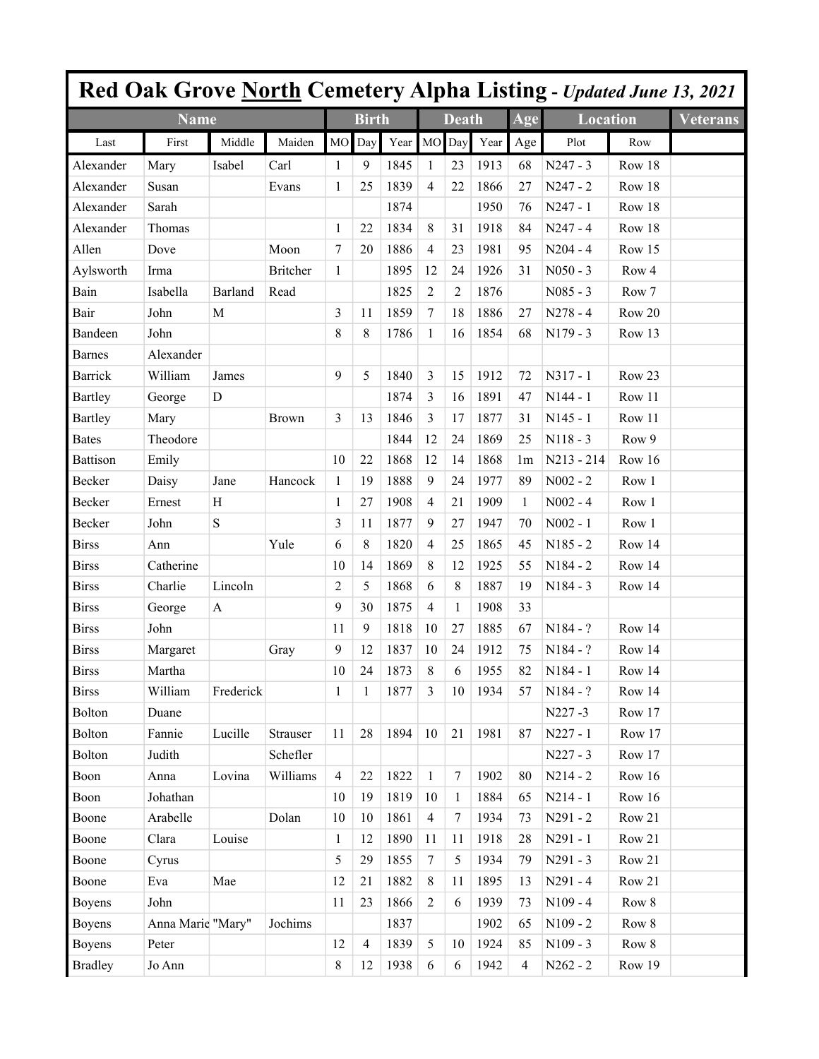|                |                   |           |                 |                |                |      |                |              |      |                | Red Oak Grove North Cemetery Alpha Listing - Updated June 13, 2021 |        |                 |
|----------------|-------------------|-----------|-----------------|----------------|----------------|------|----------------|--------------|------|----------------|--------------------------------------------------------------------|--------|-----------------|
|                | <b>Name</b>       |           |                 |                | <b>Birth</b>   |      |                | <b>Death</b> |      | Age            | <b>Location</b>                                                    |        | <b>Veterans</b> |
| Last           | First             | Middle    | Maiden          | M <sub>O</sub> | Day            | Year | MO             | Day          | Year | Age            | Plot                                                               | Row    |                 |
| Alexander      | Mary              | Isabel    | Carl            | 1              | 9              | 1845 | 1              | 23           | 1913 | 68             | $N247 - 3$                                                         | Row 18 |                 |
| Alexander      | Susan             |           | Evans           | 1              | 25             | 1839 | $\overline{4}$ | 22           | 1866 | 27             | $N247 - 2$                                                         | Row 18 |                 |
| Alexander      | Sarah             |           |                 |                |                | 1874 |                |              | 1950 | 76             | $N247 - 1$                                                         | Row 18 |                 |
| Alexander      | Thomas            |           |                 | 1              | 22             | 1834 | 8              | 31           | 1918 | 84             | $N247 - 4$                                                         | Row 18 |                 |
| Allen          | Dove              |           | Moon            | $\tau$         | 20             | 1886 | $\overline{4}$ | 23           | 1981 | 95             | $N204 - 4$                                                         | Row 15 |                 |
| Aylsworth      | Irma              |           | <b>Britcher</b> | $\mathbf{1}$   |                | 1895 | 12             | 24           | 1926 | 31             | $N050 - 3$                                                         | Row 4  |                 |
| Bain           | Isabella          | Barland   | Read            |                |                | 1825 | $\overline{c}$ | 2            | 1876 |                | $N085 - 3$                                                         | Row 7  |                 |
| Bair           | John              | M         |                 | 3              | 11             | 1859 | $\tau$         | 18           | 1886 | 27             | $N278 - 4$                                                         | Row 20 |                 |
| Bandeen        | John              |           |                 | 8              | 8              | 1786 | 1              | 16           | 1854 | 68             | $N179 - 3$                                                         | Row 13 |                 |
| <b>Barnes</b>  | Alexander         |           |                 |                |                |      |                |              |      |                |                                                                    |        |                 |
| <b>Barrick</b> | William           | James     |                 | 9              | 5              | 1840 | 3              | 15           | 1912 | 72             | $N317 - 1$                                                         | Row 23 |                 |
| <b>Bartley</b> | George            | D         |                 |                |                | 1874 | 3              | 16           | 1891 | 47             | $N144 - 1$                                                         | Row 11 |                 |
| <b>Bartley</b> | Mary              |           | <b>Brown</b>    | 3              | 13             | 1846 | 3              | 17           | 1877 | 31             | $N145 - 1$                                                         | Row 11 |                 |
| <b>Bates</b>   | Theodore          |           |                 |                |                | 1844 | 12             | 24           | 1869 | 25             | $N118 - 3$                                                         | Row 9  |                 |
| Battison       | Emily             |           |                 | 10             | 22             | 1868 | 12             | 14           | 1868 | 1 <sub>m</sub> | $N213 - 214$                                                       | Row 16 |                 |
| Becker         | Daisy             | Jane      | Hancock         | $\mathbf{1}$   | 19             | 1888 | 9              | 24           | 1977 | 89             | $N002 - 2$                                                         | Row 1  |                 |
| Becker         | Ernest            | Η         |                 | 1              | 27             | 1908 | 4              | 21           | 1909 | 1              | $N002 - 4$                                                         | Row 1  |                 |
| Becker         | John              | ${\bf S}$ |                 | 3              | 11             | 1877 | 9              | 27           | 1947 | 70             | $N002 - 1$                                                         | Row 1  |                 |
| Birss          | Ann               |           | Yule            | 6              | 8              | 1820 | $\overline{4}$ | 25           | 1865 | 45             | $N185 - 2$                                                         | Row 14 |                 |
| <b>Birss</b>   | Catherine         |           |                 | 10             | 14             | 1869 | 8              | 12           | 1925 | 55             | N184 - 2                                                           | Row 14 |                 |
| <b>Birss</b>   | Charlie           | Lincoln   |                 | 2              | 5              | 1868 | 6              | 8            | 1887 | 19             | $N184 - 3$                                                         | Row 14 |                 |
| <b>Birss</b>   | George            | A         |                 | 9              | 30             | 1875 | $\overline{4}$ | 1            | 1908 | 33             |                                                                    |        |                 |
| <b>Birss</b>   | John              |           |                 | 11             | 9              | 1818 | 10             | 27           | 1885 | 67             | $N184 - ?$                                                         | Row 14 |                 |
| <b>Birss</b>   | Margaret          |           | Gray            | 9              | 12             | 1837 | 10             | 24           | 1912 | 75             | N184 - ?                                                           | Row 14 |                 |
| <b>Birss</b>   | Martha            |           |                 | 10             | 24             | 1873 | 8              | 6            | 1955 | 82             | $N184 - 1$                                                         | Row 14 |                 |
| <b>Birss</b>   | William           | Frederick |                 | $\mathbf{1}$   | 1              | 1877 | 3              | 10           | 1934 | 57             | $N184 - ?$                                                         | Row 14 |                 |
| <b>Bolton</b>  | Duane             |           |                 |                |                |      |                |              |      |                | N227-3                                                             | Row 17 |                 |
| <b>Bolton</b>  | Fannie            | Lucille   | Strauser        | 11             | 28             | 1894 | 10             | 21           | 1981 | 87             | $N227 - 1$                                                         | Row 17 |                 |
| <b>Bolton</b>  | Judith            |           | Schefler        |                |                |      |                |              |      |                | $N227 - 3$                                                         | Row 17 |                 |
| Boon           | Anna              | Lovina    | Williams        | $\overline{4}$ | 22             | 1822 | $\mathbf{1}$   | 7            | 1902 | 80             | $N214 - 2$                                                         | Row 16 |                 |
| Boon           | Johathan          |           |                 | 10             | 19             | 1819 | 10             | 1            | 1884 | 65             | $N214 - 1$                                                         | Row 16 |                 |
| Boone          | Arabelle          |           | Dolan           | 10             | 10             | 1861 | $\overline{4}$ | $\tau$       | 1934 | 73             | $N291 - 2$                                                         | Row 21 |                 |
| Boone          | Clara             | Louise    |                 | $\mathbf{1}$   | 12             | 1890 | 11             | 11           | 1918 | 28             | $N291 - 1$                                                         | Row 21 |                 |
| Boone          | Cyrus             |           |                 | 5              | 29             | 1855 | $\tau$         | 5            | 1934 | 79             | $N291 - 3$                                                         | Row 21 |                 |
| Boone          | Eva               | Mae       |                 | 12             | 21             | 1882 | 8              | 11           | 1895 | 13             | $N291 - 4$                                                         | Row 21 |                 |
| <b>Boyens</b>  | John              |           |                 | 11             | 23             | 1866 | 2              | 6            | 1939 | 73             | $N109 - 4$                                                         | Row 8  |                 |
| <b>Boyens</b>  | Anna Marie "Mary" |           | Jochims         |                |                | 1837 |                |              | 1902 | 65             | $N109 - 2$                                                         | Row 8  |                 |
| <b>Boyens</b>  | Peter             |           |                 | 12             | $\overline{4}$ | 1839 | 5              | 10           | 1924 | 85             | $N109 - 3$                                                         | Row 8  |                 |
| <b>Bradley</b> | Jo Ann            |           |                 | 8              | 12             | 1938 | 6              | 6            | 1942 | $\overline{4}$ | $N262 - 2$                                                         | Row 19 |                 |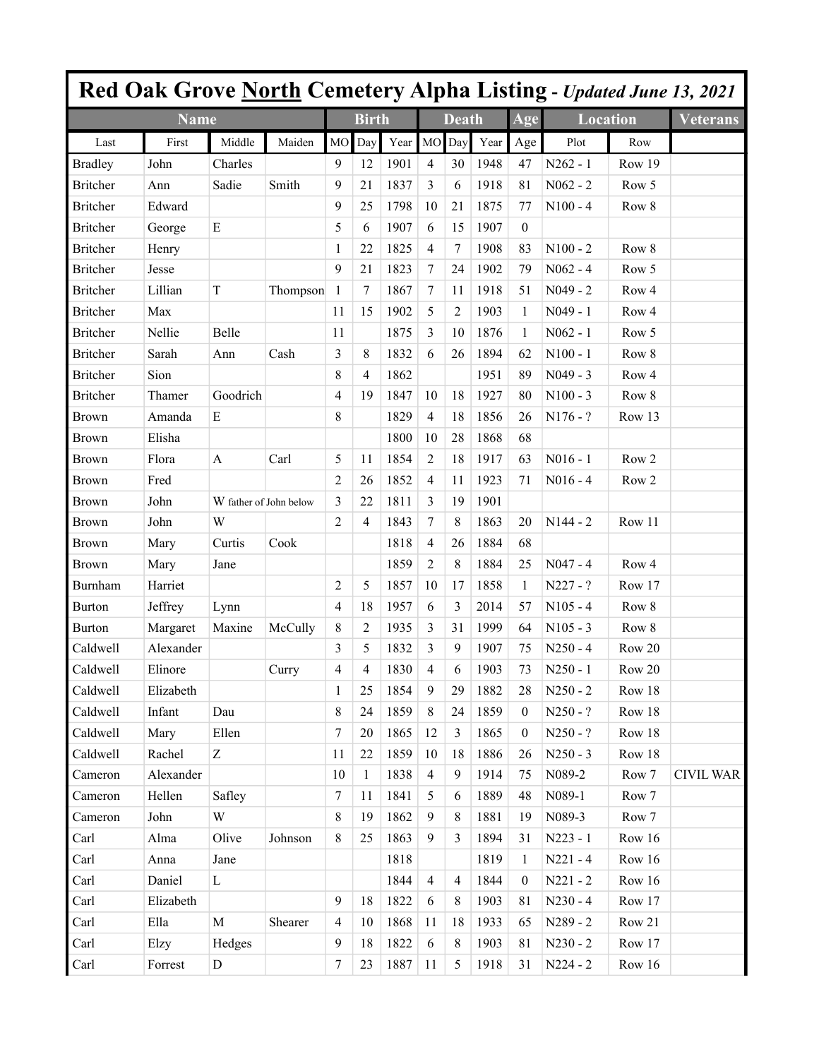|                       |             |                        |          |                |                |         |                |                |      |                  |                 |                  | Red Oak Grove North Cemetery Alpha Listing - Updated June 13, 2021 |
|-----------------------|-------------|------------------------|----------|----------------|----------------|---------|----------------|----------------|------|------------------|-----------------|------------------|--------------------------------------------------------------------|
|                       | <b>Name</b> |                        |          |                | <b>Birth</b>   |         |                | <b>Death</b>   |      | Age              | <b>Location</b> |                  | <b>Veterans</b>                                                    |
| Last                  | First       | Middle                 | Maiden   | <b>MO</b>      | Day            | Year MO |                | Day            | Year | Age              | Plot            | Row              |                                                                    |
| <b>Bradley</b>        | John        | Charles                |          | 9              | 12             | 1901    | $\overline{4}$ | 30             | 1948 | 47               | $N262 - 1$      | Row 19           |                                                                    |
| <b>Britcher</b>       | Ann         | Sadie                  | Smith    | 9              | 21             | 1837    | 3              | 6              | 1918 | 81               | $N062 - 2$      | Row 5            |                                                                    |
| <b>Britcher</b>       | Edward      |                        |          | 9              | 25             | 1798    | 10             | 21             | 1875 | 77               | $N100 - 4$      | Row 8            |                                                                    |
| Britcher              | George      | E                      |          | 5              | 6              | 1907    | 6              | 15             | 1907 | $\boldsymbol{0}$ |                 |                  |                                                                    |
| <b>Britcher</b>       | Henry       |                        |          | 1              | 22             | 1825    | $\overline{4}$ | 7              | 1908 | 83               | $N100 - 2$      | Row 8            |                                                                    |
| <b>Britcher</b>       | Jesse       |                        |          | 9              | 21             | 1823    | $\tau$         | 24             | 1902 | 79               | $N062 - 4$      | Row 5            |                                                                    |
| <b>Britcher</b>       | Lillian     | $\mathbf T$            | Thompson | 1              | 7              | 1867    | 7              | 11             | 1918 | 51               | $N049 - 2$      | Row <sub>4</sub> |                                                                    |
| <b>Britcher</b>       | Max         |                        |          | 11             | 15             | 1902    | 5              | 2              | 1903 | $\mathbf{1}$     | $N049 - 1$      | Row <sub>4</sub> |                                                                    |
| <b>Britcher</b>       | Nellie      | Belle                  |          | 11             |                | 1875    | 3              | 10             | 1876 | 1                | $N062 - 1$      | Row 5            |                                                                    |
| <b>Britcher</b>       | Sarah       | Ann                    | Cash     | 3              | 8              | 1832    | 6              | 26             | 1894 | 62               | $N100 - 1$      | Row 8            |                                                                    |
| <b>Britcher</b>       | Sion        |                        |          | 8              | 4              | 1862    |                |                | 1951 | 89               | $N049 - 3$      | Row 4            |                                                                    |
| <b>Britcher</b>       | Thamer      | Goodrich               |          | 4              | 19             | 1847    | 10             | 18             | 1927 | 80               | $N100 - 3$      | Row 8            |                                                                    |
| Brown                 | Amanda      | E                      |          | 8              |                | 1829    | $\overline{4}$ | 18             | 1856 | 26               | $N176 - ?$      | Row 13           |                                                                    |
| <b>Brown</b>          | Elisha      |                        |          |                |                | 1800    | 10             | 28             | 1868 | 68               |                 |                  |                                                                    |
| Brown                 | Flora       | A                      | Carl     | 5              | 11             | 1854    | $\overline{c}$ | 18             | 1917 | 63               | $N016 - 1$      | Row <sub>2</sub> |                                                                    |
| Brown                 | Fred        |                        |          | 2              | 26             | 1852    | $\overline{4}$ | 11             | 1923 | 71               | $N016 - 4$      | Row <sub>2</sub> |                                                                    |
| Brown                 | John        | W father of John below |          | 3              | 22             | 1811    | 3              | 19             | 1901 |                  |                 |                  |                                                                    |
| <b>Brown</b>          | John        | W                      |          | $\overline{c}$ | $\overline{4}$ | 1843    | 7              | 8              | 1863 | 20               | $N144 - 2$      | Row 11           |                                                                    |
| Brown                 | Mary        | Curtis                 | Cook     |                |                | 1818    | $\overline{4}$ | 26             | 1884 | 68               |                 |                  |                                                                    |
| Brown                 | Mary        | Jane                   |          |                |                | 1859    | 2              | 8              | 1884 | 25               | $N047 - 4$      | Row <sub>4</sub> |                                                                    |
| Burnham               | Harriet     |                        |          | 2              | 5              | 1857    | 10             | 17             | 1858 | 1                | $N227 - ?$      | Row 17           |                                                                    |
| <b>Burton</b>         | Jeffrey     | Lynn                   |          | 4              | 18             | 1957    | 6              | 3              | 2014 | 57               | $N105 - 4$      | Row 8            |                                                                    |
| <b>Burton</b>         | Margaret    | Maxine                 | McCully  | 8              | 2              | 1935    | 3              | 31             | 1999 | 64               | $N105 - 3$      | Row 8            |                                                                    |
| Caldwell              | Alexander   |                        |          | 3              | 5              | 1832    | 3              | 9              | 1907 | 75               | $N250 - 4$      | Row 20           |                                                                    |
| Caldwell              | Elinore     |                        | Curry    | 4              | 4              | 1830    | 4              | 6              | 1903 | 73               | $N250 - 1$      | Row 20           |                                                                    |
| Caldwell              | Elizabeth   |                        |          | 1              | 25             | 1854    | 9              | 29             | 1882 | 28               | $N250 - 2$      | Row 18           |                                                                    |
| Caldwell              | Infant      | Dau                    |          | 8              | 24             | 1859    | $\,8\,$        | 24             | 1859 | $\overline{0}$   | $N250 - ?$      | Row 18           |                                                                    |
| Caldwell              | Mary        | Ellen                  |          | $\tau$         | 20             | 1865    | 12             | $\overline{3}$ | 1865 | $\mathbf{0}$     | $N250 - ?$      | Row 18           |                                                                    |
| Caldwell              | Rachel      | Z                      |          | 11             | 22             | 1859    | 10             | 18             | 1886 | 26               | $N250 - 3$      | Row 18           |                                                                    |
| Cameron               | Alexander   |                        |          | 10             | $\mathbf{1}$   | 1838    | $\overline{4}$ | 9              | 1914 | 75               | N089-2          | Row 7            | <b>CIVIL WAR</b>                                                   |
| Cameron               | Hellen      | Safley                 |          | $\tau$         | 11             | 1841    | 5              | 6              | 1889 | 48               | N089-1          | Row 7            |                                                                    |
| Cameron               | John        | W                      |          | 8              | 19             | 1862    | 9              | 8              | 1881 | 19               | N089-3          | Row 7            |                                                                    |
| Carl                  | Alma        | Olive                  | Johnson  | 8              | 25             | 1863    | 9              | 3              | 1894 | 31               | $N223 - 1$      | Row 16           |                                                                    |
| Carl                  | Anna        | Jane                   |          |                |                | 1818    |                |                | 1819 | $\mathbf{1}$     | $N221 - 4$      | Row 16           |                                                                    |
| Carl                  | Daniel      | L                      |          |                |                | 1844    | $\overline{4}$ | $\overline{4}$ | 1844 | $\overline{0}$   | $N221 - 2$      | Row 16           |                                                                    |
| Carl                  | Elizabeth   |                        |          | 9              | 18             | 1822    | 6              | 8              | 1903 | 81               | $N230 - 4$      | Row 17           |                                                                    |
| Carl                  | Ella        | $\mathbf M$            | Shearer  | 4              | 10             | 1868    | 11             | 18             | 1933 | 65               | N289 - 2        | Row 21           |                                                                    |
| Carl                  | Elzy        | Hedges                 |          | 9              | 18             | 1822    | 6              | 8              | 1903 | 81               | $N230 - 2$      | Row 17           |                                                                    |
| $\operatorname{Carl}$ | Forrest     | $\mathbf D$            |          | $\tau$         | 23             | 1887    | 11             | 5              | 1918 | 31               | $N224 - 2$      | Row 16           |                                                                    |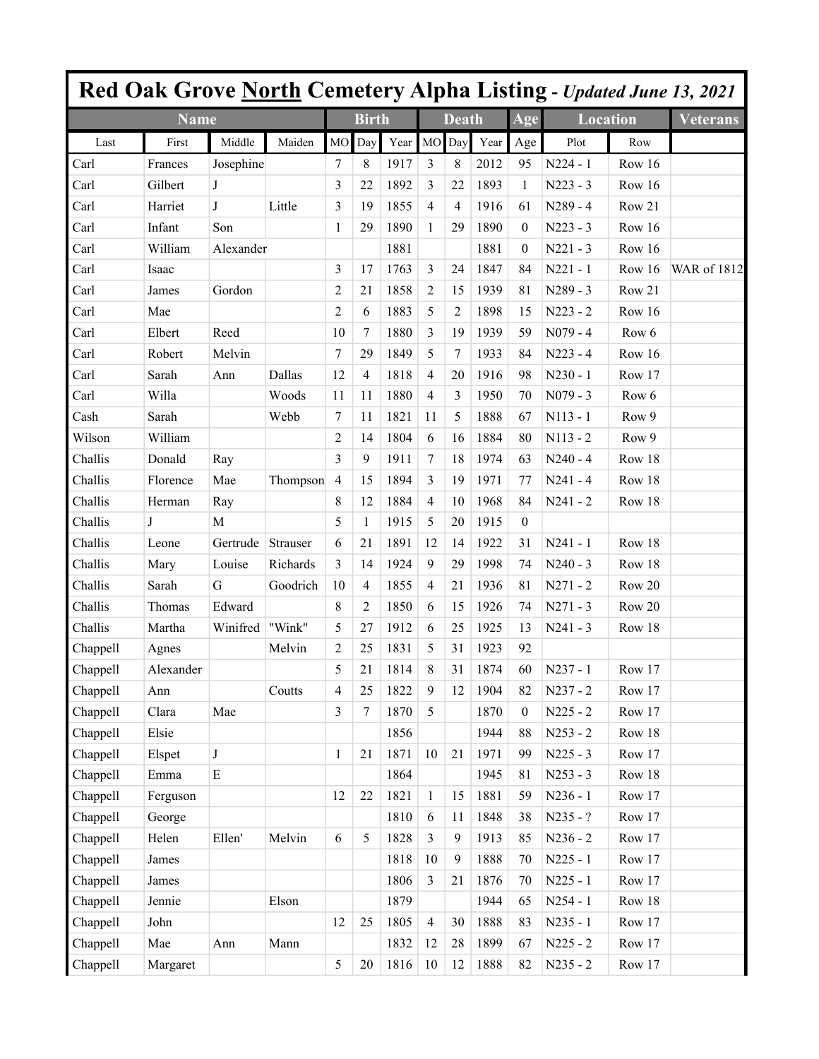|          |              |              |          |                |                |         |                |              |      |                  |                 |        | <b>Red Oak Grove North Cemetery Alpha Listing - Updated June 13, 2021</b> |
|----------|--------------|--------------|----------|----------------|----------------|---------|----------------|--------------|------|------------------|-----------------|--------|---------------------------------------------------------------------------|
|          | <b>Name</b>  |              |          |                | <b>Birth</b>   |         |                | <b>Death</b> |      | Age              | <b>Location</b> |        | <b>Veterans</b>                                                           |
| Last     | First        | Middle       | Maiden   | <b>MO</b>      | Day            | Year MO |                | Day          | Year | Age              | Plot            | Row    |                                                                           |
| Carl     | Frances      | Josephine    |          | 7              | 8              | 1917    | 3              | 8            | 2012 | 95               | $N224 - 1$      | Row 16 |                                                                           |
| Carl     | Gilbert      | J            |          | 3              | 22             | 1892    | 3              | 22           | 1893 | $\mathbf{1}$     | $N223 - 3$      | Row 16 |                                                                           |
| Carl     | Harriet      | J            | Little   | 3              | 19             | 1855    | $\overline{4}$ | 4            | 1916 | 61               | N289 - 4        | Row 21 |                                                                           |
| Carl     | Infant       | Son          |          | 1              | 29             | 1890    | 1              | 29           | 1890 | $\mathbf{0}$     | $N223 - 3$      | Row 16 |                                                                           |
| Carl     | William      | Alexander    |          |                |                | 1881    |                |              | 1881 | $\mathbf{0}$     | $N221 - 3$      | Row 16 |                                                                           |
| Carl     | Isaac        |              |          | 3              | 17             | 1763    | 3              | 24           | 1847 | 84               | $N221 - 1$      | Row 16 | WAR of 1812                                                               |
| Carl     | James        | Gordon       |          | 2              | 21             | 1858    | 2              | 15           | 1939 | 81               | $N289 - 3$      | Row 21 |                                                                           |
| Carl     | Mae          |              |          | 2              | 6              | 1883    | 5              | 2            | 1898 | 15               | $N223 - 2$      | Row 16 |                                                                           |
| Carl     | Elbert       | Reed         |          | 10             | 7              | 1880    | 3              | 19           | 1939 | 59               | $N079 - 4$      | Row 6  |                                                                           |
| Carl     | Robert       | Melvin       |          | $\tau$         | 29             | 1849    | 5              | 7            | 1933 | 84               | $N223 - 4$      | Row 16 |                                                                           |
| Carl     | Sarah        | Ann          | Dallas   | 12             | 4              | 1818    | $\overline{4}$ | 20           | 1916 | 98               | $N230 - 1$      | Row 17 |                                                                           |
| Carl     | Willa        |              | Woods    | 11             | 11             | 1880    | $\overline{4}$ | 3            | 1950 | 70               | $N079 - 3$      | Row 6  |                                                                           |
| Cash     | Sarah        |              | Webb     | 7              | 11             | 1821    | 11             | 5            | 1888 | 67               | $N113 - 1$      | Row 9  |                                                                           |
| Wilson   | William      |              |          | 2              | 14             | 1804    | 6              | 16           | 1884 | 80               | $N113 - 2$      | Row 9  |                                                                           |
| Challis  | Donald       | Ray          |          | 3              | 9              | 1911    | 7              | 18           | 1974 | 63               | $N240 - 4$      | Row 18 |                                                                           |
| Challis  | Florence     | Mae          | Thompson | 4              | 15             | 1894    | 3              | 19           | 1971 | 77               | $N241 - 4$      | Row 18 |                                                                           |
| Challis  | Herman       | Ray          |          | 8              | 12             | 1884    | 4              | 10           | 1968 | 84               | $N241 - 2$      | Row 18 |                                                                           |
| Challis  | $\mathbf{J}$ | $\mathbf M$  |          | 5              | 1              | 1915    | 5              | 20           | 1915 | $\boldsymbol{0}$ |                 |        |                                                                           |
| Challis  | Leone        | Gertrude     | Strauser | 6              | 21             | 1891    | 12             | 14           | 1922 | 31               | $N241 - 1$      | Row 18 |                                                                           |
| Challis  | Mary         | Louise       | Richards | 3              | 14             | 1924    | 9              | 29           | 1998 | 74               | $N240 - 3$      | Row 18 |                                                                           |
| Challis  | Sarah        | G            | Goodrich | 10             | 4              | 1855    | 4              | 21           | 1936 | 81               | $N271 - 2$      | Row 20 |                                                                           |
| Challis  | Thomas       | Edward       |          | 8              | 2              | 1850    | 6              | 15           | 1926 | 74               | $N271 - 3$      | Row 20 |                                                                           |
| Challis  | Martha       | Winifred     | "Wink"   | 5              | 27             | 1912    | 6              | 25           | 1925 | 13               | $N241 - 3$      | Row 18 |                                                                           |
| Chappell | Agnes        |              | Melvin   | $\overline{c}$ | 25             | 1831    | 5              | 31           | 1923 | 92               |                 |        |                                                                           |
| Chappell | Alexander    |              |          | 5              | 21             | 1814    | 8              | 31           | 1874 | 60               | $N237 - 1$      | Row 17 |                                                                           |
| Chappell | Ann          |              | Coutts   | 4              | 25             | 1822    | $\overline{9}$ | 12           | 1904 | 82               | $N237 - 2$      | Row 17 |                                                                           |
| Chappell | Clara        | Mae          |          | 3              | $\overline{7}$ | 1870    | 5              |              | 1870 | $\boldsymbol{0}$ | $N225 - 2$      | Row 17 |                                                                           |
| Chappell | Elsie        |              |          |                |                | 1856    |                |              | 1944 | 88               | $N253 - 2$      | Row 18 |                                                                           |
| Chappell | Elspet       | $\mathbf{J}$ |          | $\,1$          | 21             | 1871    | $10\,$         | 21           | 1971 | 99               | $N225 - 3$      | Row 17 |                                                                           |
| Chappell | Emma         | ${\bf E}$    |          |                |                | 1864    |                |              | 1945 | 81               | $N253 - 3$      | Row 18 |                                                                           |
| Chappell | Ferguson     |              |          | 12             | 22             | 1821    | $\mathbf{1}$   | 15           | 1881 | 59               | $N236 - 1$      | Row 17 |                                                                           |
| Chappell | George       |              |          |                |                | 1810    | 6              | 11           | 1848 | 38               | $N235 - ?$      | Row 17 |                                                                           |
| Chappell | Helen        | Ellen'       | Melvin   | 6              | 5              | 1828    | 3              | 9            | 1913 | 85               | $N236 - 2$      | Row 17 |                                                                           |
| Chappell | James        |              |          |                |                | 1818    | $10\,$         | 9            | 1888 | $70\,$           | $N225 - 1$      | Row 17 |                                                                           |
| Chappell | James        |              |          |                |                | 1806    | 3              | 21           | 1876 | $70\,$           | $N225 - 1$      | Row 17 |                                                                           |
| Chappell | Jennie       |              | Elson    |                |                | 1879    |                |              | 1944 | 65               | $N254 - 1$      | Row 18 |                                                                           |
| Chappell | John         |              |          | 12             | 25             | 1805    | $\overline{4}$ | 30           | 1888 | 83               | $N235 - 1$      | Row 17 |                                                                           |
| Chappell | Mae          | Ann          | Mann     |                |                | 1832    | 12             | 28           | 1899 | 67               | $N225 - 2$      | Row 17 |                                                                           |
| Chappell | Margaret     |              |          | 5              | 20             | 1816    | 10             | 12           | 1888 | 82               | $N235 - 2$      | Row 17 |                                                                           |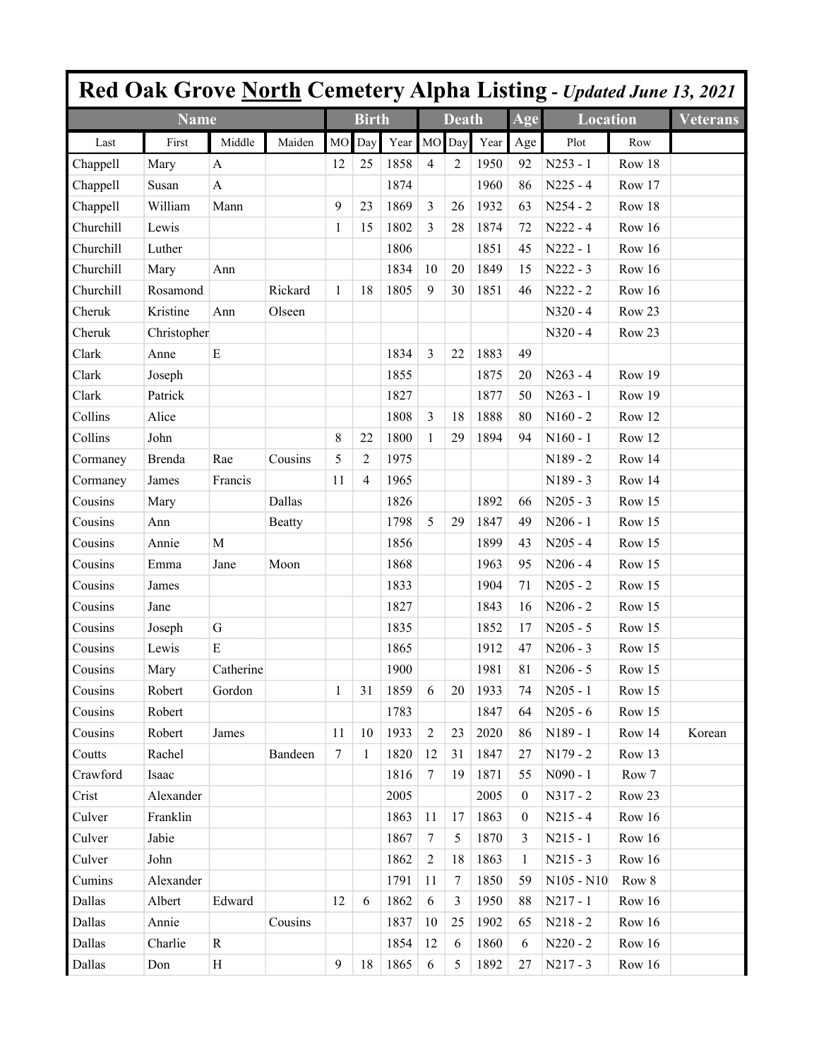|           |             |              |               |           |                |         |                 |              |      |              | <b>Red Oak Grove North Cemetery Alpha Listing - Updated June 13, 2021</b> |          |                 |
|-----------|-------------|--------------|---------------|-----------|----------------|---------|-----------------|--------------|------|--------------|---------------------------------------------------------------------------|----------|-----------------|
|           | <b>Name</b> |              |               |           | <b>Birth</b>   |         |                 | <b>Death</b> |      | Age          | <b>Location</b>                                                           |          | <b>Veterans</b> |
| Last      | First       | Middle       | Maiden        | <b>MO</b> | Day            | Year MO |                 | Day          | Year | Age          | Plot                                                                      | Row      |                 |
| Chappell  | Mary        | A            |               | 12        | 25             | 1858    | $\overline{4}$  | 2            | 1950 | 92           | $N253 - 1$                                                                | Row 18   |                 |
| Chappell  | Susan       | A            |               |           |                | 1874    |                 |              | 1960 | 86           | $N225 - 4$                                                                | Row 17   |                 |
| Chappell  | William     | Mann         |               | 9         | 23             | 1869    | $\overline{3}$  | 26           | 1932 | 63           | $N254 - 2$                                                                | Row 18   |                 |
| Churchill | Lewis       |              |               | 1         | 15             | 1802    | 3               | 28           | 1874 | 72           | $N222 - 4$                                                                | Row 16   |                 |
| Churchill | Luther      |              |               |           |                | 1806    |                 |              | 1851 | 45           | $N222 - 1$                                                                | Row 16   |                 |
| Churchill | Mary        | Ann          |               |           |                | 1834    | 10              | 20           | 1849 | 15           | $N222 - 3$                                                                | Row 16   |                 |
| Churchill | Rosamond    |              | Rickard       | 1         | 18             | 1805    | 9               | 30           | 1851 | 46           | $N222 - 2$                                                                | Row 16   |                 |
| Cheruk    | Kristine    | Ann          | Olseen        |           |                |         |                 |              |      |              | $N320 - 4$                                                                | Row 23   |                 |
| Cheruk    | Christopher |              |               |           |                |         |                 |              |      |              | $N320 - 4$                                                                | Row 23   |                 |
| Clark     | Anne        | E            |               |           |                | 1834    | $\overline{3}$  | 22           | 1883 | 49           |                                                                           |          |                 |
| Clark     | Joseph      |              |               |           |                | 1855    |                 |              | 1875 | 20           | $N263 - 4$                                                                | Row 19   |                 |
| Clark     | Patrick     |              |               |           |                | 1827    |                 |              | 1877 | 50           | $N263 - 1$                                                                | Row 19   |                 |
| Collins   | Alice       |              |               |           |                | 1808    | $\overline{3}$  | 18           | 1888 | 80           | $N160 - 2$                                                                | Row 12   |                 |
| Collins   | John        |              |               | 8         | 22             | 1800    | $\mathbf{1}$    | 29           | 1894 | 94           | $N160 - 1$                                                                | Row 12   |                 |
| Cormaney  | Brenda      | Rae          | Cousins       | 5         | 2              | 1975    |                 |              |      |              | $N189 - 2$                                                                | Row 14   |                 |
| Cormaney  | James       | Francis      |               | 11        | $\overline{4}$ | 1965    |                 |              |      |              | N189 - 3                                                                  | Row 14   |                 |
| Cousins   | Mary        |              | Dallas        |           |                | 1826    |                 |              | 1892 | 66           | $N205 - 3$                                                                | Row 15   |                 |
| Cousins   | Ann         |              | <b>Beatty</b> |           |                | 1798    | 5               | 29           | 1847 | 49           | $N206 - 1$                                                                | Row 15   |                 |
| Cousins   | Annie       | M            |               |           |                | 1856    |                 |              | 1899 | 43           | $N205 - 4$                                                                | Row 15   |                 |
| Cousins   | Emma        | Jane         | Moon          |           |                | 1868    |                 |              | 1963 | 95           | $N206 - 4$                                                                | Row 15   |                 |
| Cousins   | James       |              |               |           |                | 1833    |                 |              | 1904 | 71           | $N205 - 2$                                                                | Row 15   |                 |
| Cousins   | Jane        |              |               |           |                | 1827    |                 |              | 1843 | 16           | $N206 - 2$                                                                | Row 15   |                 |
| Cousins   | Joseph      | G            |               |           |                | 1835    |                 |              | 1852 | 17           | $N205 - 5$                                                                | Row 15   |                 |
| Cousins   | Lewis       | E            |               |           |                | 1865    |                 |              | 1912 | 47           | $N206 - 3$                                                                | Row 15   |                 |
| Cousins   | Mary        | Catherine    |               |           |                | 1900    |                 |              | 1981 | 81           | $N206 - 5$                                                                | Row $15$ |                 |
| Cousins   | Robert      | Gordon       |               | 1         | 31             | 1859    | 6               | 20           | 1933 | 74           | $N205 - 1$                                                                | Row 15   |                 |
| Cousins   | Robert      |              |               |           |                | 1783    |                 |              | 1847 | 64           | N205 - 6                                                                  | Row 15   |                 |
| Cousins   | Robert      | James        |               | 11        | 10             | 1933    | 2               | 23           | 2020 | 86           | N189 - 1                                                                  | Row 14   | Korean          |
| Coutts    | Rachel      |              | Bandeen       | $\tau$    | 1              | 1820    | 12              | 31           | 1847 | 27           | $N179 - 2$                                                                | Row 13   |                 |
| Crawford  | Isaac       |              |               |           |                | 1816    | $7\phantom{.0}$ | 19           | 1871 | 55           | N090 - 1                                                                  | Row 7    |                 |
| Crist     | Alexander   |              |               |           |                | 2005    |                 |              | 2005 | $\theta$     | N317 - 2                                                                  | Row 23   |                 |
| Culver    | Franklin    |              |               |           |                | 1863    | 11              | 17           | 1863 | $\theta$     | $N215 - 4$                                                                | Row 16   |                 |
| Culver    | Jabie       |              |               |           |                | 1867    | $\tau$          | 5            | 1870 | 3            | $N215 - 1$                                                                | Row 16   |                 |
| Culver    | John        |              |               |           |                | 1862    | $\overline{2}$  | 18           | 1863 | $\mathbf{1}$ | $N215 - 3$                                                                | Row 16   |                 |
| Cumins    | Alexander   |              |               |           |                | 1791    | 11              | 7            | 1850 | 59           | $N105 - N10$                                                              | Row 8    |                 |
| Dallas    | Albert      | Edward       |               | 12        | 6              | 1862    | 6               | 3            | 1950 | 88           | $N217 - 1$                                                                | Row 16   |                 |
| Dallas    | Annie       |              | Cousins       |           |                | 1837    | 10              | 25           | 1902 | 65           | $N218 - 2$                                                                | Row 16   |                 |
| Dallas    | Charlie     | $\mathbf{R}$ |               |           |                | 1854    | 12              | 6            | 1860 | 6            | $N220 - 2$                                                                | Row $16$ |                 |
| Dallas    | Don         | H            |               | 9         | 18             | 1865    | 6               | 5            | 1892 | 27           | $N217 - 3$                                                                | Row 16   |                 |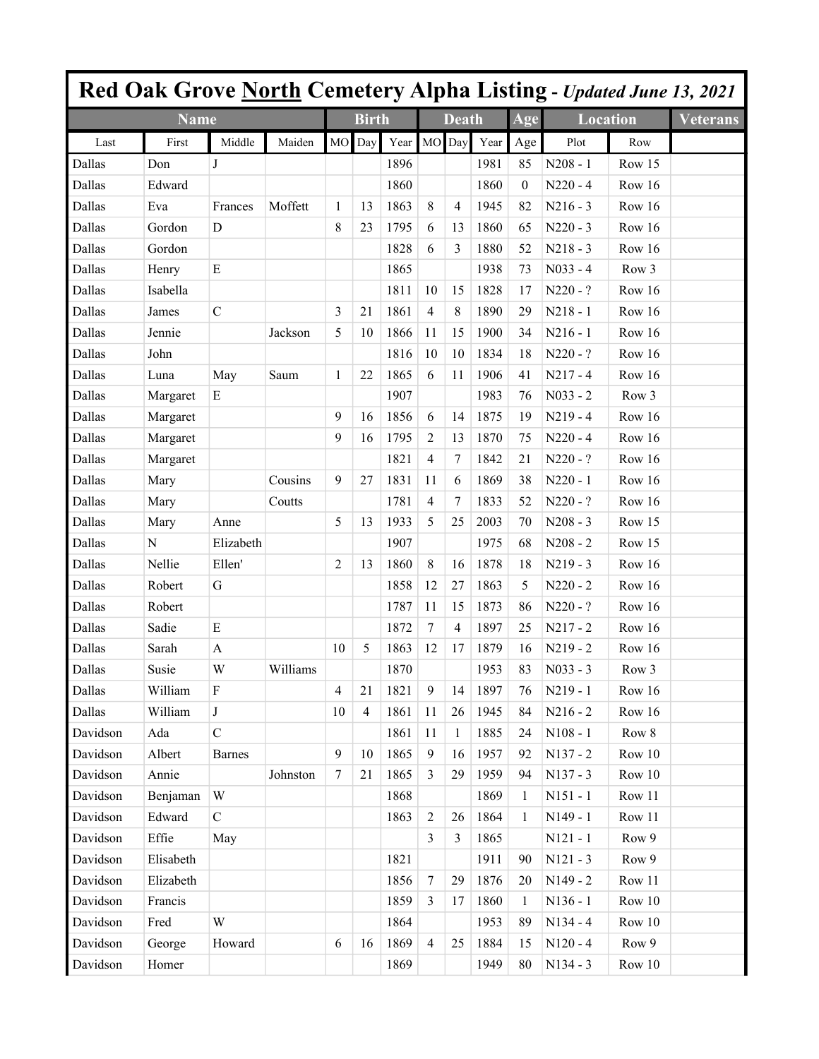|          |                |                  |          |                |                |      |                  |                |      |                  |                 |        | Red Oak Grove North Cemetery Alpha Listing - Updated June 13, 2021 |
|----------|----------------|------------------|----------|----------------|----------------|------|------------------|----------------|------|------------------|-----------------|--------|--------------------------------------------------------------------|
|          | <b>Name</b>    |                  |          |                | <b>Birth</b>   |      |                  | Death          |      | Age              | <b>Location</b> |        | <b>Veterans</b>                                                    |
| Last     | First          | Middle           | Maiden   | <b>MO</b>      | Day            | Year | <b>MO</b>        | Day            | Year | Age              | Plot            | Row    |                                                                    |
| Dallas   | Don            | J                |          |                |                | 1896 |                  |                | 1981 | 85               | $N208 - 1$      | Row 15 |                                                                    |
| Dallas   | Edward         |                  |          |                |                | 1860 |                  |                | 1860 | $\boldsymbol{0}$ | $N220 - 4$      | Row 16 |                                                                    |
| Dallas   | Eva            | Frances          | Moffett  | 1              | 13             | 1863 | $\,8\,$          | 4              | 1945 | 82               | $N216 - 3$      | Row 16 |                                                                    |
| Dallas   | Gordon         | D                |          | 8              | 23             | 1795 | 6                | 13             | 1860 | 65               | $N220 - 3$      | Row 16 |                                                                    |
| Dallas   | Gordon         |                  |          |                |                | 1828 | 6                | 3              | 1880 | 52               | $N218 - 3$      | Row 16 |                                                                    |
| Dallas   | Henry          | ${\bf E}$        |          |                |                | 1865 |                  |                | 1938 | 73               | $N033 - 4$      | Row 3  |                                                                    |
| Dallas   | Isabella       |                  |          |                |                | 1811 | 10               | 15             | 1828 | 17               | N220 - ?        | Row 16 |                                                                    |
| Dallas   | James          | $\mathcal{C}$    |          | 3              | 21             | 1861 | $\overline{4}$   | 8              | 1890 | 29               | $N218 - 1$      | Row 16 |                                                                    |
| Dallas   | Jennie         |                  | Jackson  | 5              | 10             | 1866 | 11               | 15             | 1900 | 34               | $N216 - 1$      | Row 16 |                                                                    |
| Dallas   | John           |                  |          |                |                | 1816 | 10               | 10             | 1834 | 18               | N220 - ?        | Row 16 |                                                                    |
| Dallas   | Luna           | May              | Saum     | $\mathbf{1}$   | 22             | 1865 | 6                | 11             | 1906 | 41               | $N217 - 4$      | Row 16 |                                                                    |
| Dallas   | Margaret       | Ε                |          |                |                | 1907 |                  |                | 1983 | 76               | $N033 - 2$      | Row 3  |                                                                    |
| Dallas   | Margaret       |                  |          | 9              | 16             | 1856 | 6                | 14             | 1875 | 19               | $N219 - 4$      | Row 16 |                                                                    |
| Dallas   | Margaret       |                  |          | 9              | 16             | 1795 | 2                | 13             | 1870 | 75               | $N220 - 4$      | Row 16 |                                                                    |
| Dallas   | Margaret       |                  |          |                |                | 1821 | 4                | 7              | 1842 | 21               | $N220 - ?$      | Row 16 |                                                                    |
| Dallas   | Mary           |                  | Cousins  | 9              | 27             | 1831 | 11               | 6              | 1869 | 38               | $N220 - 1$      | Row 16 |                                                                    |
| Dallas   | Mary           |                  | Coutts   |                |                | 1781 | 4                | 7              | 1833 | 52               | N220 - ?        | Row 16 |                                                                    |
| Dallas   | Mary           | Anne             |          | 5              | 13             | 1933 | 5                | 25             | 2003 | 70               | $N208 - 3$      | Row 15 |                                                                    |
| Dallas   | $\overline{N}$ | Elizabeth        |          |                |                | 1907 |                  |                | 1975 | 68               | $N208 - 2$      | Row 15 |                                                                    |
| Dallas   | Nellie         | Ellen'           |          | $\overline{2}$ | 13             | 1860 | 8                | 16             | 1878 | 18               | $N219 - 3$      | Row 16 |                                                                    |
| Dallas   | Robert         | G                |          |                |                | 1858 | 12               | 27             | 1863 | 5                | $N220 - 2$      | Row 16 |                                                                    |
| Dallas   | Robert         |                  |          |                |                | 1787 | 11               | 15             | 1873 | 86               | $N220 - ?$      | Row 16 |                                                                    |
| Dallas   | Sadie          | E                |          |                |                | 1872 | $\tau$           | 4              | 1897 | 25               | $N217 - 2$      | Row 16 |                                                                    |
| Dallas   | Sarah          | $\mathbf{A}$     |          | 10             | 5              | 1863 | 12               | 17             | 1879 | 16               | $N219 - 2$      | Row 16 |                                                                    |
| Dallas   | Susie          | W                | Williams |                |                | 1870 |                  |                | 1953 | 83               | $N033 - 3$      | Row 3  |                                                                    |
| Dallas   | William        | $\boldsymbol{F}$ |          | $\overline{4}$ | 21             | 1821 | 9                | 14             | 1897 | 76               | $N219 - 1$      | Row 16 |                                                                    |
| Dallas   | William        | $\mathbf{J}$     |          | 10             | $\overline{4}$ | 1861 | 11               | 26             | 1945 | 84               | $N216 - 2$      | Row 16 |                                                                    |
| Davidson | Ada            | $\mathcal{C}$    |          |                |                | 1861 | 11               | $\mathbf{1}$   | 1885 | 24               | $N108 - 1$      | Row 8  |                                                                    |
| Davidson | Albert         | <b>Barnes</b>    |          | 9              | 10             | 1865 | $\overline{9}$   | 16             | 1957 | 92               | N137 - 2        | Row 10 |                                                                    |
| Davidson | Annie          |                  | Johnston | $\tau$         | 21             | 1865 | $\overline{3}$   | 29             | 1959 | 94               | $N137 - 3$      | Row 10 |                                                                    |
| Davidson | Benjaman       | W                |          |                |                | 1868 |                  |                | 1869 | 1                | $N151 - 1$      | Row 11 |                                                                    |
| Davidson | Edward         | $\mathcal{C}$    |          |                |                | 1863 | $\overline{2}$   | 26             | 1864 | $\mathbf{1}$     | N149 - 1        | Row 11 |                                                                    |
| Davidson | Effie          | May              |          |                |                |      | $\overline{3}$   | $\overline{3}$ | 1865 |                  | $N121 - 1$      | Row 9  |                                                                    |
| Davidson | Elisabeth      |                  |          |                |                | 1821 |                  |                | 1911 | 90               | $N121 - 3$      | Row 9  |                                                                    |
| Davidson | Elizabeth      |                  |          |                |                | 1856 | $\boldsymbol{7}$ | 29             | 1876 | 20               | $N149 - 2$      | Row 11 |                                                                    |
| Davidson | Francis        |                  |          |                |                | 1859 | $\mathfrak{Z}$   | 17             | 1860 | 1                | $N136 - 1$      | Row 10 |                                                                    |
| Davidson | Fred           | W                |          |                |                | 1864 |                  |                | 1953 | 89               | $N134 - 4$      | Row 10 |                                                                    |
| Davidson | George         | Howard           |          | 6              | 16             | 1869 | $\overline{4}$   | 25             | 1884 | 15               | $N120 - 4$      | Row 9  |                                                                    |
| Davidson | Homer          |                  |          |                |                | 1869 |                  |                | 1949 | 80               | N134 - 3        | Row 10 |                                                                    |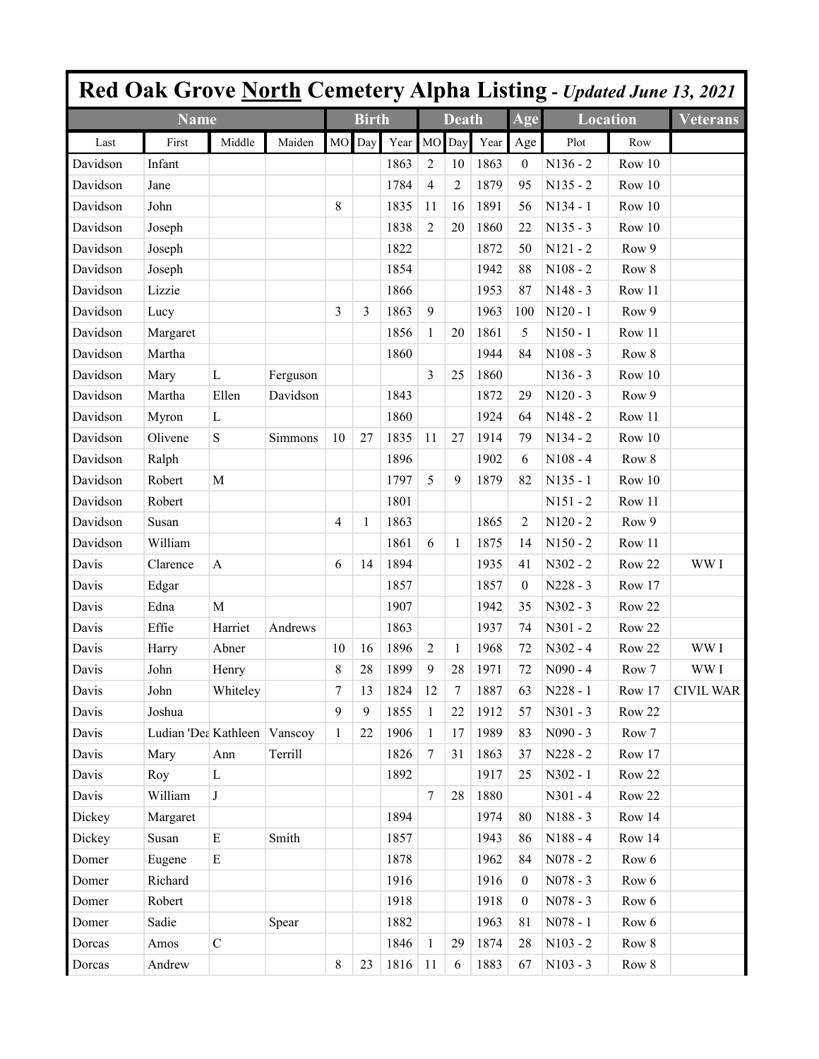|          | <b>Red Oak Grove North Cemetery Alpha Listing - Updated June 13, 2021</b> |              |          |              |              |         |                |                |      |                  |                 |        |                  |
|----------|---------------------------------------------------------------------------|--------------|----------|--------------|--------------|---------|----------------|----------------|------|------------------|-----------------|--------|------------------|
|          | <b>Name</b>                                                               |              |          |              | <b>Birth</b> |         |                | <b>Death</b>   |      | Age              | <b>Location</b> |        | <b>Veterans</b>  |
| Last     | First                                                                     | Middle       | Maiden   | <b>MO</b>    | Day          | Year MO |                | Day            | Year | Age              | Plot            | Row    |                  |
| Davidson | Infant                                                                    |              |          |              |              | 1863    | 2              | 10             | 1863 | $\mathbf{0}$     | $N136 - 2$      | Row 10 |                  |
| Davidson | Jane                                                                      |              |          |              |              | 1784    | $\overline{4}$ | $\overline{c}$ | 1879 | 95               | $N135 - 2$      | Row 10 |                  |
| Davidson | John                                                                      |              |          | 8            |              | 1835    | 11             | 16             | 1891 | 56               | $N134 - 1$      | Row 10 |                  |
| Davidson | Joseph                                                                    |              |          |              |              | 1838    | $\overline{c}$ | 20             | 1860 | 22               | $N135 - 3$      | Row 10 |                  |
| Davidson | Joseph                                                                    |              |          |              |              | 1822    |                |                | 1872 | 50               | $N121 - 2$      | Row 9  |                  |
| Davidson | Joseph                                                                    |              |          |              |              | 1854    |                |                | 1942 | 88               | $N108 - 2$      | Row 8  |                  |
| Davidson | Lizzie                                                                    |              |          |              |              | 1866    |                |                | 1953 | 87               | $N148 - 3$      | Row 11 |                  |
| Davidson | Lucy                                                                      |              |          | 3            | 3            | 1863    | 9              |                | 1963 | 100              | $N120 - 1$      | Row 9  |                  |
| Davidson | Margaret                                                                  |              |          |              |              | 1856    | 1              | 20             | 1861 | 5                | $N150 - 1$      | Row 11 |                  |
| Davidson | Martha                                                                    |              |          |              |              | 1860    |                |                | 1944 | 84               | $N108 - 3$      | Row 8  |                  |
| Davidson | Mary                                                                      | $\mathbf{L}$ | Ferguson |              |              |         | 3              | 25             | 1860 |                  | $N136 - 3$      | Row 10 |                  |
| Davidson | Martha                                                                    | Ellen        | Davidson |              |              | 1843    |                |                | 1872 | 29               | $N120 - 3$      | Row 9  |                  |
| Davidson | Myron                                                                     | $\mathbf{L}$ |          |              |              | 1860    |                |                | 1924 | 64               | $N148 - 2$      | Row 11 |                  |
| Davidson | Olivene                                                                   | S            | Simmons  | 10           | 27           | 1835    | 11             | 27             | 1914 | 79               | $N134 - 2$      | Row 10 |                  |
| Davidson | Ralph                                                                     |              |          |              |              | 1896    |                |                | 1902 | 6                | $N108 - 4$      | Row 8  |                  |
| Davidson | Robert                                                                    | M            |          |              |              | 1797    | 5              | 9              | 1879 | 82               | $N135 - 1$      | Row 10 |                  |
| Davidson | Robert                                                                    |              |          |              |              | 1801    |                |                |      |                  | $N151 - 2$      | Row 11 |                  |
| Davidson | Susan                                                                     |              |          | 4            | $\mathbf{1}$ | 1863    |                |                | 1865 | 2                | $N120 - 2$      | Row 9  |                  |
| Davidson | William                                                                   |              |          |              |              | 1861    | 6              | 1              | 1875 | 14               | $N150 - 2$      | Row 11 |                  |
| Davis    | Clarence                                                                  | A            |          | 6            | 14           | 1894    |                |                | 1935 | 41               | $N302 - 2$      | Row 22 | WW I             |
| Davis    | Edgar                                                                     |              |          |              |              | 1857    |                |                | 1857 | $\mathbf{0}$     | $N228 - 3$      | Row 17 |                  |
| Davis    | Edna                                                                      | M            |          |              |              | 1907    |                |                | 1942 | 35               | $N302 - 3$      | Row 22 |                  |
| Davis    | Effie                                                                     | Harriet      | Andrews  |              |              | 1863    |                |                | 1937 | 74               | $N301 - 2$      | Row 22 |                  |
| Davis    | Harry                                                                     | Abner        |          | 10           | 16           | 1896    | 2              | 1              | 1968 | 72               | $N302 - 4$      | Row 22 | WW I             |
| Davis    | John                                                                      | Henry        |          | 8            | 28           | 1899    | 9              | 28             | 1971 | 72               | $N090 - 4$      | Row 7  | WW I             |
| Davis    | John                                                                      | Whiteley     |          | $\tau$       | 13           | 1824    | 12             | $\tau$         | 1887 | 63               | $N228 - 1$      | Row 17 | <b>CIVIL WAR</b> |
| Davis    | Joshua                                                                    |              |          | 9            | 9            | 1855    | $\mathbf{1}$   | 22             | 1912 | 57               | $N301 - 3$      | Row 22 |                  |
| Davis    | Ludian 'Dea Kathleen Vanscoy                                              |              |          | $\mathbf{1}$ | 22           | 1906    | $\mathbf{1}$   | 17             | 1989 | 83               | $N090 - 3$      | Row 7  |                  |
| Davis    | Mary                                                                      | Ann          | Terrill  |              |              | 1826    | $\overline{7}$ | 31             | 1863 | 37               | $N228 - 2$      | Row 17 |                  |
| Davis    | Roy                                                                       | $\mathbf L$  |          |              |              | 1892    |                |                | 1917 | 25               | N302 - 1        | Row 22 |                  |
| Davis    | William                                                                   | $\bf J$      |          |              |              |         | $\overline{7}$ | $28\,$         | 1880 |                  | $N301 - 4$      | Row 22 |                  |
| Dickey   | Margaret                                                                  |              |          |              |              | 1894    |                |                | 1974 | 80               | N188 - 3        | Row 14 |                  |
| Dickey   | Susan                                                                     | ${\bf E}$    | Smith    |              |              | 1857    |                |                | 1943 | 86               | N188 - 4        | Row 14 |                  |
| Domer    | Eugene                                                                    | $\mathbf E$  |          |              |              | 1878    |                |                | 1962 | 84               | $N078 - 2$      | Row 6  |                  |
| Domer    | Richard                                                                   |              |          |              |              | 1916    |                |                | 1916 | $\boldsymbol{0}$ | $N078 - 3$      | Row 6  |                  |
| Domer    | Robert                                                                    |              |          |              |              | 1918    |                |                | 1918 | $\mathbf{0}$     | $N078 - 3$      | Row 6  |                  |
| Domer    | Sadie                                                                     |              | Spear    |              |              | 1882    |                |                | 1963 | 81               | $N078 - 1$      | Row 6  |                  |
| Dorcas   | Amos                                                                      | $\mathbf C$  |          |              |              | 1846    | $\mathbf{1}$   | 29             | 1874 | 28               | $N103 - 2$      | Row 8  |                  |
| Dorcas   | Andrew                                                                    |              |          | $8\,$        | 23           | 1816    | 11             | 6              | 1883 | 67               | $N103 - 3$      | Row 8  |                  |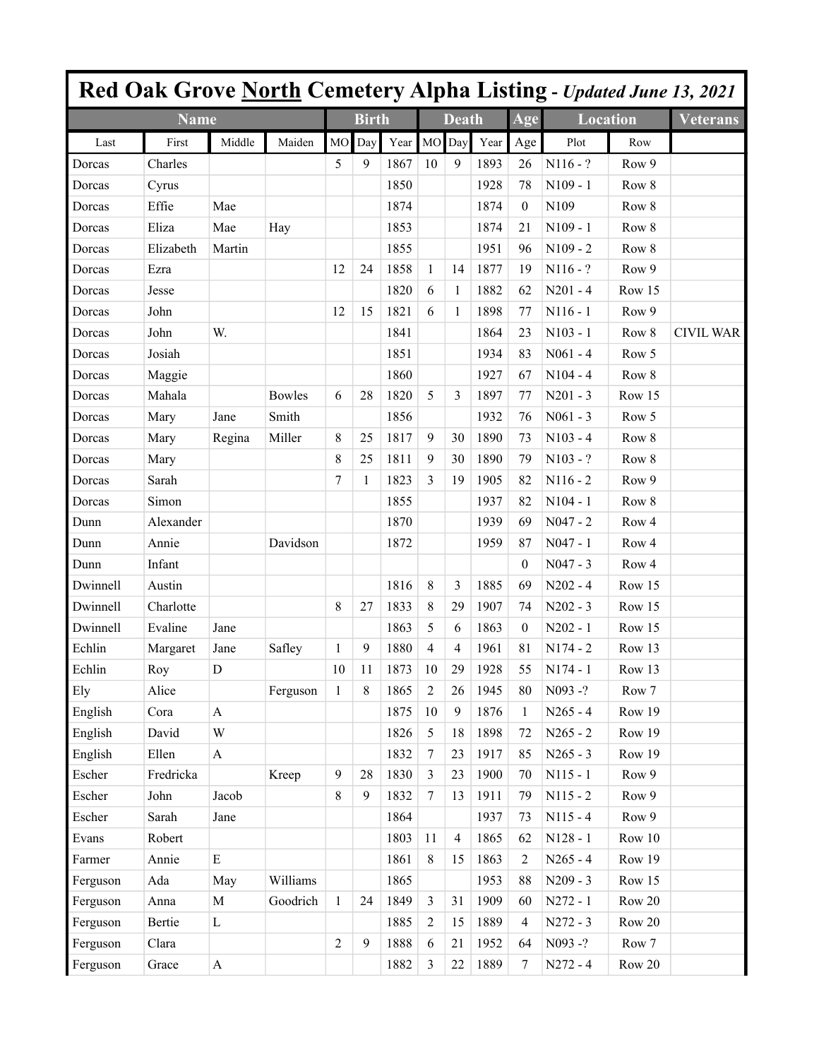|          |             |                           |               |                |              |      |                  |                |      |                |                 |                  | Red Oak Grove North Cemetery Alpha Listing - Updated June 13, 2021 |
|----------|-------------|---------------------------|---------------|----------------|--------------|------|------------------|----------------|------|----------------|-----------------|------------------|--------------------------------------------------------------------|
|          | <b>Name</b> |                           |               |                | <b>Birth</b> |      |                  | <b>Death</b>   |      | Age            | <b>Location</b> |                  | <b>Veterans</b>                                                    |
| Last     | First       | Middle                    | Maiden        | M <sub>O</sub> | Day          | Year | MO               | Day            | Year | Age            | Plot            | Row              |                                                                    |
| Dorcas   | Charles     |                           |               | 5              | 9            | 1867 | 10               | 9              | 1893 | 26             | $N116 - ?$      | Row 9            |                                                                    |
| Dorcas   | Cyrus       |                           |               |                |              | 1850 |                  |                | 1928 | 78             | $N109 - 1$      | Row 8            |                                                                    |
| Dorcas   | Effie       | Mae                       |               |                |              | 1874 |                  |                | 1874 | $\theta$       | N109            | Row 8            |                                                                    |
| Dorcas   | Eliza       | Mae                       | Hay           |                |              | 1853 |                  |                | 1874 | 21             | $N109 - 1$      | Row 8            |                                                                    |
| Dorcas   | Elizabeth   | Martin                    |               |                |              | 1855 |                  |                | 1951 | 96             | $N109 - 2$      | Row 8            |                                                                    |
| Dorcas   | Ezra        |                           |               | 12             | 24           | 1858 | 1                | 14             | 1877 | 19             | $N116 - ?$      | Row 9            |                                                                    |
| Dorcas   | Jesse       |                           |               |                |              | 1820 | 6                | 1              | 1882 | 62             | $N201 - 4$      | Row 15           |                                                                    |
| Dorcas   | John        |                           |               | 12             | 15           | 1821 | 6                | 1              | 1898 | 77             | $N116 - 1$      | Row 9            |                                                                    |
| Dorcas   | John        | W.                        |               |                |              | 1841 |                  |                | 1864 | 23             | $N103 - 1$      | Row 8            | <b>CIVIL WAR</b>                                                   |
| Dorcas   | Josiah      |                           |               |                |              | 1851 |                  |                | 1934 | 83             | $N061 - 4$      | Row 5            |                                                                    |
| Dorcas   | Maggie      |                           |               |                |              | 1860 |                  |                | 1927 | 67             | $N104 - 4$      | Row 8            |                                                                    |
| Dorcas   | Mahala      |                           | <b>Bowles</b> | 6              | 28           | 1820 | 5                | 3              | 1897 | 77             | $N201 - 3$      | Row 15           |                                                                    |
| Dorcas   | Mary        | Jane                      | Smith         |                |              | 1856 |                  |                | 1932 | 76             | $N061 - 3$      | Row 5            |                                                                    |
| Dorcas   | Mary        | Regina                    | Miller        | 8              | 25           | 1817 | 9                | 30             | 1890 | 73             | $N103 - 4$      | Row 8            |                                                                    |
| Dorcas   | Mary        |                           |               | 8              | 25           | 1811 | 9                | 30             | 1890 | 79             | $N103 - ?$      | Row 8            |                                                                    |
| Dorcas   | Sarah       |                           |               | 7              | 1            | 1823 | 3                | 19             | 1905 | 82             | $N116 - 2$      | Row 9            |                                                                    |
| Dorcas   | Simon       |                           |               |                |              | 1855 |                  |                | 1937 | 82             | $N104 - 1$      | Row 8            |                                                                    |
| Dunn     | Alexander   |                           |               |                |              | 1870 |                  |                | 1939 | 69             | $N047 - 2$      | Row <sub>4</sub> |                                                                    |
| Dunn     | Annie       |                           | Davidson      |                |              | 1872 |                  |                | 1959 | 87             | $N047 - 1$      | Row 4            |                                                                    |
| Dunn     | Infant      |                           |               |                |              |      |                  |                |      | $\theta$       | $N047 - 3$      | Row <sub>4</sub> |                                                                    |
| Dwinnell | Austin      |                           |               |                |              | 1816 | 8                | 3              | 1885 | 69             | $N202 - 4$      | Row 15           |                                                                    |
| Dwinnell | Charlotte   |                           |               | 8              | 27           | 1833 | 8                | 29             | 1907 | 74             | $N202 - 3$      | Row 15           |                                                                    |
| Dwinnell | Evaline     | Jane                      |               |                |              | 1863 | 5                | 6              | 1863 | $\theta$       | $N202 - 1$      | Row 15           |                                                                    |
| Echlin   | Margaret    | Jane                      | Safley        | 1              | 9            | 1880 | $\overline{4}$   | 4              | 1961 | 81             | $N174 - 2$      | Row 13           |                                                                    |
| Echlin   | Roy         | D                         |               | 10             | 11           | 1873 | 10               | 29             | 1928 | 55             | $N174 - 1$      | Row 13           |                                                                    |
| Ely      | Alice       |                           | Ferguson      | $\mathbf{1}$   | $\,8\,$      | 1865 | $\overline{2}$   | 26             | 1945 | 80             | N093-?          | Row 7            |                                                                    |
| English  | Cora        | $\mathbf{A}$              |               |                |              | 1875 | 10               | 9              | 1876 | 1              | $N265 - 4$      | Row 19           |                                                                    |
| English  | David       | W                         |               |                |              | 1826 | 5                | 18             | 1898 | 72             | $N265 - 2$      | Row 19           |                                                                    |
| English  | Ellen       | $\boldsymbol{\mathsf{A}}$ |               |                |              | 1832 | $\boldsymbol{7}$ | 23             | 1917 | 85             | $N265 - 3$      | Row 19           |                                                                    |
| Escher   | Fredricka   |                           | Kreep         | 9              | 28           | 1830 | $\overline{3}$   | 23             | 1900 | 70             | $N115 - 1$      | Row 9            |                                                                    |
| Escher   | John        | Jacob                     |               | 8              | 9            | 1832 | $\boldsymbol{7}$ | 13             | 1911 | 79             | $N115 - 2$      | Row 9            |                                                                    |
| Escher   | Sarah       | Jane                      |               |                |              | 1864 |                  |                | 1937 | 73             | $N115 - 4$      | Row 9            |                                                                    |
| Evans    | Robert      |                           |               |                |              | 1803 | 11               | $\overline{4}$ | 1865 | 62             | $N128 - 1$      | Row 10           |                                                                    |
| Farmer   | Annie       | $\mathbf E$               |               |                |              | 1861 | $\,8\,$          | 15             | 1863 | $\overline{c}$ | $N265 - 4$      | Row 19           |                                                                    |
| Ferguson | Ada         | May                       | Williams      |                |              | 1865 |                  |                | 1953 | 88             | $N209 - 3$      | Row 15           |                                                                    |
| Ferguson | Anna        | $\mathbf M$               | Goodrich      | $\mathbf{1}$   | 24           | 1849 | $\mathfrak{Z}$   | 31             | 1909 | 60             | $N272 - 1$      | Row 20           |                                                                    |
| Ferguson | Bertie      | $\mathbf L$               |               |                |              | 1885 | $\sqrt{2}$       | 15             | 1889 | 4              | $N272 - 3$      | Row 20           |                                                                    |
| Ferguson | Clara       |                           |               | $\overline{c}$ | 9            | 1888 | $\boldsymbol{6}$ | 21             | 1952 | 64             | N093-?          | Row 7            |                                                                    |
| Ferguson | Grace       | $\boldsymbol{\mathsf{A}}$ |               |                |              | 1882 | 3                | 22             | 1889 | 7              | $N272 - 4$      | Row 20           |                                                                    |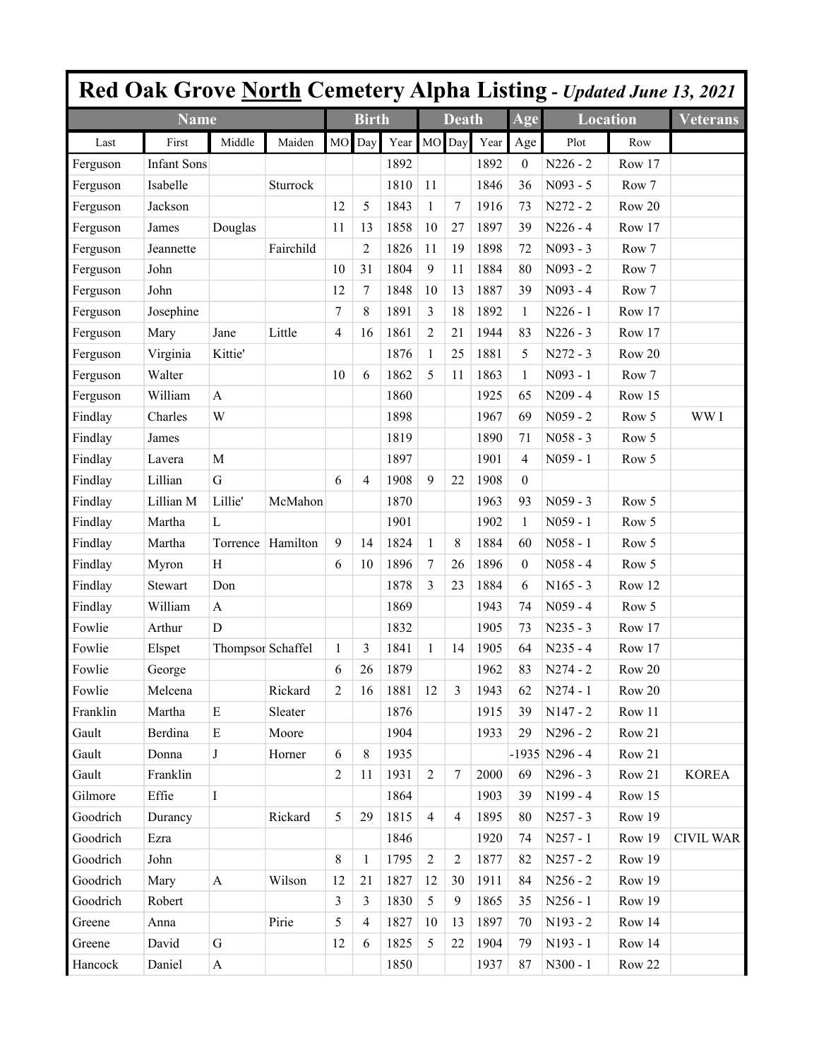|          |                    |                   |           |                |                |             |                |                |      |                  |                  |        | <b>Red Oak Grove North Cemetery Alpha Listing - Updated June 13, 2021</b> |
|----------|--------------------|-------------------|-----------|----------------|----------------|-------------|----------------|----------------|------|------------------|------------------|--------|---------------------------------------------------------------------------|
|          | <b>Name</b>        |                   |           |                | <b>Birth</b>   |             |                | <b>Death</b>   |      | Age              | <b>Location</b>  |        | <b>Veterans</b>                                                           |
| Last     | First              | Middle            | Maiden    | <b>MO</b>      | Day            | Year MO Day |                |                | Year | Age              | Plot             | Row    |                                                                           |
| Ferguson | <b>Infant Sons</b> |                   |           |                |                | 1892        |                |                | 1892 | 0                | $N226 - 2$       | Row 17 |                                                                           |
| Ferguson | Isabelle           |                   | Sturrock  |                |                | 1810        | 11             |                | 1846 | 36               | N093 - 5         | Row 7  |                                                                           |
| Ferguson | Jackson            |                   |           | 12             | 5              | 1843        | $\mathbf{1}$   | 7              | 1916 | 73               | $N272 - 2$       | Row 20 |                                                                           |
| Ferguson | James              | Douglas           |           | 11             | 13             | 1858        | 10             | 27             | 1897 | 39               | $N226 - 4$       | Row 17 |                                                                           |
| Ferguson | Jeannette          |                   | Fairchild |                | $\overline{c}$ | 1826        | 11             | 19             | 1898 | 72               | $N093 - 3$       | Row 7  |                                                                           |
| Ferguson | John               |                   |           | 10             | 31             | 1804        | $\overline{9}$ | 11             | 1884 | 80               | $N093 - 2$       | Row 7  |                                                                           |
| Ferguson | John               |                   |           | 12             | 7              | 1848        | 10             | 13             | 1887 | 39               | $N093 - 4$       | Row 7  |                                                                           |
| Ferguson | Josephine          |                   |           | 7              | 8              | 1891        | 3              | 18             | 1892 | $\mathbf{1}$     | $N226 - 1$       | Row 17 |                                                                           |
| Ferguson | Mary               | Jane              | Little    | 4              | 16             | 1861        | $\overline{c}$ | 21             | 1944 | 83               | $N226 - 3$       | Row 17 |                                                                           |
| Ferguson | Virginia           | Kittie'           |           |                |                | 1876        | $\mathbf{1}$   | 25             | 1881 | 5                | $N272 - 3$       | Row 20 |                                                                           |
| Ferguson | Walter             |                   |           | 10             | 6              | 1862        | 5              | 11             | 1863 | $\mathbf{1}$     | $N093 - 1$       | Row 7  |                                                                           |
| Ferguson | William            | A                 |           |                |                | 1860        |                |                | 1925 | 65               | $N209 - 4$       | Row 15 |                                                                           |
| Findlay  | Charles            | W                 |           |                |                | 1898        |                |                | 1967 | 69               | $N059 - 2$       | Row 5  | WW I                                                                      |
| Findlay  | James              |                   |           |                |                | 1819        |                |                | 1890 | 71               | $N058 - 3$       | Row 5  |                                                                           |
| Findlay  | Lavera             | $\mathbf M$       |           |                |                | 1897        |                |                | 1901 | 4                | $N059 - 1$       | Row 5  |                                                                           |
| Findlay  | Lillian            | $\mathbf G$       |           | 6              | $\overline{4}$ | 1908        | 9              | 22             | 1908 | $\boldsymbol{0}$ |                  |        |                                                                           |
| Findlay  | Lillian M          | Lillie'           | McMahon   |                |                | 1870        |                |                | 1963 | 93               | $N059 - 3$       | Row 5  |                                                                           |
| Findlay  | Martha             | L                 |           |                |                | 1901        |                |                | 1902 | $\mathbf{1}$     | $N059 - 1$       | Row 5  |                                                                           |
| Findlay  | Martha             | Torrence          | Hamilton  | 9              | 14             | 1824        | $\mathbf{1}$   | 8              | 1884 | 60               | $N058 - 1$       | Row 5  |                                                                           |
| Findlay  | Myron              | H                 |           | 6              | 10             | 1896        | 7              | 26             | 1896 | $\boldsymbol{0}$ | $N058 - 4$       | Row 5  |                                                                           |
| Findlay  | Stewart            | Don               |           |                |                | 1878        | 3              | 23             | 1884 | 6                | $N165 - 3$       | Row 12 |                                                                           |
| Findlay  | William            | $\mathbf{A}$      |           |                |                | 1869        |                |                | 1943 | 74               | $N059 - 4$       | Row 5  |                                                                           |
| Fowlie   | Arthur             | D                 |           |                |                | 1832        |                |                | 1905 | 73               | $N235 - 3$       | Row 17 |                                                                           |
| Fowlie   | Elspet             | Thompsor Schaffel |           | 1              | 3              | 1841        | $\mathbf{1}$   | 14             | 1905 | 64               | $N235 - 4$       | Row 17 |                                                                           |
| Fowlie   | George             |                   |           | 6              | 26             | 1879        |                |                | 1962 | 83               | $N274 - 2$       | Row 20 |                                                                           |
| Fowlie   | Melcena            |                   | Rickard   | $\overline{2}$ | 16             | 1881        | 12             | 3              | 1943 | 62               | $N274 - 1$       | Row 20 |                                                                           |
| Franklin | Martha             | E                 | Sleater   |                |                | 1876        |                |                | 1915 | 39               | $N147 - 2$       | Row 11 |                                                                           |
| Gault    | Berdina            | ${\bf E}$         | Moore     |                |                | 1904        |                |                | 1933 | 29               | N296 - 2         | Row 21 |                                                                           |
| Gault    | Donna              | J                 | Horner    | 6              | 8              | 1935        |                |                |      |                  | $-1935$ N296 - 4 | Row 21 |                                                                           |
| Gault    | Franklin           |                   |           | $\overline{c}$ | 11             | 1931        | $\overline{2}$ | $\tau$         | 2000 | 69               | N296 - 3         | Row 21 | <b>KOREA</b>                                                              |
| Gilmore  | Effie              | $\bf I$           |           |                |                | 1864        |                |                | 1903 | 39               | N199-4           | Row 15 |                                                                           |
| Goodrich | Durancy            |                   | Rickard   | 5              | 29             | 1815        | $\overline{4}$ | 4              | 1895 | 80               | $N257 - 3$       | Row 19 |                                                                           |
| Goodrich | Ezra               |                   |           |                |                | 1846        |                |                | 1920 | 74               | $N257 - 1$       | Row 19 | <b>CIVIL WAR</b>                                                          |
| Goodrich | John               |                   |           | 8              | $\mathbf{1}$   | 1795        | $\overline{2}$ | $\overline{2}$ | 1877 | 82               | $N257 - 2$       | Row 19 |                                                                           |
| Goodrich | Mary               | $\mathbf{A}$      | Wilson    | 12             | 21             | 1827        | 12             | 30             | 1911 | 84               | $N256 - 2$       | Row 19 |                                                                           |
| Goodrich | Robert             |                   |           | 3              | 3              | 1830        | 5              | 9              | 1865 | 35               | $N256 - 1$       | Row 19 |                                                                           |
| Greene   | Anna               |                   | Pirie     | 5              | $\overline{4}$ | 1827        | 10             | 13             | 1897 | 70               | N193 - 2         | Row 14 |                                                                           |
| Greene   | David              | G                 |           | 12             | 6              | 1825        | 5              | 22             | 1904 | 79               | N193 - 1         | Row 14 |                                                                           |
| Hancock  | Daniel             | $\mathbf{A}$      |           |                |                | 1850        |                |                | 1937 | 87               | $N300 - 1$       | Row 22 |                                                                           |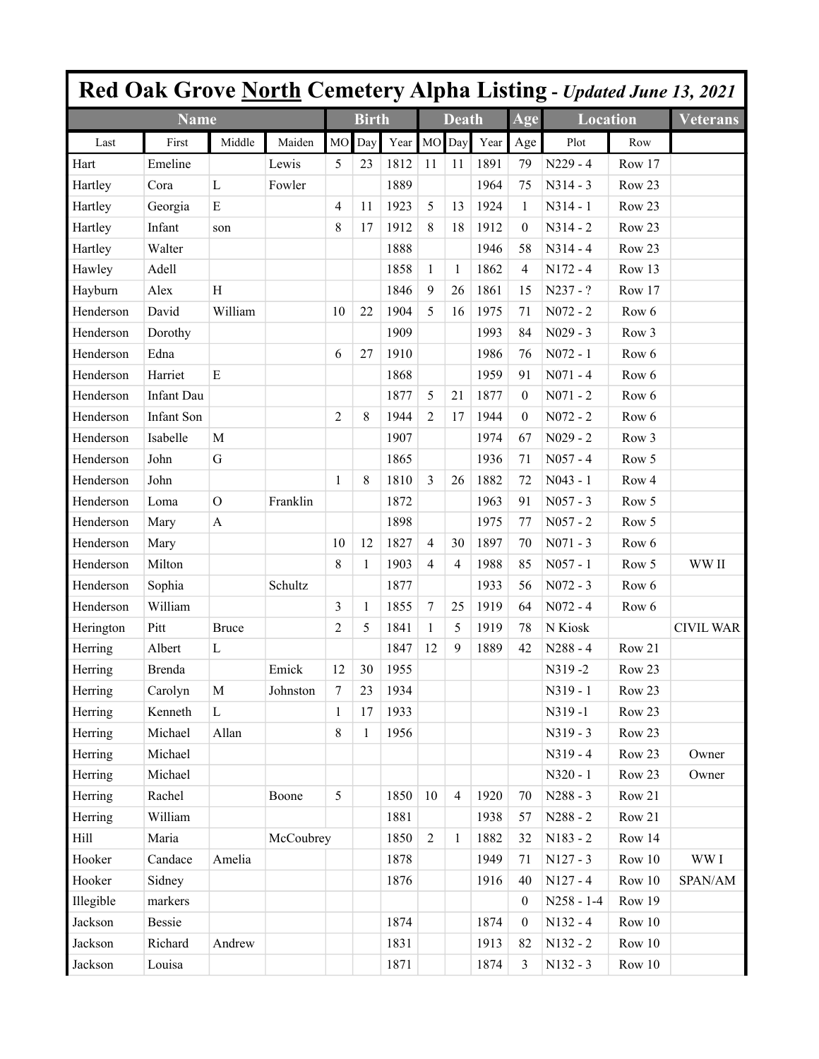|           |                   |                           |           |                |              |      |                |                |      |                  |                 |                  | Red Oak Grove North Cemetery Alpha Listing - Updated June 13, 2021 |
|-----------|-------------------|---------------------------|-----------|----------------|--------------|------|----------------|----------------|------|------------------|-----------------|------------------|--------------------------------------------------------------------|
|           | <b>Name</b>       |                           |           |                | <b>Birth</b> |      |                | <b>Death</b>   |      | Age              | <b>Location</b> |                  | <b>Veterans</b>                                                    |
| Last      | First             | Middle                    | Maiden    | M <sub>O</sub> | Day          | Year | <b>MO</b>      | Day            | Year | Age              | Plot            | Row              |                                                                    |
| Hart      | Emeline           |                           | Lewis     | 5              | 23           | 1812 | 11             | 11             | 1891 | 79               | $N229 - 4$      | Row 17           |                                                                    |
| Hartley   | Cora              | $\mathbf{L}$              | Fowler    |                |              | 1889 |                |                | 1964 | 75               | $N314 - 3$      | Row 23           |                                                                    |
| Hartley   | Georgia           | $\mathbf E$               |           | 4              | 11           | 1923 | 5              | 13             | 1924 | 1                | $N314 - 1$      | Row 23           |                                                                    |
| Hartley   | Infant            | son                       |           | 8              | 17           | 1912 | 8              | 18             | 1912 | $\theta$         | $N314 - 2$      | Row 23           |                                                                    |
| Hartley   | Walter            |                           |           |                |              | 1888 |                |                | 1946 | 58               | $N314 - 4$      | Row 23           |                                                                    |
| Hawley    | Adell             |                           |           |                |              | 1858 | $\mathbf{1}$   | 1              | 1862 | 4                | $N172 - 4$      | Row 13           |                                                                    |
| Hayburn   | Alex              | H                         |           |                |              | 1846 | 9              | 26             | 1861 | 15               | N237 - ?        | Row 17           |                                                                    |
| Henderson | David             | William                   |           | 10             | 22           | 1904 | 5              | 16             | 1975 | 71               | $N072 - 2$      | Row 6            |                                                                    |
| Henderson | Dorothy           |                           |           |                |              | 1909 |                |                | 1993 | 84               | $N029 - 3$      | Row 3            |                                                                    |
| Henderson | Edna              |                           |           | 6              | 27           | 1910 |                |                | 1986 | 76               | $N072 - 1$      | Row 6            |                                                                    |
| Henderson | Harriet           | $\mathbf E$               |           |                |              | 1868 |                |                | 1959 | 91               | $N071 - 4$      | Row 6            |                                                                    |
| Henderson | <b>Infant Dau</b> |                           |           |                |              | 1877 | 5              | 21             | 1877 | $\theta$         | $N071 - 2$      | Row 6            |                                                                    |
| Henderson | Infant Son        |                           |           | $\overline{c}$ | 8            | 1944 | $\overline{2}$ | 17             | 1944 | $\theta$         | $N072 - 2$      | Row 6            |                                                                    |
| Henderson | Isabelle          | M                         |           |                |              | 1907 |                |                | 1974 | 67               | $N029 - 2$      | Row <sub>3</sub> |                                                                    |
| Henderson | John              | $\mathbf G$               |           |                |              | 1865 |                |                | 1936 | 71               | $N057 - 4$      | Row 5            |                                                                    |
| Henderson | John              |                           |           | $\mathbf{1}$   | 8            | 1810 | $\overline{3}$ | 26             | 1882 | 72               | $N043 - 1$      | Row <sub>4</sub> |                                                                    |
| Henderson | Loma              | $\mathcal{O}$             | Franklin  |                |              | 1872 |                |                | 1963 | 91               | $N057 - 3$      | Row 5            |                                                                    |
| Henderson | Mary              | $\boldsymbol{\mathsf{A}}$ |           |                |              | 1898 |                |                | 1975 | 77               | $N057 - 2$      | Row 5            |                                                                    |
| Henderson | Mary              |                           |           | 10             | 12           | 1827 | $\overline{4}$ | 30             | 1897 | 70               | $N071 - 3$      | Row 6            |                                                                    |
| Henderson | Milton            |                           |           | 8              | 1            | 1903 | $\overline{4}$ | 4              | 1988 | 85               | $N057 - 1$      | Row 5            | WW II                                                              |
| Henderson | Sophia            |                           | Schultz   |                |              | 1877 |                |                | 1933 | 56               | $N072 - 3$      | Row 6            |                                                                    |
| Henderson | William           |                           |           | 3              | 1            | 1855 | $\tau$         | 25             | 1919 | 64               | $N072 - 4$      | Row 6            |                                                                    |
| Herington | Pitt              | <b>Bruce</b>              |           | 2              | 5            | 1841 | 1              | 5              | 1919 | 78               | N Kiosk         |                  | <b>CIVIL WAR</b>                                                   |
| Herring   | Albert            | L                         |           |                |              | 1847 | 12             | 9              | 1889 | 42               | $N288 - 4$      | Row 21           |                                                                    |
| Herring   | Brenda            |                           | Emick     | 12             | 30           | 1955 |                |                |      |                  | N319-2          | Row 23           |                                                                    |
| Herring   | Carolyn           | $\mathbf M$               | Johnston  | $\tau$         | 23           | 1934 |                |                |      |                  | N319 - 1        | Row 23           |                                                                    |
| Herring   | Kenneth           | $\mathbf L$               |           | $\mathbf{1}$   | 17           | 1933 |                |                |      |                  | N319-1          | Row 23           |                                                                    |
| Herring   | Michael           | Allan                     |           | 8              | 1            | 1956 |                |                |      |                  | $N319 - 3$      | Row 23           |                                                                    |
| Herring   | Michael           |                           |           |                |              |      |                |                |      |                  | $N319 - 4$      | Row 23           | Owner                                                              |
| Herring   | Michael           |                           |           |                |              |      |                |                |      |                  | N320 - 1        | Row 23           | Owner                                                              |
| Herring   | Rachel            |                           | Boone     | 5              |              | 1850 | 10             | $\overline{4}$ | 1920 | 70               | $N288 - 3$      | Row 21           |                                                                    |
| Herring   | William           |                           |           |                |              | 1881 |                |                | 1938 | 57               | N288 - 2        | Row 21           |                                                                    |
| Hill      | Maria             |                           | McCoubrey |                |              | 1850 | $\overline{2}$ | $\mathbf{1}$   | 1882 | 32               | N183 - 2        | Row 14           |                                                                    |
| Hooker    | Candace           | Amelia                    |           |                |              | 1878 |                |                | 1949 | 71               | $N127 - 3$      | Row 10           | WW I                                                               |
| Hooker    | Sidney            |                           |           |                |              | 1876 |                |                | 1916 | 40               | $N127 - 4$      | Row 10           | SPAN/AM                                                            |
| Illegible | markers           |                           |           |                |              |      |                |                |      | $\theta$         | $N258 - 1-4$    | Row 19           |                                                                    |
| Jackson   | Bessie            |                           |           |                |              | 1874 |                |                | 1874 | $\boldsymbol{0}$ | $N132 - 4$      | Row 10           |                                                                    |
| Jackson   | Richard           | Andrew                    |           |                |              | 1831 |                |                | 1913 | 82               | N132 - 2        | Row 10           |                                                                    |
| Jackson   | Louisa            |                           |           |                |              | 1871 |                |                | 1874 | 3                | N132 - 3        | Row 10           |                                                                    |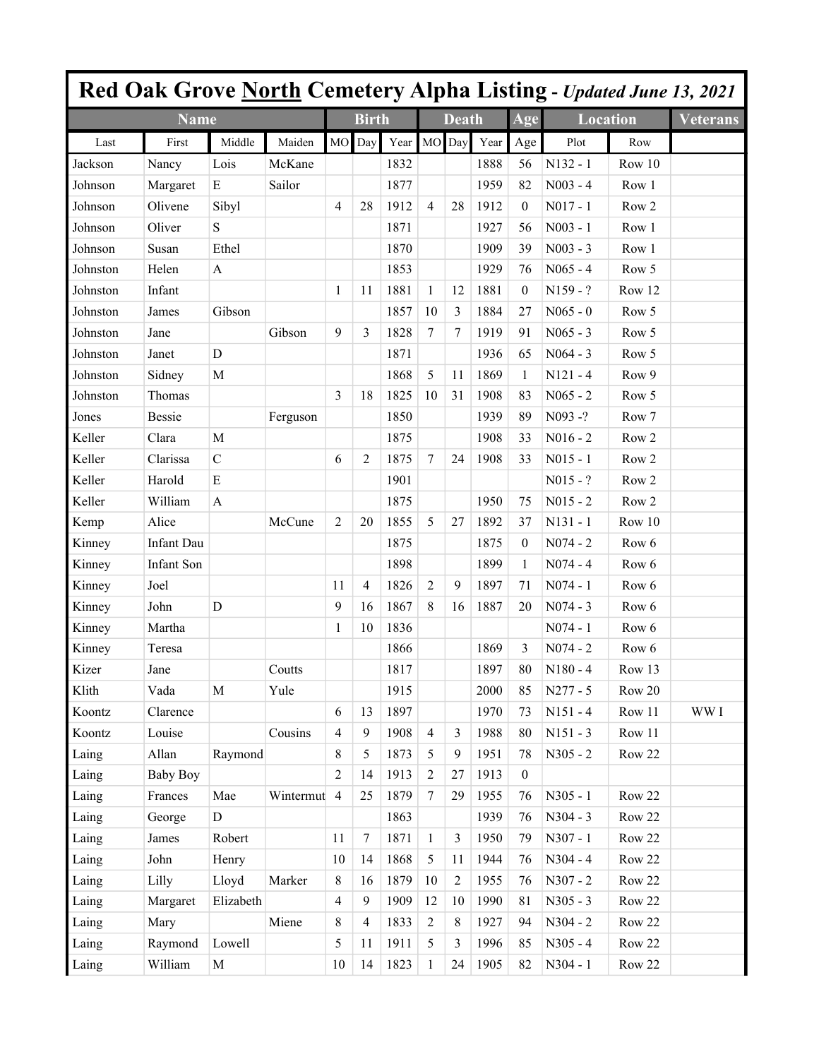|          |                   |                           |           |                |                |             |                |              |      |                  | <b>Red Oak Grove North Cemetery Alpha Listing - Updated June 13, 2021</b> |                  |                 |
|----------|-------------------|---------------------------|-----------|----------------|----------------|-------------|----------------|--------------|------|------------------|---------------------------------------------------------------------------|------------------|-----------------|
|          | <b>Name</b>       |                           |           |                | <b>Birth</b>   |             |                | <b>Death</b> |      | Age              | <b>Location</b>                                                           |                  | <b>Veterans</b> |
| Last     | First             | Middle                    | Maiden    | <b>MO</b>      | Day            | Year MO Day |                |              | Year | Age              | Plot                                                                      | Row              |                 |
| Jackson  | Nancy             | Lois                      | McKane    |                |                | 1832        |                |              | 1888 | 56               | $N132 - 1$                                                                | Row 10           |                 |
| Johnson  | Margaret          | ${\bf E}$                 | Sailor    |                |                | 1877        |                |              | 1959 | 82               | $N003 - 4$                                                                | Row 1            |                 |
| Johnson  | Olivene           | Sibyl                     |           | 4              | 28             | 1912        | $\overline{4}$ | 28           | 1912 | $\boldsymbol{0}$ | $N017 - 1$                                                                | Row <sub>2</sub> |                 |
| Johnson  | Oliver            | S                         |           |                |                | 1871        |                |              | 1927 | 56               | $N003 - 1$                                                                | Row 1            |                 |
| Johnson  | Susan             | Ethel                     |           |                |                | 1870        |                |              | 1909 | 39               | $N003 - 3$                                                                | Row 1            |                 |
| Johnston | Helen             | A                         |           |                |                | 1853        |                |              | 1929 | 76               | $N065 - 4$                                                                | Row 5            |                 |
| Johnston | Infant            |                           |           | $\mathbf{1}$   | 11             | 1881        | $\mathbf{1}$   | 12           | 1881 | $\boldsymbol{0}$ | $N159 - ?$                                                                | Row 12           |                 |
| Johnston | James             | Gibson                    |           |                |                | 1857        | 10             | 3            | 1884 | 27               | $N065 - 0$                                                                | Row 5            |                 |
| Johnston | Jane              |                           | Gibson    | 9              | 3              | 1828        | $\tau$         | 7            | 1919 | 91               | $N065 - 3$                                                                | Row 5            |                 |
| Johnston | Janet             | $\mathbf D$               |           |                |                | 1871        |                |              | 1936 | 65               | $N064 - 3$                                                                | Row 5            |                 |
| Johnston | Sidney            | $\mathbf M$               |           |                |                | 1868        | 5              | 11           | 1869 | 1                | $N121 - 4$                                                                | Row 9            |                 |
| Johnston | Thomas            |                           |           | 3              | 18             | 1825        | 10             | 31           | 1908 | 83               | $N065 - 2$                                                                | Row 5            |                 |
| Jones    | <b>Bessie</b>     |                           | Ferguson  |                |                | 1850        |                |              | 1939 | 89               | N093-?                                                                    | Row 7            |                 |
| Keller   | Clara             | $\mathbf M$               |           |                |                | 1875        |                |              | 1908 | 33               | $N016 - 2$                                                                | Row <sub>2</sub> |                 |
| Keller   | Clarissa          | $\mathcal{C}$             |           | 6              | $\overline{2}$ | 1875        | $\tau$         | 24           | 1908 | 33               | $N015 - 1$                                                                | Row <sub>2</sub> |                 |
| Keller   | Harold            | $\mathbf E$               |           |                |                | 1901        |                |              |      |                  | $N015 - ?$                                                                | Row <sub>2</sub> |                 |
| Keller   | William           | $\boldsymbol{\mathsf{A}}$ |           |                |                | 1875        |                |              | 1950 | 75               | $N015 - 2$                                                                | Row <sub>2</sub> |                 |
| Kemp     | Alice             |                           | McCune    | 2              | 20             | 1855        | 5              | 27           | 1892 | 37               | $N131 - 1$                                                                | Row 10           |                 |
| Kinney   | <b>Infant Dau</b> |                           |           |                |                | 1875        |                |              | 1875 | $\boldsymbol{0}$ | $N074 - 2$                                                                | Row 6            |                 |
| Kinney   | <b>Infant Son</b> |                           |           |                |                | 1898        |                |              | 1899 | 1                | $N074 - 4$                                                                | Row 6            |                 |
| Kinney   | Joel              |                           |           | 11             | $\overline{4}$ | 1826        | $\overline{2}$ | 9            | 1897 | 71               | $N074 - 1$                                                                | Row 6            |                 |
| Kinney   | John              | D                         |           | 9              | 16             | 1867        | 8              | 16           | 1887 | 20               | $N074 - 3$                                                                | Row 6            |                 |
| Kinney   | Martha            |                           |           | 1              | 10             | 1836        |                |              |      |                  | $N074 - 1$                                                                | Row 6            |                 |
| Kinney   | Teresa            |                           |           |                |                | 1866        |                |              | 1869 | 3                | $N074 - 2$                                                                | Row 6            |                 |
| Kizer    | Jane              |                           | Coutts    |                |                | 1817        |                |              | 1897 | 80               | $N180 - 4$                                                                | Row 13           |                 |
| Klith    | Vada              | $\mathbf M$               | Yule      |                |                | 1915        |                |              | 2000 | 85               | N277 - 5                                                                  | Row 20           |                 |
| Koontz   | Clarence          |                           |           | 6              | 13             | 1897        |                |              | 1970 | 73               | $N151 - 4$                                                                | Row 11           | WW I            |
| Koontz   | Louise            |                           | Cousins   | $\overline{4}$ | 9              | 1908        | $\overline{4}$ | 3            | 1988 | 80               | $N151 - 3$                                                                | Row 11           |                 |
| Laing    | Allan             | Raymond                   |           | 8              | 5              | 1873        | 5              | 9            | 1951 | 78               | $N305 - 2$                                                                | Row 22           |                 |
| Laing    | <b>Baby Boy</b>   |                           |           | 2              | 14             | 1913        | $\overline{2}$ | 27           | 1913 | $\boldsymbol{0}$ |                                                                           |                  |                 |
| Laing    | Frances           | Mae                       | Wintermut | $\overline{4}$ | 25             | 1879        | $\overline{7}$ | 29           | 1955 | 76               | N305 - 1                                                                  | Row 22           |                 |
| Laing    | George            | $\mathbf D$               |           |                |                | 1863        |                |              | 1939 | 76               | $N304 - 3$                                                                | Row 22           |                 |
| Laing    | James             | Robert                    |           | 11             | 7              | 1871        | $\mathbf{1}$   | 3            | 1950 | 79               | $N307 - 1$                                                                | Row 22           |                 |
| Laing    | John              | Henry                     |           | 10             | 14             | 1868        | 5              | 11           | 1944 | 76               | $N304 - 4$                                                                | Row 22           |                 |
| Laing    | Lilly             | Lloyd                     | Marker    | 8              | 16             | 1879        | 10             | 2            | 1955 | 76               | $N307 - 2$                                                                | Row 22           |                 |
| Laing    | Margaret          | Elizabeth                 |           | 4              | 9              | 1909        | 12             | 10           | 1990 | 81               | $N305 - 3$                                                                | Row 22           |                 |
| Laing    | Mary              |                           | Miene     | 8              | $\overline{4}$ | 1833        | $\overline{2}$ | 8            | 1927 | 94               | $N304 - 2$                                                                | Row 22           |                 |
| Laing    | Raymond           | Lowell                    |           | 5              | 11             | 1911        | 5              | 3            | 1996 | 85               | $N305 - 4$                                                                | Row 22           |                 |
| Laing    | William           | $\mathbf M$               |           | 10             | 14             | 1823        | $\mathbf{1}$   | 24           | 1905 | 82               | $N304 - 1$                                                                | Row 22           |                 |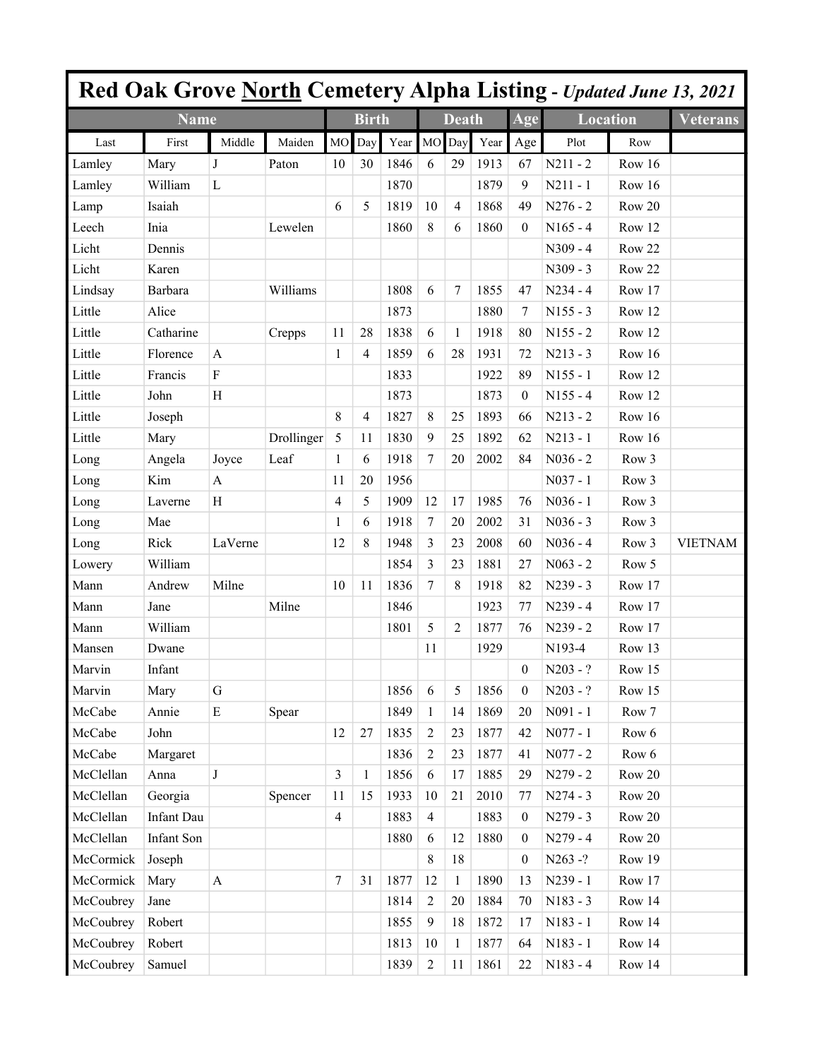|           |             |                           |            |                |                |      |                |                |      |                  | Red Oak Grove North Cemetery Alpha Listing - Updated June 13, 2021 |          |                 |
|-----------|-------------|---------------------------|------------|----------------|----------------|------|----------------|----------------|------|------------------|--------------------------------------------------------------------|----------|-----------------|
|           | <b>Name</b> |                           |            |                | <b>Birth</b>   |      |                | <b>Death</b>   |      | Age              | <b>Location</b>                                                    |          | <b>Veterans</b> |
| Last      | First       | Middle                    | Maiden     | M <sub>O</sub> | Day            | Year | MO             | Day            | Year | Age              | Plot                                                               | Row      |                 |
| Lamley    | Mary        | J                         | Paton      | 10             | 30             | 1846 | 6              | 29             | 1913 | 67               | $N211 - 2$                                                         | Row 16   |                 |
| Lamley    | William     | L                         |            |                |                | 1870 |                |                | 1879 | 9                | $N211 - 1$                                                         | Row 16   |                 |
| Lamp      | Isaiah      |                           |            | 6              | 5              | 1819 | 10             | $\overline{4}$ | 1868 | 49               | $N276 - 2$                                                         | Row 20   |                 |
| Leech     | Inia        |                           | Lewelen    |                |                | 1860 | 8              | 6              | 1860 | $\theta$         | $N165 - 4$                                                         | Row 12   |                 |
| Licht     | Dennis      |                           |            |                |                |      |                |                |      |                  | $N309 - 4$                                                         | Row 22   |                 |
| Licht     | Karen       |                           |            |                |                |      |                |                |      |                  | $N309 - 3$                                                         | Row 22   |                 |
| Lindsay   | Barbara     |                           | Williams   |                |                | 1808 | 6              | 7              | 1855 | 47               | $N234 - 4$                                                         | Row 17   |                 |
| Little    | Alice       |                           |            |                |                | 1873 |                |                | 1880 | 7                | $N155 - 3$                                                         | Row 12   |                 |
| Little    | Catharine   |                           | Crepps     | 11             | 28             | 1838 | 6              | 1              | 1918 | 80               | $N155 - 2$                                                         | Row 12   |                 |
| Little    | Florence    | A                         |            | 1              | 4              | 1859 | 6              | 28             | 1931 | 72               | $N213 - 3$                                                         | Row 16   |                 |
| Little    | Francis     | F                         |            |                |                | 1833 |                |                | 1922 | 89               | $N155 - 1$                                                         | Row 12   |                 |
| Little    | John        | Η                         |            |                |                | 1873 |                |                | 1873 | $\boldsymbol{0}$ | $N155 - 4$                                                         | Row 12   |                 |
| Little    | Joseph      |                           |            | 8              | $\overline{4}$ | 1827 | $\,8\,$        | 25             | 1893 | 66               | $N213 - 2$                                                         | Row 16   |                 |
| Little    | Mary        |                           | Drollinger | 5              | 11             | 1830 | 9              | 25             | 1892 | 62               | $N213 - 1$                                                         | Row 16   |                 |
| Long      | Angela      | Joyce                     | Leaf       | 1              | 6              | 1918 | $\tau$         | 20             | 2002 | 84               | $N036 - 2$                                                         | Row 3    |                 |
| Long      | Kim         | A                         |            | 11             | 20             | 1956 |                |                |      |                  | $N037 - 1$                                                         | Row 3    |                 |
| Long      | Laverne     | H                         |            | 4              | 5              | 1909 | 12             | 17             | 1985 | 76               | $N036 - 1$                                                         | Row 3    |                 |
| Long      | Mae         |                           |            | 1              | 6              | 1918 | 7              | 20             | 2002 | 31               | $N036 - 3$                                                         | Row 3    |                 |
| Long      | Rick        | LaVerne                   |            | 12             | 8              | 1948 | 3              | 23             | 2008 | 60               | $N036 - 4$                                                         | Row 3    | <b>VIETNAM</b>  |
| Lowery    | William     |                           |            |                |                | 1854 | 3              | 23             | 1881 | 27               | $N063 - 2$                                                         | Row 5    |                 |
| Mann      | Andrew      | Milne                     |            | 10             | 11             | 1836 | $\tau$         | 8              | 1918 | 82               | $N239 - 3$                                                         | Row 17   |                 |
| Mann      | Jane        |                           | Milne      |                |                | 1846 |                |                | 1923 | 77               | $N239 - 4$                                                         | Row 17   |                 |
| Mann      | William     |                           |            |                |                | 1801 | 5              | 2              | 1877 | 76               | $N239 - 2$                                                         | Row 17   |                 |
| Mansen    | Dwane       |                           |            |                |                |      | 11             |                | 1929 |                  | N193-4                                                             | Row 13   |                 |
| Marvin    | Infant      |                           |            |                |                |      |                |                |      | $\mathbf{0}$     | $N203 - ?$                                                         | Row $15$ |                 |
| Marvin    | Mary        | $\mathbf G$               |            |                |                | 1856 | 6              | 5              | 1856 | $\boldsymbol{0}$ | $N203 - ?$                                                         | Row 15   |                 |
| McCabe    | Annie       | ${\bf E}$                 | Spear      |                |                | 1849 | $\mathbf{1}$   | 14             | 1869 | 20               | $N091 - 1$                                                         | Row 7    |                 |
| McCabe    | John        |                           |            | 12             | 27             | 1835 | $\overline{2}$ | 23             | 1877 | 42               | $N077 - 1$                                                         | Row 6    |                 |
| McCabe    | Margaret    |                           |            |                |                | 1836 | $\sqrt{2}$     | 23             | 1877 | 41               | $N077 - 2$                                                         | Row 6    |                 |
| McClellan | Anna        | $\bf J$                   |            | $\overline{3}$ | 1              | 1856 | $\sqrt{6}$     | 17             | 1885 | 29               | $N279 - 2$                                                         | Row 20   |                 |
| McClellan | Georgia     |                           | Spencer    | 11             | 15             | 1933 | 10             | 21             | 2010 | 77               | $N274 - 3$                                                         | Row 20   |                 |
| McClellan | Infant Dau  |                           |            | $\overline{4}$ |                | 1883 | $\overline{4}$ |                | 1883 | $\boldsymbol{0}$ | $N279 - 3$                                                         | Row 20   |                 |
| McClellan | Infant Son  |                           |            |                |                | 1880 | 6              | 12             | 1880 | $\boldsymbol{0}$ | $N279 - 4$                                                         | Row 20   |                 |
| McCormick | Joseph      |                           |            |                |                |      | 8              | 18             |      | $\boldsymbol{0}$ | N263-?                                                             | Row 19   |                 |
| McCormick | Mary        | $\boldsymbol{\mathsf{A}}$ |            | $\tau$         | 31             | 1877 | 12             | $\mathbf{1}$   | 1890 | 13               | N239 - 1                                                           | Row 17   |                 |
| McCoubrey | Jane        |                           |            |                |                | 1814 | $\overline{c}$ | 20             | 1884 | 70               | $N183 - 3$                                                         | Row 14   |                 |
| McCoubrey | Robert      |                           |            |                |                | 1855 | $\overline{9}$ | 18             | 1872 | 17               | N183 - 1                                                           | Row 14   |                 |
| McCoubrey | Robert      |                           |            |                |                | 1813 | 10             | $\mathbf{1}$   | 1877 | 64               | N183 - 1                                                           | Row 14   |                 |
| McCoubrey | Samuel      |                           |            |                |                | 1839 | $\sqrt{2}$     | 11             | 1861 | 22               | $N183 - 4$                                                         | Row 14   |                 |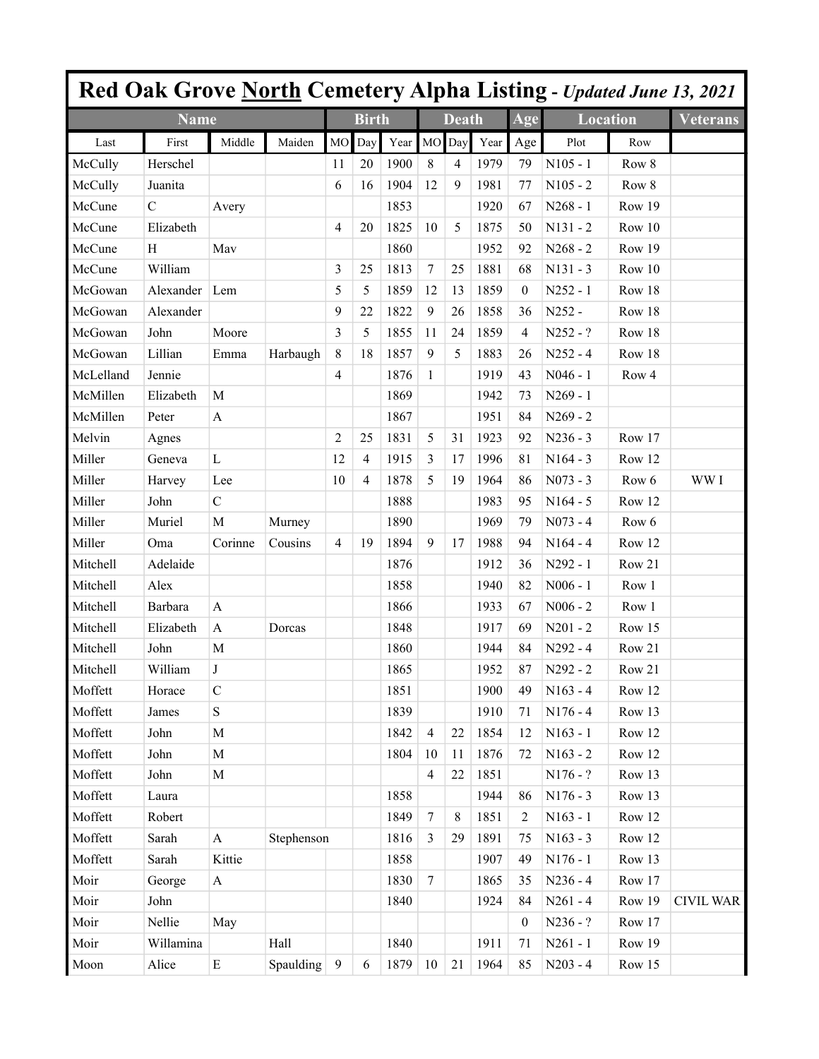|                       |                |               |                  |           |              |      |                 |              |      |                |                 |        | Red Oak Grove North Cemetery Alpha Listing - Updated June 13, 2021 |
|-----------------------|----------------|---------------|------------------|-----------|--------------|------|-----------------|--------------|------|----------------|-----------------|--------|--------------------------------------------------------------------|
|                       | <b>Name</b>    |               |                  |           | <b>Birth</b> |      |                 | <b>Death</b> |      | Age            | <b>Location</b> |        | <b>Veterans</b>                                                    |
| Last                  | First          | Middle        | Maiden           | <b>MO</b> | Day          | Year | <b>MO</b>       | Day          | Year | Age            | Plot            | Row    |                                                                    |
| McCully               | Herschel       |               |                  | 11        | 20           | 1900 | 8               | 4            | 1979 | 79             | $N105 - 1$      | Row 8  |                                                                    |
| McCully               | Juanita        |               |                  | 6         | 16           | 1904 | 12              | 9            | 1981 | 77             | $N105 - 2$      | Row 8  |                                                                    |
| McCune                | $\overline{C}$ | Avery         |                  |           |              | 1853 |                 |              | 1920 | 67             | $N268 - 1$      | Row 19 |                                                                    |
| McCune                | Elizabeth      |               |                  | 4         | 20           | 1825 | 10              | 5            | 1875 | 50             | $N131 - 2$      | Row 10 |                                                                    |
| McCune                | H              | May           |                  |           |              | 1860 |                 |              | 1952 | 92             | $N268 - 2$      | Row 19 |                                                                    |
| McCune                | William        |               |                  | 3         | 25           | 1813 | $\tau$          | 25           | 1881 | 68             | $N131 - 3$      | Row 10 |                                                                    |
| McGowan               | Alexander      | Lem           |                  | 5         | 5            | 1859 | 12              | 13           | 1859 | $\theta$       | $N252 - 1$      | Row 18 |                                                                    |
| McGowan               | Alexander      |               |                  | 9         | 22           | 1822 | 9               | 26           | 1858 | 36             | N252 -          | Row 18 |                                                                    |
| McGowan               | John           | Moore         |                  | 3         | 5            | 1855 | 11              | 24           | 1859 | 4              | $N252 - ?$      | Row 18 |                                                                    |
| McGowan               | Lillian        | Emma          | Harbaugh         | 8         | 18           | 1857 | 9               | 5            | 1883 | 26             | $N252 - 4$      | Row 18 |                                                                    |
| McLelland             | Jennie         |               |                  | 4         |              | 1876 | 1               |              | 1919 | 43             | $N046 - 1$      | Row 4  |                                                                    |
| McMillen              | Elizabeth      | M             |                  |           |              | 1869 |                 |              | 1942 | 73             | $N269 - 1$      |        |                                                                    |
| McMillen              | Peter          | A             |                  |           |              | 1867 |                 |              | 1951 | 84             | $N269 - 2$      |        |                                                                    |
| Melvin                | Agnes          |               |                  | 2         | 25           | 1831 | 5               | 31           | 1923 | 92             | $N236 - 3$      | Row 17 |                                                                    |
| Miller                | Geneva         | L             |                  | 12        | 4            | 1915 | 3               | 17           | 1996 | 81             | $N164 - 3$      | Row 12 |                                                                    |
| Miller                | Harvey         | Lee           |                  | 10        | 4            | 1878 | 5               | 19           | 1964 | 86             | $N073 - 3$      | Row 6  | WW I                                                               |
| Miller                | John           | $\mathcal{C}$ |                  |           |              | 1888 |                 |              | 1983 | 95             | $N164 - 5$      | Row 12 |                                                                    |
| Miller                | Muriel         | $\mathbf M$   | Murney           |           |              | 1890 |                 |              | 1969 | 79             | $N073 - 4$      | Row 6  |                                                                    |
| Miller                | Oma            | Corinne       | Cousins          | 4         | 19           | 1894 | 9               | 17           | 1988 | 94             | $N164 - 4$      | Row 12 |                                                                    |
| Mitchell              | Adelaide       |               |                  |           |              | 1876 |                 |              | 1912 | 36             | $N292 - 1$      | Row 21 |                                                                    |
| Mitchell              | Alex           |               |                  |           |              | 1858 |                 |              | 1940 | 82             | $N006 - 1$      | Row 1  |                                                                    |
| Mitchell              | Barbara        | $\mathbf{A}$  |                  |           |              | 1866 |                 |              | 1933 | 67             | $N006 - 2$      | Row 1  |                                                                    |
| Mitchell              | Elizabeth      | A             | Dorcas           |           |              | 1848 |                 |              | 1917 | 69             | $N201 - 2$      | Row 15 |                                                                    |
| Mitchell              | John           | M             |                  |           |              | 1860 |                 |              | 1944 | 84             | $N292 - 4$      | Row 21 |                                                                    |
| Mitchell              | William        | J             |                  |           |              | 1865 |                 |              | 1952 | 87             | $N292 - 2$      | Row 21 |                                                                    |
| Moffett               | Horace         | $\mathcal{C}$ |                  |           |              | 1851 |                 |              | 1900 | 49             | $N163 - 4$      | Row 12 |                                                                    |
| Moffett               | James          | ${\bf S}$     |                  |           |              | 1839 |                 |              | 1910 | 71             | $N176 - 4$      | Row 13 |                                                                    |
| Moffett               | John           | $\mathbf M$   |                  |           |              | 1842 | $\overline{4}$  | 22           | 1854 | 12             | $N163 - 1$      | Row 12 |                                                                    |
| Moffett               | John           | $\mathbf M$   |                  |           |              | 1804 | 10              | 11           | 1876 | 72             | $N163 - 2$      | Row 12 |                                                                    |
| Moffett               | John           | $\mathbf M$   |                  |           |              |      | $\overline{4}$  | 22           | 1851 |                | $N176 - ?$      | Row 13 |                                                                    |
| Moffett               | Laura          |               |                  |           |              | 1858 |                 |              | 1944 | 86             | $N176 - 3$      | Row 13 |                                                                    |
| Moffett               | Robert         |               |                  |           |              | 1849 | $7\overline{ }$ | 8            | 1851 | 2              | $N163 - 1$      | Row 12 |                                                                    |
| Moffett               | Sarah          | $\mathbf{A}$  | Stephenson       |           |              | 1816 | $\overline{3}$  | 29           | 1891 | 75             | $N163 - 3$      | Row 12 |                                                                    |
| Moffett               | Sarah          | Kittie        |                  |           |              | 1858 |                 |              | 1907 | 49             | $N176 - 1$      | Row 13 |                                                                    |
| Moir                  | George         | $\mathbf{A}$  |                  |           |              | 1830 | $7\phantom{.0}$ |              | 1865 | 35             | $N236 - 4$      | Row 17 |                                                                    |
| Moir                  | John           |               |                  |           |              | 1840 |                 |              | 1924 | 84             | $N261 - 4$      | Row 19 | <b>CIVIL WAR</b>                                                   |
| Moir                  | Nellie         | May           |                  |           |              |      |                 |              |      | $\overline{0}$ | $N236 - ?$      | Row 17 |                                                                    |
| Moir                  | Willamina      |               | Hall             |           |              | 1840 |                 |              | 1911 | 71             | $N261 - 1$      | Row 19 |                                                                    |
| $\operatorname{Moon}$ | Alice          | $\mathbf E$   | <b>Spaulding</b> | 9         | 6            | 1879 | 10              | 21           | 1964 | 85             | $N203 - 4$      | Row 15 |                                                                    |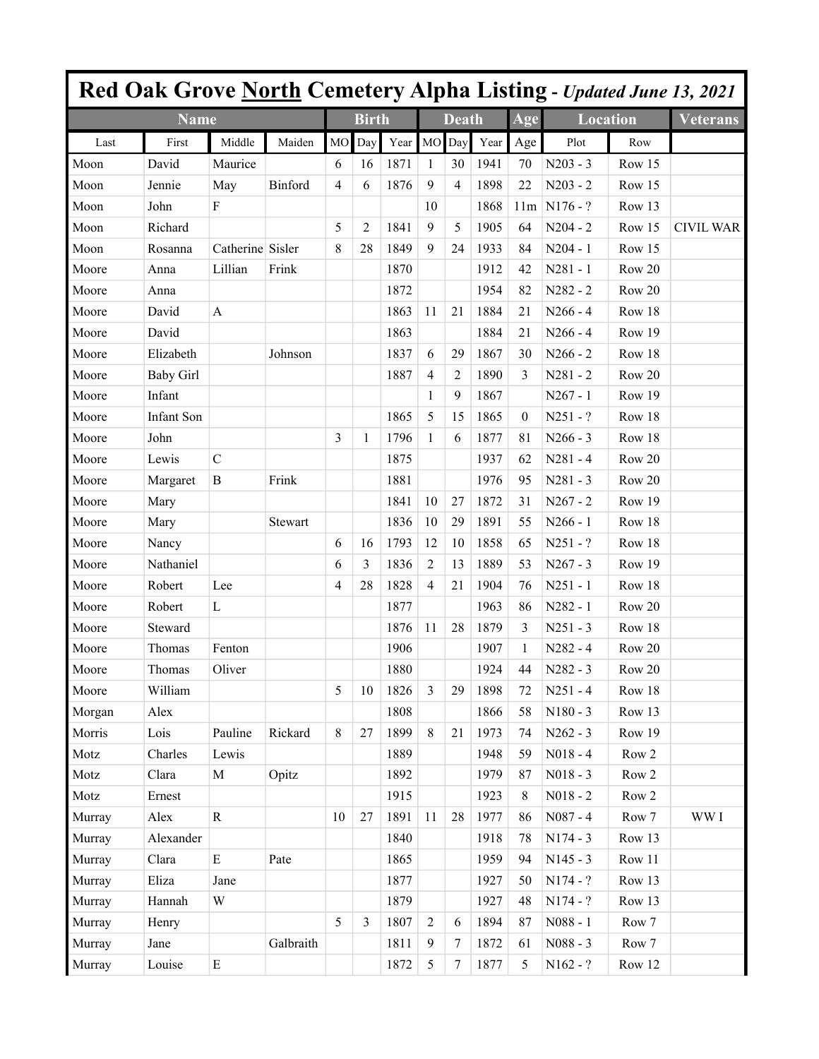|        |                  |                  |           |                |                |      |                |                |      |          |                 |                 | Red Oak Grove North Cemetery Alpha Listing - Updated June 13, 2021 |
|--------|------------------|------------------|-----------|----------------|----------------|------|----------------|----------------|------|----------|-----------------|-----------------|--------------------------------------------------------------------|
|        | <b>Name</b>      |                  |           |                | <b>Birth</b>   |      |                | <b>Death</b>   |      | Age      | <b>Location</b> |                 | Veterans                                                           |
| Last   | First            | Middle           | Maiden    | M <sub>O</sub> | Day            | Year | MO             | Day            | Year | Age      | Plot            | Row             |                                                                    |
| Moon   | David            | Maurice          |           | 6              | 16             | 1871 | 1              | 30             | 1941 | 70       | $N203 - 3$      | Row 15          |                                                                    |
| Moon   | Jennie           | May              | Binford   | 4              | 6              | 1876 | 9              | $\overline{4}$ | 1898 | 22       | $N203 - 2$      | Row 15          |                                                                    |
| Moon   | John             | F                |           |                |                |      | 10             |                | 1868 | 11m      | $NI76 - ?$      | Row 13          |                                                                    |
| Moon   | Richard          |                  |           | 5              | 2              | 1841 | 9              | 5              | 1905 | 64       | $N204 - 2$      | Row 15          | <b>CIVIL WAR</b>                                                   |
| Moon   | Rosanna          | Catherine Sisler |           | 8              | 28             | 1849 | 9              | 24             | 1933 | 84       | $N204 - 1$      | Row 15          |                                                                    |
| Moore  | Anna             | Lillian          | Frink     |                |                | 1870 |                |                | 1912 | 42       | $N281 - 1$      | Row 20          |                                                                    |
| Moore  | Anna             |                  |           |                |                | 1872 |                |                | 1954 | 82       | N282 - 2        | Row 20          |                                                                    |
| Moore  | David            | A                |           |                |                | 1863 | 11             | 21             | 1884 | 21       | $N266 - 4$      | Row 18          |                                                                    |
| Moore  | David            |                  |           |                |                | 1863 |                |                | 1884 | 21       | $N266 - 4$      | Row 19          |                                                                    |
| Moore  | Elizabeth        |                  | Johnson   |                |                | 1837 | 6              | 29             | 1867 | 30       | $N266 - 2$      | Row 18          |                                                                    |
| Moore  | <b>Baby Girl</b> |                  |           |                |                | 1887 | 4              | 2              | 1890 | 3        | $N281 - 2$      | Row 20          |                                                                    |
| Moore  | Infant           |                  |           |                |                |      | 1              | 9              | 1867 |          | $N267 - 1$      | Row 19          |                                                                    |
| Moore  | Infant Son       |                  |           |                |                | 1865 | 5              | 15             | 1865 | $\theta$ | $N251 - ?$      | Row 18          |                                                                    |
| Moore  | John             |                  |           | 3              | 1              | 1796 | 1              | 6              | 1877 | 81       | $N266 - 3$      | Row 18          |                                                                    |
| Moore  | Lewis            | $\mathcal{C}$    |           |                |                | 1875 |                |                | 1937 | 62       | $N281 - 4$      | Row 20          |                                                                    |
| Moore  | Margaret         | B                | Frink     |                |                | 1881 |                |                | 1976 | 95       | $N281 - 3$      | Row 20          |                                                                    |
| Moore  | Mary             |                  |           |                |                | 1841 | 10             | 27             | 1872 | 31       | $N267 - 2$      | Row 19          |                                                                    |
| Moore  | Mary             |                  | Stewart   |                |                | 1836 | 10             | 29             | 1891 | 55       | $N266 - 1$      | Row 18          |                                                                    |
| Moore  | Nancy            |                  |           | 6              | 16             | 1793 | 12             | 10             | 1858 | 65       | $N251 - ?$      | Row 18          |                                                                    |
| Moore  | Nathaniel        |                  |           | 6              | 3              | 1836 | 2              | 13             | 1889 | 53       | $N267 - 3$      | Row 19          |                                                                    |
| Moore  | Robert           | Lee              |           | 4              | 28             | 1828 | $\overline{4}$ | 21             | 1904 | 76       | $N251 - 1$      | Row 18          |                                                                    |
| Moore  | Robert           | L                |           |                |                | 1877 |                |                | 1963 | 86       | N282 - 1        | Row 20          |                                                                    |
| Moore  | Steward          |                  |           |                |                | 1876 | 11             | 28             | 1879 | 3        | $N251 - 3$      | Row 18          |                                                                    |
| Moore  | Thomas           | Fenton           |           |                |                | 1906 |                |                | 1907 | 1        | $N282 - 4$      | Row 20          |                                                                    |
| Moore  | Thomas           | Oliver           |           |                |                | 1880 |                |                | 1924 | 44       | $N282 - 3$      | Row 20          |                                                                    |
| Moore  | William          |                  |           | 5              | 10             | 1826 | $\mathfrak{Z}$ | 29             | 1898 | 72       | $N251 - 4$      | Row 18          |                                                                    |
| Morgan | Alex             |                  |           |                |                | 1808 |                |                | 1866 | 58       | $N180 - 3$      | Row 13          |                                                                    |
| Morris | Lois             | Pauline          | Rickard   | 8              | 27             | 1899 | $\,8\,$        | 21             | 1973 | 74       | $N262 - 3$      | Row 19          |                                                                    |
| Motz   | Charles          | Lewis            |           |                |                | 1889 |                |                | 1948 | 59       | $N018 - 4$      | ${\rm Row} \ 2$ |                                                                    |
| Motz   | Clara            | $\mathbf M$      | Opitz     |                |                | 1892 |                |                | 1979 | 87       | $N018 - 3$      | Row 2           |                                                                    |
| Motz   | Ernest           |                  |           |                |                | 1915 |                |                | 1923 | 8        | $N018 - 2$      | Row 2           |                                                                    |
| Murray | Alex             | ${\bf R}$        |           | 10             | 27             | 1891 | 11             | 28             | 1977 | 86       | $N087 - 4$      | Row 7           | WW I                                                               |
| Murray | Alexander        |                  |           |                |                | 1840 |                |                | 1918 | 78       | $N174 - 3$      | Row 13          |                                                                    |
| Murray | Clara            | $\mathbf E$      | Pate      |                |                | 1865 |                |                | 1959 | 94       | $N145 - 3$      | Row 11          |                                                                    |
| Murray | Eliza            | Jane             |           |                |                | 1877 |                |                | 1927 | 50       | $N174 - ?$      | Row 13          |                                                                    |
| Murray | Hannah           | W                |           |                |                | 1879 |                |                | 1927 | 48       | N174 - ?        | Row 13          |                                                                    |
| Murray | Henry            |                  |           | 5              | $\overline{3}$ | 1807 | $\overline{2}$ | 6              | 1894 | 87       | $N088 - 1$      | Row 7           |                                                                    |
| Murray | Jane             |                  | Galbraith |                |                | 1811 | 9              | 7              | 1872 | 61       | $N088 - 3$      | Row 7           |                                                                    |
| Murray | Louise           | ${\bf E}$        |           |                |                | 1872 | 5              | 7              | 1877 | 5        | $N162 - ?$      | Row 12          |                                                                    |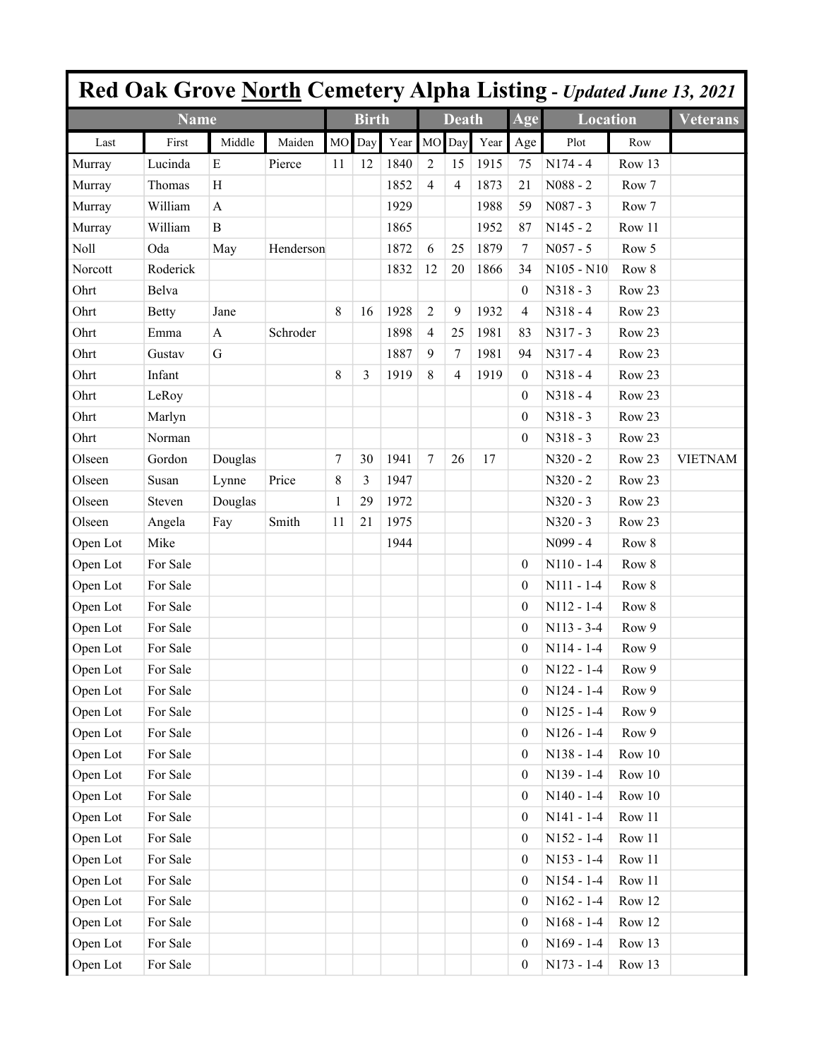|          |              |              |           |           |              |         |                |                |      |                  | <b>Red Oak Grove North Cemetery Alpha Listing - Updated June 13, 2021</b> |        |                 |
|----------|--------------|--------------|-----------|-----------|--------------|---------|----------------|----------------|------|------------------|---------------------------------------------------------------------------|--------|-----------------|
|          | <b>Name</b>  |              |           |           | <b>Birth</b> |         |                | <b>Death</b>   |      | Age              | <b>Location</b>                                                           |        | <b>Veterans</b> |
| Last     | First        | Middle       | Maiden    | <b>MO</b> | Day          | Year MO |                | Day            | Year | Age              | Plot                                                                      | Row    |                 |
| Murray   | Lucinda      | E            | Pierce    | 11        | 12           | 1840    | $\overline{2}$ | 15             | 1915 | 75               | $N174 - 4$                                                                | Row 13 |                 |
| Murray   | Thomas       | H            |           |           |              | 1852    | $\overline{4}$ | 4              | 1873 | 21               | $N088 - 2$                                                                | Row 7  |                 |
| Murray   | William      | $\mathbf{A}$ |           |           |              | 1929    |                |                | 1988 | 59               | $N087 - 3$                                                                | Row 7  |                 |
| Murray   | William      | B            |           |           |              | 1865    |                |                | 1952 | 87               | $N145 - 2$                                                                | Row 11 |                 |
| Noll     | Oda          | May          | Henderson |           |              | 1872    | 6              | 25             | 1879 | 7                | $N057 - 5$                                                                | Row 5  |                 |
| Norcott  | Roderick     |              |           |           |              | 1832    | 12             | 20             | 1866 | 34               | $N105 - N10$                                                              | Row 8  |                 |
| Ohrt     | Belva        |              |           |           |              |         |                |                |      | $\theta$         | $N318 - 3$                                                                | Row 23 |                 |
| Ohrt     | <b>Betty</b> | Jane         |           | 8         | 16           | 1928    | $\overline{2}$ | 9              | 1932 | 4                | $N318 - 4$                                                                | Row 23 |                 |
| Ohrt     | Emma         | $\mathbf{A}$ | Schroder  |           |              | 1898    | $\overline{4}$ | 25             | 1981 | 83               | $N317 - 3$                                                                | Row 23 |                 |
| Ohrt     | Gustav       | G            |           |           |              | 1887    | 9              | 7              | 1981 | 94               | $N317 - 4$                                                                | Row 23 |                 |
| Ohrt     | Infant       |              |           | 8         | 3            | 1919    | 8              | $\overline{4}$ | 1919 | $\mathbf{0}$     | $N318 - 4$                                                                | Row 23 |                 |
| Ohrt     | LeRoy        |              |           |           |              |         |                |                |      | $\theta$         | $N318 - 4$                                                                | Row 23 |                 |
| Ohrt     | Marlyn       |              |           |           |              |         |                |                |      | $\boldsymbol{0}$ | $N318 - 3$                                                                | Row 23 |                 |
| Ohrt     | Norman       |              |           |           |              |         |                |                |      | $\boldsymbol{0}$ | $N318 - 3$                                                                | Row 23 |                 |
| Olseen   | Gordon       | Douglas      |           | $\tau$    | 30           | 1941    | $\tau$         | 26             | 17   |                  | $N320 - 2$                                                                | Row 23 | <b>VIETNAM</b>  |
| Olseen   | Susan        | Lynne        | Price     | 8         | 3            | 1947    |                |                |      |                  | $N320 - 2$                                                                | Row 23 |                 |
| Olseen   | Steven       | Douglas      |           | 1         | 29           | 1972    |                |                |      |                  | $N320 - 3$                                                                | Row 23 |                 |
| Olseen   | Angela       | Fay          | Smith     | 11        | 21           | 1975    |                |                |      |                  | $N320 - 3$                                                                | Row 23 |                 |
| Open Lot | Mike         |              |           |           |              | 1944    |                |                |      |                  | N099 - 4                                                                  | Row 8  |                 |
| Open Lot | For Sale     |              |           |           |              |         |                |                |      | $\theta$         | $N110 - 1-4$                                                              | Row 8  |                 |
| Open Lot | For Sale     |              |           |           |              |         |                |                |      | $\boldsymbol{0}$ | $N111 - 1-4$                                                              | Row 8  |                 |
| Open Lot | For Sale     |              |           |           |              |         |                |                |      | $\boldsymbol{0}$ | $N112 - 1-4$                                                              | Row 8  |                 |
| Open Lot | For Sale     |              |           |           |              |         |                |                |      | $\boldsymbol{0}$ | $N113 - 3-4$                                                              | Row 9  |                 |
| Open Lot | For Sale     |              |           |           |              |         |                |                |      | $\theta$         | $N114 - 1-4$                                                              | Row 9  |                 |
| Open Lot | For Sale     |              |           |           |              |         |                |                |      | 0                | $N122 - 1-4$                                                              | Row 9  |                 |
| Open Lot | For Sale     |              |           |           |              |         |                |                |      | $\boldsymbol{0}$ | $N124 - 1-4$                                                              | Row 9  |                 |
| Open Lot | For Sale     |              |           |           |              |         |                |                |      | $\boldsymbol{0}$ | $N125 - 1-4$                                                              | Row 9  |                 |
| Open Lot | For Sale     |              |           |           |              |         |                |                |      | $\boldsymbol{0}$ | $N126 - 1-4$                                                              | Row 9  |                 |
| Open Lot | For Sale     |              |           |           |              |         |                |                |      | $\boldsymbol{0}$ | $N138 - 1-4$                                                              | Row 10 |                 |
| Open Lot | For Sale     |              |           |           |              |         |                |                |      | $\boldsymbol{0}$ | $N139 - 1-4$                                                              | Row 10 |                 |
| Open Lot | For Sale     |              |           |           |              |         |                |                |      | $\boldsymbol{0}$ | $N140 - 1-4$                                                              | Row 10 |                 |
| Open Lot | For Sale     |              |           |           |              |         |                |                |      | $\boldsymbol{0}$ | $N141 - 1-4$                                                              | Row 11 |                 |
| Open Lot | For Sale     |              |           |           |              |         |                |                |      | $\boldsymbol{0}$ | $N152 - 1-4$                                                              | Row 11 |                 |
| Open Lot | For Sale     |              |           |           |              |         |                |                |      | $\boldsymbol{0}$ | $N153 - 1-4$                                                              | Row 11 |                 |
| Open Lot | For Sale     |              |           |           |              |         |                |                |      | $\boldsymbol{0}$ | $N154 - 1-4$                                                              | Row 11 |                 |
| Open Lot | For Sale     |              |           |           |              |         |                |                |      | $\boldsymbol{0}$ | $N162 - 1-4$                                                              | Row 12 |                 |
| Open Lot | For Sale     |              |           |           |              |         |                |                |      | $\boldsymbol{0}$ | $N168 - 1-4$                                                              | Row 12 |                 |
| Open Lot | For Sale     |              |           |           |              |         |                |                |      | $\boldsymbol{0}$ | $N169 - 1-4$                                                              | Row 13 |                 |
| Open Lot | For Sale     |              |           |           |              |         |                |                |      | $\boldsymbol{0}$ | $N173 - 1-4$                                                              | Row 13 |                 |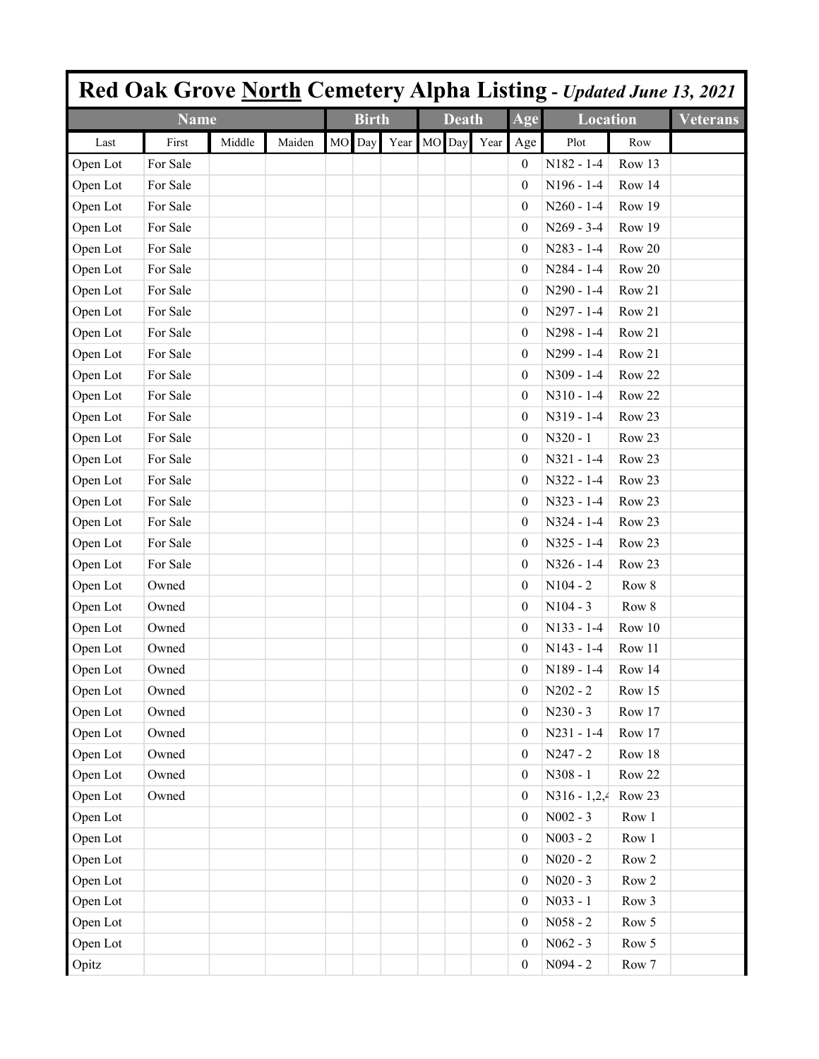|          |             |        |        |    |              |             |              |      |                  | Red Oak Grove North Cemetery Alpha Listing - Updated June 13, 2021 |        |                 |
|----------|-------------|--------|--------|----|--------------|-------------|--------------|------|------------------|--------------------------------------------------------------------|--------|-----------------|
|          | <b>Name</b> |        |        |    | <b>Birth</b> |             | <b>Death</b> |      | Age              | <b>Location</b>                                                    |        | <b>Veterans</b> |
| Last     | First       | Middle | Maiden | MO | Day          | Year MO Day |              | Year | Age              | Plot                                                               | Row    |                 |
| Open Lot | For Sale    |        |        |    |              |             |              |      | 0                | $N182 - 1-4$                                                       | Row 13 |                 |
| Open Lot | For Sale    |        |        |    |              |             |              |      | 0                | $N196 - 1-4$                                                       | Row 14 |                 |
| Open Lot | For Sale    |        |        |    |              |             |              |      | $\boldsymbol{0}$ | $N260 - 1-4$                                                       | Row 19 |                 |
| Open Lot | For Sale    |        |        |    |              |             |              |      | $\boldsymbol{0}$ | $N269 - 3-4$                                                       | Row 19 |                 |
| Open Lot | For Sale    |        |        |    |              |             |              |      | $\boldsymbol{0}$ | $N283 - 1-4$                                                       | Row 20 |                 |
| Open Lot | For Sale    |        |        |    |              |             |              |      | $\boldsymbol{0}$ | $N284 - 1-4$                                                       | Row 20 |                 |
| Open Lot | For Sale    |        |        |    |              |             |              |      | $\boldsymbol{0}$ | $N290 - 1-4$                                                       | Row 21 |                 |
| Open Lot | For Sale    |        |        |    |              |             |              |      | $\boldsymbol{0}$ | $N297 - 1-4$                                                       | Row 21 |                 |
| Open Lot | For Sale    |        |        |    |              |             |              |      | $\boldsymbol{0}$ | $N298 - 1-4$                                                       | Row 21 |                 |
| Open Lot | For Sale    |        |        |    |              |             |              |      | $\boldsymbol{0}$ | N299 - 1-4                                                         | Row 21 |                 |
| Open Lot | For Sale    |        |        |    |              |             |              |      | $\boldsymbol{0}$ | $N309 - 1-4$                                                       | Row 22 |                 |
| Open Lot | For Sale    |        |        |    |              |             |              |      | $\boldsymbol{0}$ | $N310 - 1-4$                                                       | Row 22 |                 |
| Open Lot | For Sale    |        |        |    |              |             |              |      | $\boldsymbol{0}$ | N319 - 1-4                                                         | Row 23 |                 |
| Open Lot | For Sale    |        |        |    |              |             |              |      | $\boldsymbol{0}$ | $N320 - 1$                                                         | Row 23 |                 |
| Open Lot | For Sale    |        |        |    |              |             |              |      | $\boldsymbol{0}$ | $N321 - 1-4$                                                       | Row 23 |                 |
| Open Lot | For Sale    |        |        |    |              |             |              |      | $\boldsymbol{0}$ | N322 - 1-4                                                         | Row 23 |                 |
| Open Lot | For Sale    |        |        |    |              |             |              |      | $\boldsymbol{0}$ | $N323 - 1-4$                                                       | Row 23 |                 |
| Open Lot | For Sale    |        |        |    |              |             |              |      | $\boldsymbol{0}$ | $N324 - 1-4$                                                       | Row 23 |                 |
| Open Lot | For Sale    |        |        |    |              |             |              |      | $\boldsymbol{0}$ | $N325 - 1-4$                                                       | Row 23 |                 |
| Open Lot | For Sale    |        |        |    |              |             |              |      | $\boldsymbol{0}$ | $N326 - 1-4$                                                       | Row 23 |                 |
| Open Lot | Owned       |        |        |    |              |             |              |      | $\boldsymbol{0}$ | $N104 - 2$                                                         | Row 8  |                 |
| Open Lot | Owned       |        |        |    |              |             |              |      | $\boldsymbol{0}$ | $N104 - 3$                                                         | Row 8  |                 |
| Open Lot | Owned       |        |        |    |              |             |              |      | $\boldsymbol{0}$ | $N133 - 1-4$                                                       | Row 10 |                 |
| Open Lot | Owned       |        |        |    |              |             |              |      | $\boldsymbol{0}$ | $N143 - 1-4$                                                       | Row 11 |                 |
| Open Lot | Owned       |        |        |    |              |             |              |      | $\boldsymbol{0}$ | N189 - 1-4                                                         | Row 14 |                 |
| Open Lot | Owned       |        |        |    |              |             |              |      | $\boldsymbol{0}$ | $N202 - 2$                                                         | Row 15 |                 |
| Open Lot | Owned       |        |        |    |              |             |              |      | $\boldsymbol{0}$ | $N230 - 3$                                                         | Row 17 |                 |
| Open Lot | Owned       |        |        |    |              |             |              |      | $\boldsymbol{0}$ | $N231 - 1-4$                                                       | Row 17 |                 |
| Open Lot | Owned       |        |        |    |              |             |              |      | $\boldsymbol{0}$ | $N247 - 2$                                                         | Row 18 |                 |
| Open Lot | Owned       |        |        |    |              |             |              |      | $\boldsymbol{0}$ | $N308 - 1$                                                         | Row 22 |                 |
| Open Lot | Owned       |        |        |    |              |             |              |      | $\boldsymbol{0}$ | $N316 - 1,2,4$                                                     | Row 23 |                 |
| Open Lot |             |        |        |    |              |             |              |      | $\boldsymbol{0}$ | $N002 - 3$                                                         | Row 1  |                 |
| Open Lot |             |        |        |    |              |             |              |      | $\boldsymbol{0}$ | $N003 - 2$                                                         | Row 1  |                 |
| Open Lot |             |        |        |    |              |             |              |      | $\boldsymbol{0}$ | $N020 - 2$                                                         | Row 2  |                 |
| Open Lot |             |        |        |    |              |             |              |      | $\boldsymbol{0}$ | $N020 - 3$                                                         | Row 2  |                 |
| Open Lot |             |        |        |    |              |             |              |      | $\boldsymbol{0}$ | $N033 - 1$                                                         | Row 3  |                 |
| Open Lot |             |        |        |    |              |             |              |      | $\boldsymbol{0}$ | $N058 - 2$                                                         | Row 5  |                 |
| Open Lot |             |        |        |    |              |             |              |      | $\boldsymbol{0}$ | $N062 - 3$                                                         | Row 5  |                 |
| Opitz    |             |        |        |    |              |             |              |      | $\boldsymbol{0}$ | $N094 - 2$                                                         | Row 7  |                 |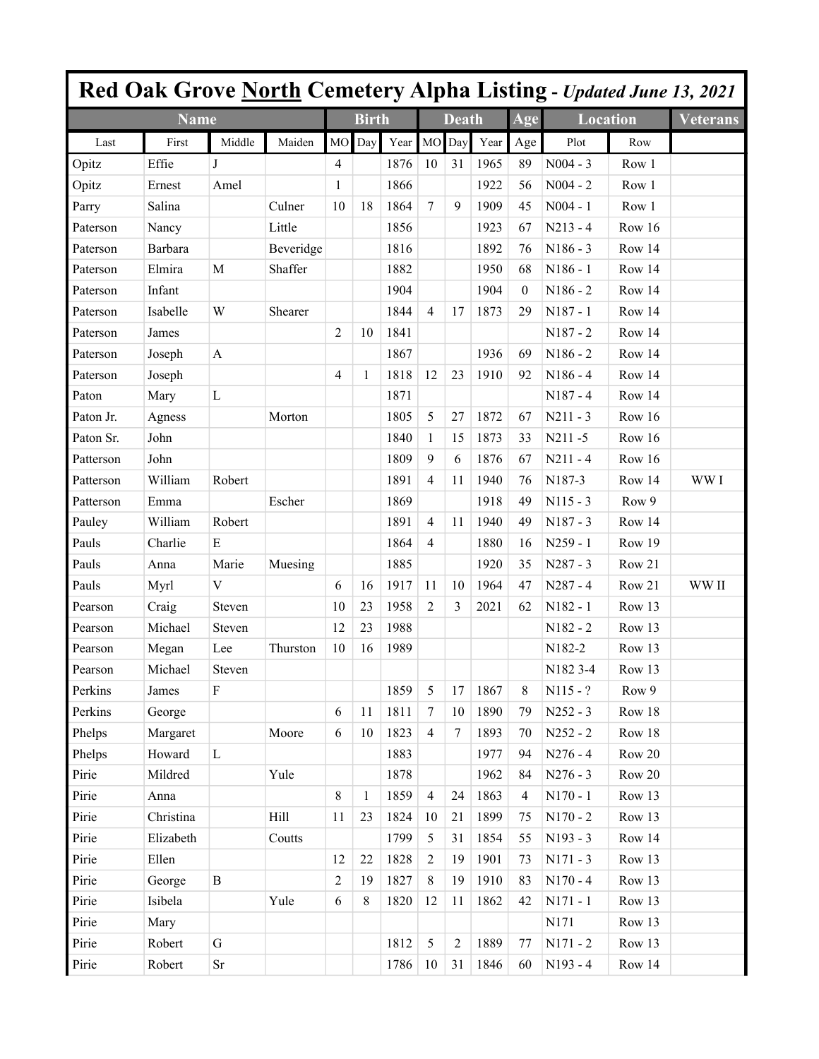|           |             |              |           |                |              |      |                |                |      |          | <b>Red Oak Grove North Cemetery Alpha Listing - Updated June 13, 2021</b> |        |                 |
|-----------|-------------|--------------|-----------|----------------|--------------|------|----------------|----------------|------|----------|---------------------------------------------------------------------------|--------|-----------------|
|           | <b>Name</b> |              |           |                | <b>Birth</b> |      |                | <b>Death</b>   |      | Age      | <b>Location</b>                                                           |        | <b>Veterans</b> |
| Last      | First       | Middle       | Maiden    | M <sub>O</sub> | Day          | Year | <b>MO</b>      | Day            | Year | Age      | Plot                                                                      | Row    |                 |
| Opitz     | Effie       | J            |           | 4              |              | 1876 | 10             | 31             | 1965 | 89       | $N004 - 3$                                                                | Row 1  |                 |
| Opitz     | Ernest      | Amel         |           | 1              |              | 1866 |                |                | 1922 | 56       | $N004 - 2$                                                                | Row 1  |                 |
| Parry     | Salina      |              | Culner    | 10             | 18           | 1864 | $\tau$         | 9              | 1909 | 45       | $N004 - 1$                                                                | Row 1  |                 |
| Paterson  | Nancy       |              | Little    |                |              | 1856 |                |                | 1923 | 67       | $N213 - 4$                                                                | Row 16 |                 |
| Paterson  | Barbara     |              | Beveridge |                |              | 1816 |                |                | 1892 | 76       | $N186 - 3$                                                                | Row 14 |                 |
| Paterson  | Elmira      | $\mathbf M$  | Shaffer   |                |              | 1882 |                |                | 1950 | 68       | $N186 - 1$                                                                | Row 14 |                 |
| Paterson  | Infant      |              |           |                |              | 1904 |                |                | 1904 | $\theta$ | $N186 - 2$                                                                | Row 14 |                 |
| Paterson  | Isabelle    | W            | Shearer   |                |              | 1844 | $\overline{4}$ | 17             | 1873 | 29       | N187 - 1                                                                  | Row 14 |                 |
| Paterson  | James       |              |           | 2              | 10           | 1841 |                |                |      |          | $N187 - 2$                                                                | Row 14 |                 |
| Paterson  | Joseph      | A            |           |                |              | 1867 |                |                | 1936 | 69       | $N186 - 2$                                                                | Row 14 |                 |
| Paterson  | Joseph      |              |           | 4              | 1            | 1818 | 12             | 23             | 1910 | 92       | $N186 - 4$                                                                | Row 14 |                 |
| Paton     | Mary        | L            |           |                |              | 1871 |                |                |      |          | $N187 - 4$                                                                | Row 14 |                 |
| Paton Jr. | Agness      |              | Morton    |                |              | 1805 | 5              | 27             | 1872 | 67       | $N211 - 3$                                                                | Row 16 |                 |
| Paton Sr. | John        |              |           |                |              | 1840 | 1              | 15             | 1873 | 33       | N211-5                                                                    | Row 16 |                 |
| Patterson | John        |              |           |                |              | 1809 | 9              | 6              | 1876 | 67       | $N211 - 4$                                                                | Row 16 |                 |
| Patterson | William     | Robert       |           |                |              | 1891 | $\overline{4}$ | 11             | 1940 | 76       | N187-3                                                                    | Row 14 | WW I            |
| Patterson | Emma        |              | Escher    |                |              | 1869 |                |                | 1918 | 49       | $N115 - 3$                                                                | Row 9  |                 |
| Pauley    | William     | Robert       |           |                |              | 1891 | $\overline{4}$ | 11             | 1940 | 49       | $N187 - 3$                                                                | Row 14 |                 |
| Pauls     | Charlie     | E            |           |                |              | 1864 | $\overline{4}$ |                | 1880 | 16       | $N259 - 1$                                                                | Row 19 |                 |
| Pauls     | Anna        | Marie        | Muesing   |                |              | 1885 |                |                | 1920 | 35       | $N287 - 3$                                                                | Row 21 |                 |
| Pauls     | Myrl        | V            |           | 6              | 16           | 1917 | 11             | 10             | 1964 | 47       | $N287 - 4$                                                                | Row 21 | WW II           |
| Pearson   | Craig       | Steven       |           | 10             | 23           | 1958 | $\overline{2}$ | 3              | 2021 | 62       | N182 - 1                                                                  | Row 13 |                 |
| Pearson   | Michael     | Steven       |           | 12             | 23           | 1988 |                |                |      |          | $N182 - 2$                                                                | Row 13 |                 |
| Pearson   | Megan       | Lee          | Thurston  | 10             | 16           | 1989 |                |                |      |          | N182-2                                                                    | Row 13 |                 |
| Pearson   | Michael     | Steven       |           |                |              |      |                |                |      |          | N <sub>1</sub> 82 3-4                                                     | Row 13 |                 |
| Perkins   | James       | ${\bf F}$    |           |                |              | 1859 | 5              | 17             | 1867 | 8        | $N115 - ?$                                                                | Row 9  |                 |
| Perkins   | George      |              |           | 6              | 11           | 1811 | $\tau$         | 10             | 1890 | 79       | $N252 - 3$                                                                | Row 18 |                 |
| Phelps    | Margaret    |              | Moore     | 6              | 10           | 1823 | $\overline{4}$ | 7              | 1893 | 70       | $N252 - 2$                                                                | Row 18 |                 |
| Phelps    | Howard      | $\mathbf L$  |           |                |              | 1883 |                |                | 1977 | 94       | $N276 - 4$                                                                | Row 20 |                 |
| Pirie     | Mildred     |              | Yule      |                |              | 1878 |                |                | 1962 | 84       | $N276 - 3$                                                                | Row 20 |                 |
| Pirie     | Anna        |              |           | 8              | 1            | 1859 | $\overline{4}$ | 24             | 1863 | 4        | $N170 - 1$                                                                | Row 13 |                 |
| Pirie     | Christina   |              | Hill      | 11             | 23           | 1824 | 10             | 21             | 1899 | 75       | $N170 - 2$                                                                | Row 13 |                 |
| Pirie     | Elizabeth   |              | Coutts    |                |              | 1799 | $\sqrt{5}$     | 31             | 1854 | 55       | N193 - 3                                                                  | Row 14 |                 |
| Pirie     | Ellen       |              |           | 12             | 22           | 1828 | $\sqrt{2}$     | 19             | 1901 | 73       | $N171 - 3$                                                                | Row 13 |                 |
| Pirie     | George      | $\, {\bf B}$ |           | $\overline{2}$ | 19           | 1827 | $\,8\,$        | 19             | 1910 | 83       | $N170 - 4$                                                                | Row 13 |                 |
| Pirie     | Isibela     |              | Yule      | 6              | $\,8\,$      | 1820 | 12             | 11             | 1862 | 42       | $N171 - 1$                                                                | Row 13 |                 |
| Pirie     | Mary        |              |           |                |              |      |                |                |      |          | N171                                                                      | Row 13 |                 |
| Pirie     | Robert      | $\mathbf G$  |           |                |              | 1812 | 5              | $\overline{2}$ | 1889 | 77       | $N171 - 2$                                                                | Row 13 |                 |
| Pirie     | Robert      | $\rm Sr$     |           |                |              | 1786 | 10             | 31             | 1846 | 60       | N193 - 4                                                                  | Row 14 |                 |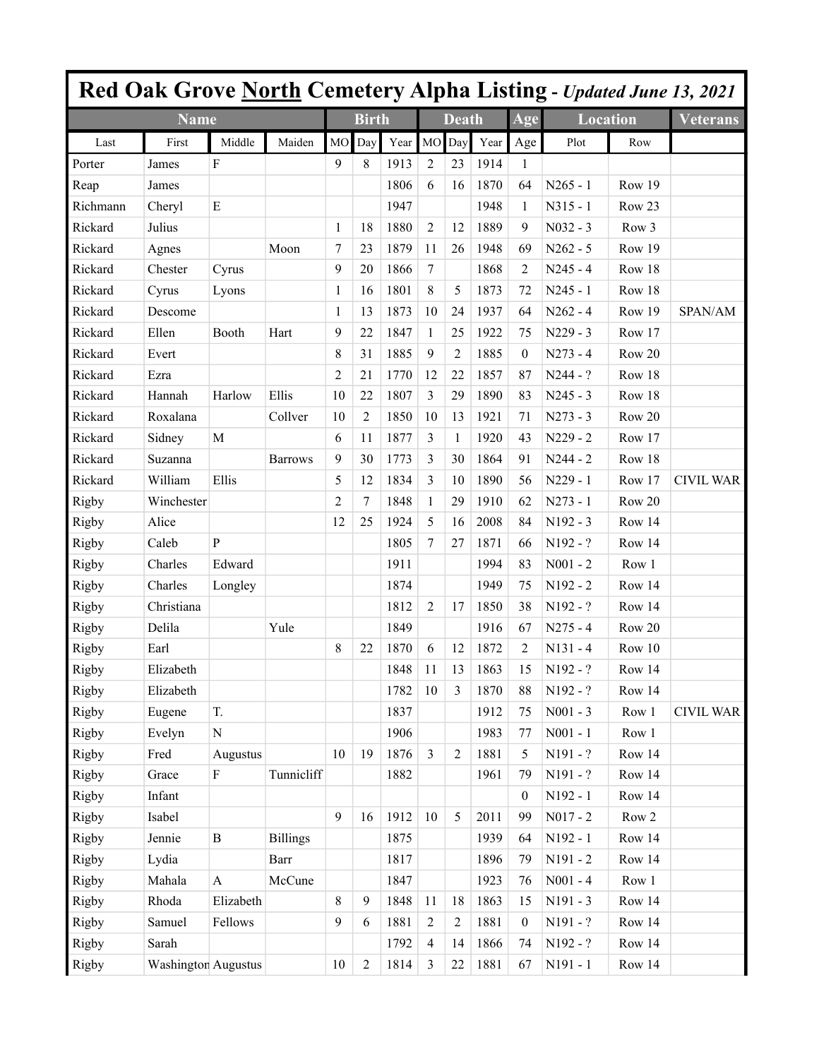|          |                            |                  |                 |                  |                |      |                |                |      |                  |                 |        | Red Oak Grove North Cemetery Alpha Listing - Updated June 13, 2021 |
|----------|----------------------------|------------------|-----------------|------------------|----------------|------|----------------|----------------|------|------------------|-----------------|--------|--------------------------------------------------------------------|
|          | <b>Name</b>                |                  |                 |                  | <b>Birth</b>   |      |                | <b>Death</b>   |      | Age              | <b>Location</b> |        | <b>Veterans</b>                                                    |
| Last     | First                      | Middle           | Maiden          | M <sub>O</sub>   | Day            | Year | MO             | Day            | Year | Age              | Plot            | Row    |                                                                    |
| Porter   | James                      | $\boldsymbol{F}$ |                 | 9                | 8              | 1913 | 2              | 23             | 1914 | 1                |                 |        |                                                                    |
| Reap     | James                      |                  |                 |                  |                | 1806 | 6              | 16             | 1870 | 64               | $N265 - 1$      | Row 19 |                                                                    |
| Richmann | Cheryl                     | ${\bf E}$        |                 |                  |                | 1947 |                |                | 1948 | 1                | $N315 - 1$      | Row 23 |                                                                    |
| Rickard  | Julius                     |                  |                 | $\mathbf{1}$     | 18             | 1880 | $\overline{c}$ | 12             | 1889 | 9                | $N032 - 3$      | Row 3  |                                                                    |
| Rickard  | Agnes                      |                  | Moon            | $\boldsymbol{7}$ | 23             | 1879 | 11             | 26             | 1948 | 69               | $N262 - 5$      | Row 19 |                                                                    |
| Rickard  | Chester                    | Cyrus            |                 | 9                | 20             | 1866 | $\tau$         |                | 1868 | $\overline{c}$   | $N245 - 4$      | Row 18 |                                                                    |
| Rickard  | Cyrus                      | Lyons            |                 | 1                | 16             | 1801 | 8              | 5              | 1873 | 72               | $N245 - 1$      | Row 18 |                                                                    |
| Rickard  | Descome                    |                  |                 | 1                | 13             | 1873 | 10             | 24             | 1937 | 64               | $N262 - 4$      | Row 19 | SPAN/AM                                                            |
| Rickard  | Ellen                      | Booth            | Hart            | 9                | 22             | 1847 | 1              | 25             | 1922 | 75               | $N229 - 3$      | Row 17 |                                                                    |
| Rickard  | Evert                      |                  |                 | 8                | 31             | 1885 | 9              | $\overline{c}$ | 1885 | $\theta$         | $N273 - 4$      | Row 20 |                                                                    |
| Rickard  | Ezra                       |                  |                 | 2                | 21             | 1770 | 12             | 22             | 1857 | 87               | $N244 - ?$      | Row 18 |                                                                    |
| Rickard  | Hannah                     | Harlow           | Ellis           | 10               | 22             | 1807 | 3              | 29             | 1890 | 83               | $N245 - 3$      | Row 18 |                                                                    |
| Rickard  | Roxalana                   |                  | Collver         | 10               | $\overline{c}$ | 1850 | 10             | 13             | 1921 | 71               | $N273 - 3$      | Row 20 |                                                                    |
| Rickard  | Sidney                     | $\mathbf M$      |                 | 6                | 11             | 1877 | 3              | 1              | 1920 | 43               | $N229 - 2$      | Row 17 |                                                                    |
| Rickard  | Suzanna                    |                  | <b>Barrows</b>  | 9                | 30             | 1773 | 3              | 30             | 1864 | 91               | $N244 - 2$      | Row 18 |                                                                    |
| Rickard  | William                    | Ellis            |                 | 5                | 12             | 1834 | $\mathfrak{Z}$ | 10             | 1890 | 56               | $N229 - 1$      | Row 17 | <b>CIVIL WAR</b>                                                   |
| Rigby    | Winchester                 |                  |                 | 2                | 7              | 1848 | 1              | 29             | 1910 | 62               | $N273 - 1$      | Row 20 |                                                                    |
| Rigby    | Alice                      |                  |                 | 12               | 25             | 1924 | 5              | 16             | 2008 | 84               | N192 - 3        | Row 14 |                                                                    |
| Rigby    | Caleb                      | $\mathbf{P}$     |                 |                  |                | 1805 | $\tau$         | 27             | 1871 | 66               | N192 - ?        | Row 14 |                                                                    |
| Rigby    | Charles                    | Edward           |                 |                  |                | 1911 |                |                | 1994 | 83               | $N001 - 2$      | Row 1  |                                                                    |
| Rigby    | Charles                    | Longley          |                 |                  |                | 1874 |                |                | 1949 | 75               | N192 - 2        | Row 14 |                                                                    |
| Rigby    | Christiana                 |                  |                 |                  |                | 1812 | 2              | 17             | 1850 | 38               | N192 - ?        | Row 14 |                                                                    |
| Rigby    | Delila                     |                  | Yule            |                  |                | 1849 |                |                | 1916 | 67               | $N275 - 4$      | Row 20 |                                                                    |
| Rigby    | Earl                       |                  |                 | 8                | 22             | 1870 | 6              | 12             | 1872 | $\overline{2}$   | $N131 - 4$      | Row 10 |                                                                    |
| Rigby    | Elizabeth                  |                  |                 |                  |                | 1848 | 11             | 13             | 1863 | 15               | $N192 - ?$      | Row 14 |                                                                    |
| Rigby    | Elizabeth                  |                  |                 |                  |                | 1782 | 10             | 3              | 1870 | 88               | N192 - ?        | Row 14 |                                                                    |
| Rigby    | Eugene                     | T.               |                 |                  |                | 1837 |                |                | 1912 | 75               | $N001 - 3$      | Row 1  | <b>CIVIL WAR</b>                                                   |
| Rigby    | Evelyn                     | ${\bf N}$        |                 |                  |                | 1906 |                |                | 1983 | 77               | $N001 - 1$      | Row 1  |                                                                    |
| Rigby    | Fred                       | Augustus         |                 | 10               | 19             | 1876 | $\overline{3}$ | $\overline{2}$ | 1881 | 5                | $N191 - ?$      | Row 14 |                                                                    |
| Rigby    | Grace                      | ${\bf F}$        | Tunnicliff      |                  |                | 1882 |                |                | 1961 | 79               | N191 - ?        | Row 14 |                                                                    |
| Rigby    | Infant                     |                  |                 |                  |                |      |                |                |      | $\boldsymbol{0}$ | N192 - 1        | Row 14 |                                                                    |
| Rigby    | Isabel                     |                  |                 | 9                | 16             | 1912 | $10\,$         | 5              | 2011 | 99               | $N017 - 2$      | Row 2  |                                                                    |
| Rigby    | Jennie                     | $\, {\bf B}$     | <b>Billings</b> |                  |                | 1875 |                |                | 1939 | 64               | N192 - 1        | Row 14 |                                                                    |
| Rigby    | Lydia                      |                  | Barr            |                  |                | 1817 |                |                | 1896 | 79               | $N191 - 2$      | Row 14 |                                                                    |
| Rigby    | Mahala                     | $\mathbf{A}$     | McCune          |                  |                | 1847 |                |                | 1923 | 76               | $N001 - 4$      | Row 1  |                                                                    |
| Rigby    | Rhoda                      | Elizabeth        |                 | 8                | 9              | 1848 | 11             | 18             | 1863 | 15               | $N191 - 3$      | Row 14 |                                                                    |
| Rigby    | Samuel                     | Fellows          |                 | 9                | 6              | 1881 | $\sqrt{2}$     | $\overline{2}$ | 1881 | $\boldsymbol{0}$ | $N191 - ?$      | Row 14 |                                                                    |
| Rigby    | Sarah                      |                  |                 |                  |                | 1792 | $\overline{4}$ | 14             | 1866 | 74               | N192 - ?        | Row 14 |                                                                    |
| Rigby    | <b>Washington Augustus</b> |                  |                 | $10\,$           | $\sqrt{2}$     | 1814 | $\mathfrak{Z}$ | 22             | 1881 | 67               | N191 - 1        | Row 14 |                                                                    |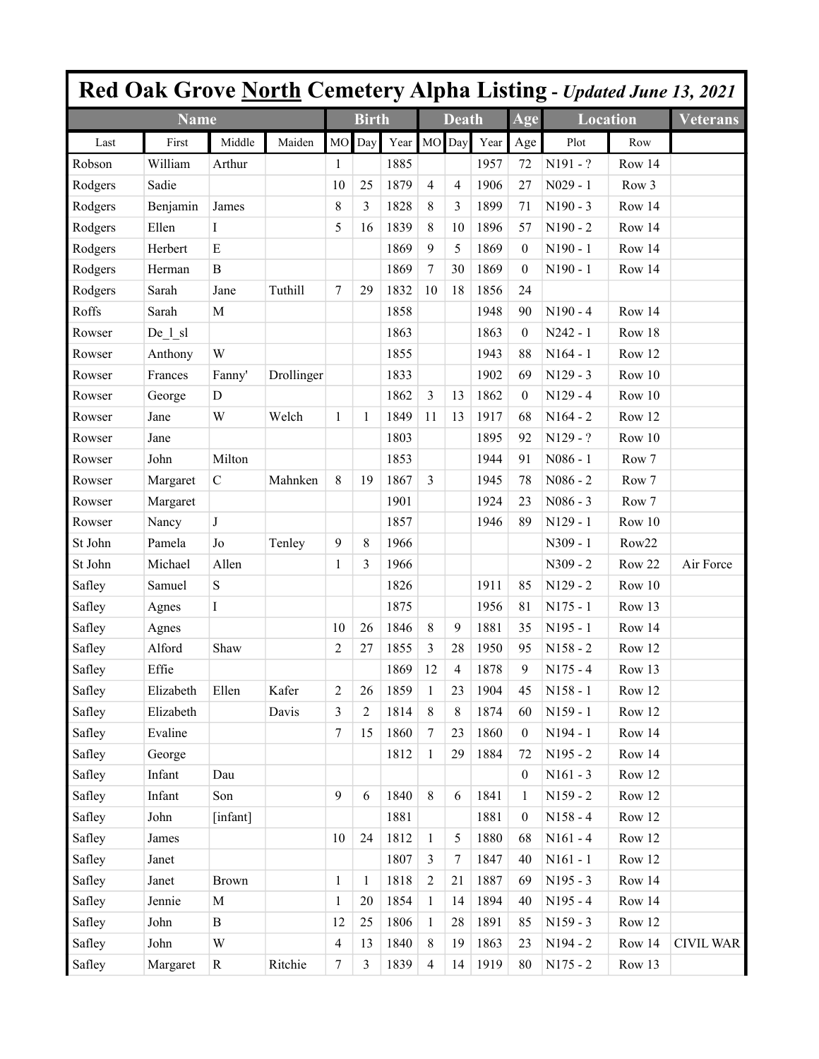|         |             |               |            |                  |                |             |                |              |      |                  |                 |        | <b>Red Oak Grove North Cemetery Alpha Listing - Updated June 13, 2021</b> |
|---------|-------------|---------------|------------|------------------|----------------|-------------|----------------|--------------|------|------------------|-----------------|--------|---------------------------------------------------------------------------|
|         | <b>Name</b> |               |            |                  | <b>Birth</b>   |             |                | <b>Death</b> |      | Age              | <b>Location</b> |        | <b>Veterans</b>                                                           |
| Last    | First       | Middle        | Maiden     | <b>MO</b>        | Day            | Year MO Day |                |              | Year | Age              | Plot            | Row    |                                                                           |
| Robson  | William     | Arthur        |            | 1                |                | 1885        |                |              | 1957 | 72               | $N191 - ?$      | Row 14 |                                                                           |
| Rodgers | Sadie       |               |            | 10               | 25             | 1879        | $\overline{4}$ | 4            | 1906 | 27               | $N029 - 1$      | Row 3  |                                                                           |
| Rodgers | Benjamin    | James         |            | 8                | 3              | 1828        | 8              | 3            | 1899 | 71               | $N190 - 3$      | Row 14 |                                                                           |
| Rodgers | Ellen       | I             |            | 5                | 16             | 1839        | 8              | 10           | 1896 | 57               | $N190 - 2$      | Row 14 |                                                                           |
| Rodgers | Herbert     | E             |            |                  |                | 1869        | 9              | 5            | 1869 | $\boldsymbol{0}$ | $N190 - 1$      | Row 14 |                                                                           |
| Rodgers | Herman      | B             |            |                  |                | 1869        | $\overline{7}$ | 30           | 1869 | $\boldsymbol{0}$ | N190 - 1        | Row 14 |                                                                           |
| Rodgers | Sarah       | Jane          | Tuthill    | $\tau$           | 29             | 1832        | 10             | 18           | 1856 | 24               |                 |        |                                                                           |
| Roffs   | Sarah       | $\mathbf M$   |            |                  |                | 1858        |                |              | 1948 | 90               | $N190 - 4$      | Row 14 |                                                                           |
| Rowser  | $De_l_s$    |               |            |                  |                | 1863        |                |              | 1863 | $\mathbf{0}$     | $N242 - 1$      | Row 18 |                                                                           |
| Rowser  | Anthony     | W             |            |                  |                | 1855        |                |              | 1943 | 88               | $N164 - 1$      | Row 12 |                                                                           |
| Rowser  | Frances     | Fanny'        | Drollinger |                  |                | 1833        |                |              | 1902 | 69               | $N129 - 3$      | Row 10 |                                                                           |
| Rowser  | George      | D             |            |                  |                | 1862        | 3              | 13           | 1862 | $\boldsymbol{0}$ | $N129 - 4$      | Row 10 |                                                                           |
| Rowser  | Jane        | W             | Welch      | $\mathbf{1}$     | 1              | 1849        | 11             | 13           | 1917 | 68               | $N164 - 2$      | Row 12 |                                                                           |
| Rowser  | Jane        |               |            |                  |                | 1803        |                |              | 1895 | 92               | N129 - ?        | Row 10 |                                                                           |
| Rowser  | John        | Milton        |            |                  |                | 1853        |                |              | 1944 | 91               | $N086 - 1$      | Row 7  |                                                                           |
| Rowser  | Margaret    | $\mathcal{C}$ | Mahnken    | 8                | 19             | 1867        | 3              |              | 1945 | 78               | $N086 - 2$      | Row 7  |                                                                           |
| Rowser  | Margaret    |               |            |                  |                | 1901        |                |              | 1924 | 23               | $N086 - 3$      | Row 7  |                                                                           |
| Rowser  | Nancy       | $\bf J$       |            |                  |                | 1857        |                |              | 1946 | 89               | $N129 - 1$      | Row 10 |                                                                           |
| St John | Pamela      | Jo            | Tenley     | 9                | 8              | 1966        |                |              |      |                  | N309 - 1        | Row22  |                                                                           |
| St John | Michael     | Allen         |            | 1                | 3              | 1966        |                |              |      |                  | $N309 - 2$      | Row 22 | Air Force                                                                 |
| Safley  | Samuel      | ${\bf S}$     |            |                  |                | 1826        |                |              | 1911 | 85               | $N129 - 2$      | Row 10 |                                                                           |
| Safley  | Agnes       | I             |            |                  |                | 1875        |                |              | 1956 | 81               | $N175 - 1$      | Row 13 |                                                                           |
| Safley  | Agnes       |               |            | 10               | 26             | 1846        | 8              | 9            | 1881 | 35               | $N195 - 1$      | Row 14 |                                                                           |
| Safley  | Alford      | Shaw          |            | $\overline{2}$   | 27             | 1855        | 3              | 28           | 1950 | 95               | $N158 - 2$      | Row 12 |                                                                           |
| Safley  | Effie       |               |            |                  |                | 1869        | 12             | 4            | 1878 | 9                | $N175 - 4$      | Row 13 |                                                                           |
| Safley  | Elizabeth   | Ellen         | Kafer      | 2                | 26             | 1859        | $\mathbf{1}$   | 23           | 1904 | 45               | $N158 - 1$      | Row 12 |                                                                           |
| Safley  | Elizabeth   |               | Davis      | 3                | $\overline{2}$ | 1814        | $\,8\,$        | 8            | 1874 | 60               | $N159 - 1$      | Row 12 |                                                                           |
| Safley  | Evaline     |               |            | $\tau$           | 15             | 1860        | $\tau$         | 23           | 1860 | $\mathbf{0}$     | N194 - 1        | Row 14 |                                                                           |
| Safley  | George      |               |            |                  |                | 1812        | $\mathbf{1}$   | 29           | 1884 | 72               | $N195 - 2$      | Row 14 |                                                                           |
| Safley  | Infant      | Dau           |            |                  |                |             |                |              |      | $\boldsymbol{0}$ | $N161 - 3$      | Row 12 |                                                                           |
| Safley  | Infant      | Son           |            | 9                | 6              | 1840        | $\,8\,$        | 6            | 1841 | $\mathbf{1}$     | $N159 - 2$      | Row 12 |                                                                           |
| Safley  | John        | [infant]      |            |                  |                | 1881        |                |              | 1881 | $\boldsymbol{0}$ | $N158 - 4$      | Row 12 |                                                                           |
| Safley  | James       |               |            | 10               | 24             | 1812        | $\mathbf{1}$   | 5            | 1880 | 68               | $N161 - 4$      | Row 12 |                                                                           |
| Safley  | Janet       |               |            |                  |                | 1807        | 3              | $\tau$       | 1847 | 40               | $N161 - 1$      | Row 12 |                                                                           |
| Safley  | Janet       | <b>Brown</b>  |            | $\mathbf{1}$     | $\mathbf{1}$   | 1818        | $\overline{2}$ | 21           | 1887 | 69               | $N195 - 3$      | Row 14 |                                                                           |
| Safley  | Jennie      | $\mathbf M$   |            | $\mathbf{1}$     | 20             | 1854        | $\mathbf{1}$   | 14           | 1894 | 40               | $N195 - 4$      | Row 14 |                                                                           |
| Safley  | John        | $\bf{B}$      |            | 12               | 25             | 1806        | $\mathbf{1}$   | 28           | 1891 | 85               | $N159 - 3$      | Row 12 |                                                                           |
| Safley  | John        | W             |            | $\overline{4}$   | 13             | 1840        | $\,8\,$        | 19           | 1863 | 23               | $N194 - 2$      | Row 14 | <b>CIVIL WAR</b>                                                          |
| Safley  | Margaret    | $\mathbf R$   | Ritchie    | $\boldsymbol{7}$ | 3              | 1839        | $\overline{4}$ | 14           | 1919 | 80               | $N175 - 2$      | Row 13 |                                                                           |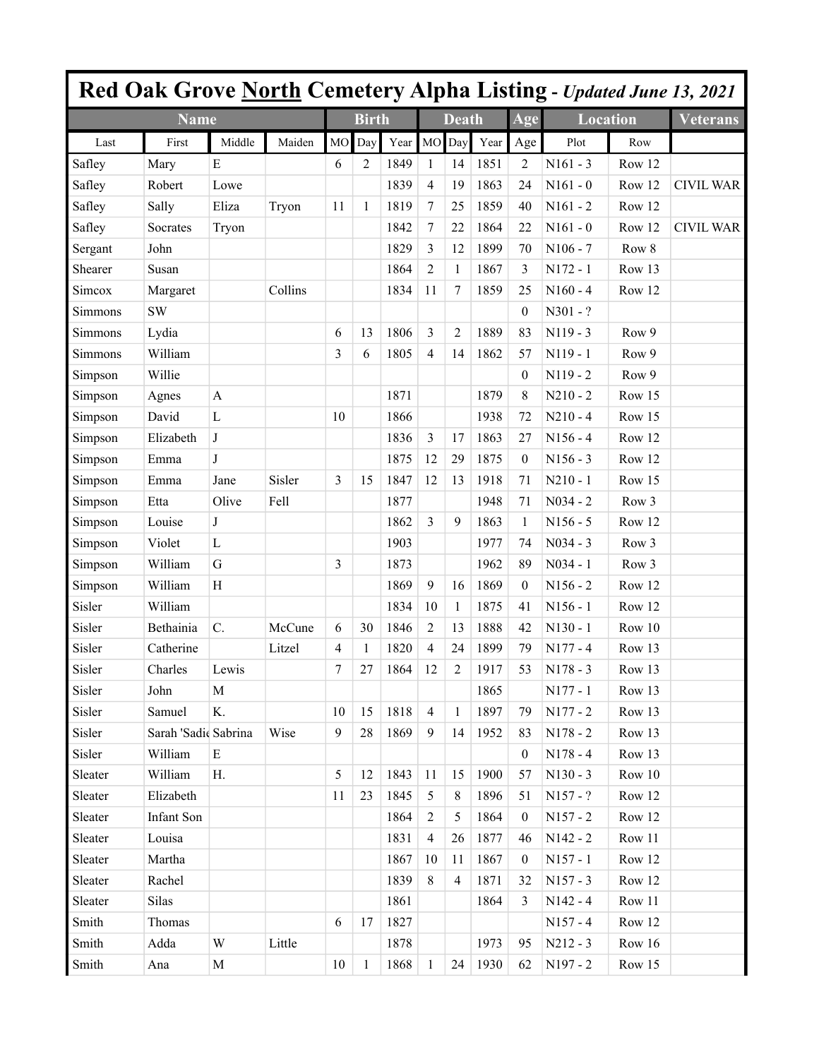|         |                      |             |         |           |              |      |                  |                |      |                  |                 |        | <b>Red Oak Grove North Cemetery Alpha Listing - Updated June 13, 2021</b> |
|---------|----------------------|-------------|---------|-----------|--------------|------|------------------|----------------|------|------------------|-----------------|--------|---------------------------------------------------------------------------|
|         | <b>Name</b>          |             |         |           | <b>Birth</b> |      |                  | <b>Death</b>   |      | Age              | <b>Location</b> |        | Veterans                                                                  |
| Last    | First                | Middle      | Maiden  | <b>MO</b> | Day          | Year | MO Day           |                | Year | Age              | Plot            | Row    |                                                                           |
| Safley  | Mary                 | E           |         | 6         | 2            | 1849 | $\mathbf{1}$     | 14             | 1851 | 2                | $N161 - 3$      | Row 12 |                                                                           |
| Safley  | Robert               | Lowe        |         |           |              | 1839 | $\overline{4}$   | 19             | 1863 | 24               | $N161 - 0$      | Row 12 | <b>CIVIL WAR</b>                                                          |
| Safley  | Sally                | Eliza       | Tryon   | 11        | 1            | 1819 | $\boldsymbol{7}$ | 25             | 1859 | 40               | $N161 - 2$      | Row 12 |                                                                           |
| Safley  | Socrates             | Tryon       |         |           |              | 1842 | $\tau$           | 22             | 1864 | 22               | $N161 - 0$      | Row 12 | <b>CIVIL WAR</b>                                                          |
| Sergant | John                 |             |         |           |              | 1829 | 3                | 12             | 1899 | 70               | $N106 - 7$      | Row 8  |                                                                           |
| Shearer | Susan                |             |         |           |              | 1864 | $\overline{2}$   | 1              | 1867 | 3                | $N172 - 1$      | Row 13 |                                                                           |
| Simcox  | Margaret             |             | Collins |           |              | 1834 | 11               | 7              | 1859 | 25               | $N160 - 4$      | Row 12 |                                                                           |
| Simmons | <b>SW</b>            |             |         |           |              |      |                  |                |      | $\mathbf{0}$     | $N301 - ?$      |        |                                                                           |
| Simmons | Lydia                |             |         | 6         | 13           | 1806 | $\overline{3}$   | 2              | 1889 | 83               | $N119 - 3$      | Row 9  |                                                                           |
| Simmons | William              |             |         | 3         | 6            | 1805 | $\overline{4}$   | 14             | 1862 | 57               | N119 - 1        | Row 9  |                                                                           |
| Simpson | Willie               |             |         |           |              |      |                  |                |      | $\boldsymbol{0}$ | $N119 - 2$      | Row 9  |                                                                           |
| Simpson | Agnes                | A           |         |           |              | 1871 |                  |                | 1879 | 8                | $N210 - 2$      | Row 15 |                                                                           |
| Simpson | David                | L           |         | 10        |              | 1866 |                  |                | 1938 | 72               | $N210 - 4$      | Row 15 |                                                                           |
| Simpson | Elizabeth            | $\bf J$     |         |           |              | 1836 | $\overline{3}$   | 17             | 1863 | 27               | $N156 - 4$      | Row 12 |                                                                           |
| Simpson | Emma                 | $\bf J$     |         |           |              | 1875 | 12               | 29             | 1875 | $\boldsymbol{0}$ | $N156 - 3$      | Row 12 |                                                                           |
| Simpson | Emma                 | Jane        | Sisler  | 3         | 15           | 1847 | 12               | 13             | 1918 | 71               | $N210 - 1$      | Row 15 |                                                                           |
| Simpson | Etta                 | Olive       | Fell    |           |              | 1877 |                  |                | 1948 | 71               | $N034 - 2$      | Row 3  |                                                                           |
| Simpson | Louise               | $\bf J$     |         |           |              | 1862 | $\overline{3}$   | 9              | 1863 | $\mathbf{1}$     | $N156 - 5$      | Row 12 |                                                                           |
| Simpson | Violet               | L           |         |           |              | 1903 |                  |                | 1977 | 74               | $N034 - 3$      | Row 3  |                                                                           |
| Simpson | William              | $\mathbf G$ |         | 3         |              | 1873 |                  |                | 1962 | 89               | $N034 - 1$      | Row 3  |                                                                           |
| Simpson | William              | $H_{\rm}$   |         |           |              | 1869 | $\overline{9}$   | 16             | 1869 | $\mathbf{0}$     | $N156 - 2$      | Row 12 |                                                                           |
| Sisler  | William              |             |         |           |              | 1834 | 10               | 1              | 1875 | 41               | $N156 - 1$      | Row 12 |                                                                           |
| Sisler  | Bethainia            | C.          | McCune  | 6         | 30           | 1846 | 2                | 13             | 1888 | 42               | $N130 - 1$      | Row 10 |                                                                           |
| Sisler  | Catherine            |             | Litzel  | 4         | 1            | 1820 | $\overline{4}$   | 24             | 1899 | 79               | $N177 - 4$      | Row 13 |                                                                           |
| Sisler  | Charles              | Lewis       |         | 7         | 27           | 1864 | 12               | 2              | 1917 | 53               | $N178 - 3$      | Row 13 |                                                                           |
| Sisler  | John                 | M           |         |           |              |      |                  |                | 1865 |                  | $N177 - 1$      | Row 13 |                                                                           |
| Sisler  | Samuel               | K.          |         | 10        | 15           | 1818 | $\overline{4}$   | 1              | 1897 | 79               | $N177 - 2$      | Row 13 |                                                                           |
| Sisler  | Sarah 'Sadic Sabrina |             | Wise    | 9         | 28           | 1869 | 9                | 14             | 1952 | 83               | $N178 - 2$      | Row 13 |                                                                           |
| Sisler  | William              | E           |         |           |              |      |                  |                |      | $\theta$         | $N178 - 4$      | Row 13 |                                                                           |
| Sleater | William              | H.          |         | 5         | 12           | 1843 | 11               | 15             | 1900 | 57               | $N130 - 3$      | Row 10 |                                                                           |
| Sleater | Elizabeth            |             |         | 11        | 23           | 1845 | 5                | 8              | 1896 | 51               | $N157 - ?$      | Row 12 |                                                                           |
| Sleater | Infant Son           |             |         |           |              | 1864 | 2                | 5              | 1864 | $\overline{0}$   | $N157 - 2$      | Row 12 |                                                                           |
| Sleater | Louisa               |             |         |           |              | 1831 | $\overline{4}$   | 26             | 1877 | 46               | $N142 - 2$      | Row 11 |                                                                           |
| Sleater | Martha               |             |         |           |              | 1867 | 10               | 11             | 1867 | $\overline{0}$   | $N157 - 1$      | Row 12 |                                                                           |
| Sleater | Rachel               |             |         |           |              | 1839 | 8                | $\overline{4}$ | 1871 | 32               | $N157 - 3$      | Row 12 |                                                                           |
| Sleater | Silas                |             |         |           |              | 1861 |                  |                | 1864 | 3                | $N142 - 4$      | Row 11 |                                                                           |
| Smith   | Thomas               |             |         | 6         | 17           | 1827 |                  |                |      |                  | $N157 - 4$      | Row 12 |                                                                           |
| Smith   | Adda                 | W           | Little  |           |              | 1878 |                  |                | 1973 | 95               | $N212 - 3$      | Row 16 |                                                                           |
| Smith   | Ana                  | M           |         | 10        | 1            | 1868 | 1                | 24             | 1930 | 62               | N197 - 2        | Row 15 |                                                                           |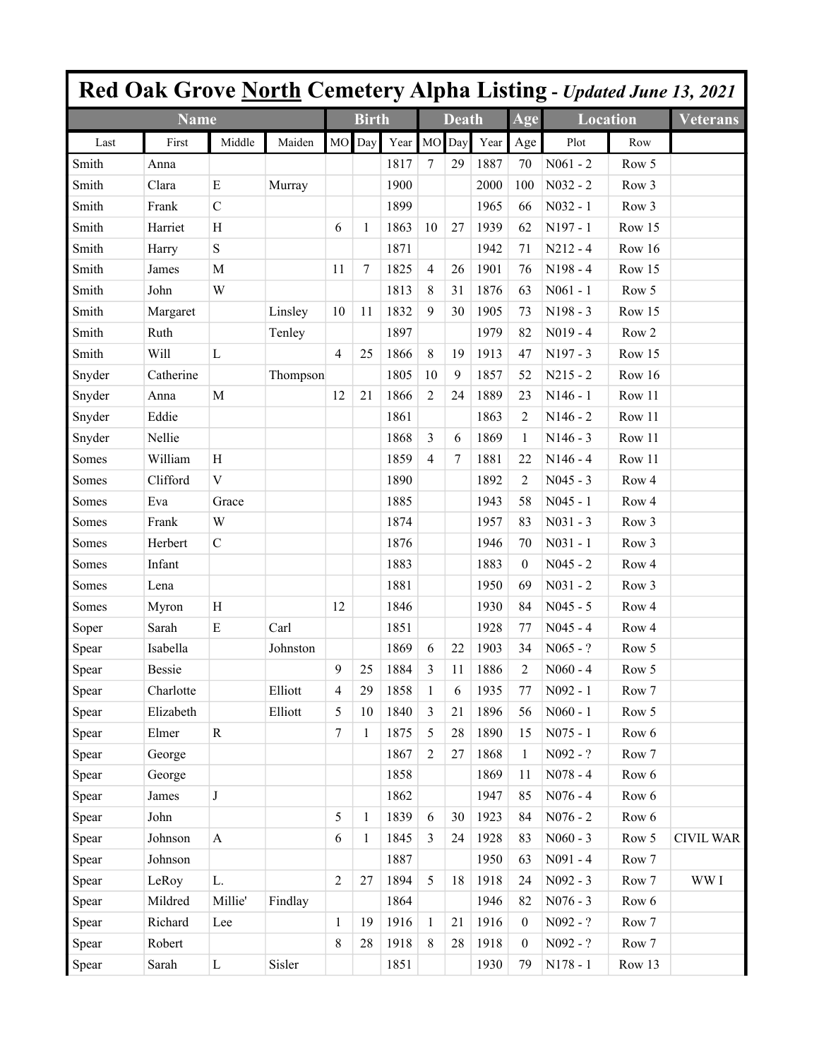|        |               |                           |          |                  |              |      |                |              |      |                  |                 |                  | <b>Red Oak Grove North Cemetery Alpha Listing - Updated June 13, 2021</b> |
|--------|---------------|---------------------------|----------|------------------|--------------|------|----------------|--------------|------|------------------|-----------------|------------------|---------------------------------------------------------------------------|
|        | <b>Name</b>   |                           |          |                  | <b>Birth</b> |      |                | <b>Death</b> |      | Age              | <b>Location</b> |                  | <b>Veterans</b>                                                           |
| Last   | First         | Middle                    | Maiden   | <b>MO</b>        | Day          | Year | MO             | Day          | Year | Age              | Plot            | Row              |                                                                           |
| Smith  | Anna          |                           |          |                  |              | 1817 | 7              | 29           | 1887 | 70               | $N061 - 2$      | Row 5            |                                                                           |
| Smith  | Clara         | E                         | Murray   |                  |              | 1900 |                |              | 2000 | 100              | $N032 - 2$      | Row 3            |                                                                           |
| Smith  | Frank         | $\mathcal{C}$             |          |                  |              | 1899 |                |              | 1965 | 66               | $N032 - 1$      | Row 3            |                                                                           |
| Smith  | Harriet       | H                         |          | 6                | 1            | 1863 | 10             | 27           | 1939 | 62               | $N197 - 1$      | Row 15           |                                                                           |
| Smith  | Harry         | $\mathbf S$               |          |                  |              | 1871 |                |              | 1942 | 71               | $N212 - 4$      | Row 16           |                                                                           |
| Smith  | James         | M                         |          | 11               | 7            | 1825 | $\overline{4}$ | 26           | 1901 | 76               | $N198 - 4$      | Row 15           |                                                                           |
| Smith  | John          | W                         |          |                  |              | 1813 | 8              | 31           | 1876 | 63               | $N061 - 1$      | Row 5            |                                                                           |
| Smith  | Margaret      |                           | Linsley  | 10               | 11           | 1832 | 9              | 30           | 1905 | 73               | N198 - 3        | Row 15           |                                                                           |
| Smith  | Ruth          |                           | Tenley   |                  |              | 1897 |                |              | 1979 | 82               | $N019 - 4$      | Row <sub>2</sub> |                                                                           |
| Smith  | Will          | $\mathbf{L}$              |          | $\overline{4}$   | 25           | 1866 | $\,$ 8 $\,$    | 19           | 1913 | 47               | N197 - 3        | Row 15           |                                                                           |
| Snyder | Catherine     |                           | Thompson |                  |              | 1805 | 10             | 9            | 1857 | 52               | $N215 - 2$      | Row 16           |                                                                           |
| Snyder | Anna          | M                         |          | 12               | 21           | 1866 | $\overline{c}$ | 24           | 1889 | 23               | $N146 - 1$      | Row 11           |                                                                           |
| Snyder | Eddie         |                           |          |                  |              | 1861 |                |              | 1863 | 2                | $N146 - 2$      | Row 11           |                                                                           |
| Snyder | Nellie        |                           |          |                  |              | 1868 | 3              | 6            | 1869 | 1                | $N146 - 3$      | Row 11           |                                                                           |
| Somes  | William       | H                         |          |                  |              | 1859 | 4              | 7            | 1881 | 22               | $N146 - 4$      | Row 11           |                                                                           |
| Somes  | Clifford      | V                         |          |                  |              | 1890 |                |              | 1892 | $\overline{2}$   | $N045 - 3$      | Row <sub>4</sub> |                                                                           |
| Somes  | Eva           | Grace                     |          |                  |              | 1885 |                |              | 1943 | 58               | $N045 - 1$      | Row <sub>4</sub> |                                                                           |
| Somes  | Frank         | W                         |          |                  |              | 1874 |                |              | 1957 | 83               | $N031 - 3$      | Row 3            |                                                                           |
| Somes  | Herbert       | $\mathbf C$               |          |                  |              | 1876 |                |              | 1946 | 70               | $N031 - 1$      | Row 3            |                                                                           |
| Somes  | Infant        |                           |          |                  |              | 1883 |                |              | 1883 | $\theta$         | $N045 - 2$      | Row <sub>4</sub> |                                                                           |
| Somes  | Lena          |                           |          |                  |              | 1881 |                |              | 1950 | 69               | $N031 - 2$      | Row 3            |                                                                           |
| Somes  | Myron         | H                         |          | 12               |              | 1846 |                |              | 1930 | 84               | $N045 - 5$      | Row <sub>4</sub> |                                                                           |
| Soper  | Sarah         | E                         | Carl     |                  |              | 1851 |                |              | 1928 | 77               | $N045 - 4$      | Row <sub>4</sub> |                                                                           |
| Spear  | Isabella      |                           | Johnston |                  |              | 1869 | 6              | 22           | 1903 | 34               | $N065 - ?$      | Row 5            |                                                                           |
| Spear  | <b>Bessie</b> |                           |          | 9                | 25           | 1884 | 3              | 11           | 1886 | 2                | $N060 - 4$      | Row 5            |                                                                           |
| Spear  | Charlotte     |                           | Elliott  | $\overline{4}$   | 29           | 1858 | $\mathbf{1}$   | 6            | 1935 | 77               | $N092 - 1$      | Row 7            |                                                                           |
| Spear  | Elizabeth     |                           | Elliott  | 5                | 10           | 1840 | 3              | 21           | 1896 | 56               | $N060 - 1$      | Row 5            |                                                                           |
| Spear  | Elmer         | $\mathbf R$               |          | $\boldsymbol{7}$ | 1            | 1875 | 5              | 28           | 1890 | 15               | $N075 - 1$      | Row 6            |                                                                           |
| Spear  | George        |                           |          |                  |              | 1867 | $\overline{2}$ | 27           | 1868 | 1                | $N092 - ?$      | Row 7            |                                                                           |
| Spear  | George        |                           |          |                  |              | 1858 |                |              | 1869 | 11               | $N078 - 4$      | Row 6            |                                                                           |
| Spear  | James         | $\bf J$                   |          |                  |              | 1862 |                |              | 1947 | 85               | $N076 - 4$      | Row 6            |                                                                           |
| Spear  | John          |                           |          | 5                | 1            | 1839 | 6              | 30           | 1923 | 84               | $N076 - 2$      | Row 6            |                                                                           |
| Spear  | Johnson       | $\boldsymbol{\mathsf{A}}$ |          | 6                | 1            | 1845 | 3              | 24           | 1928 | 83               | $N060 - 3$      | Row 5            | <b>CIVIL WAR</b>                                                          |
| Spear  | Johnson       |                           |          |                  |              | 1887 |                |              | 1950 | 63               | $N091 - 4$      | Row 7            |                                                                           |
| Spear  | LeRoy         | L.                        |          | $\overline{2}$   | 27           | 1894 | 5              | 18           | 1918 | 24               | $N092 - 3$      | Row 7            | WW I                                                                      |
| Spear  | Mildred       | Millie'                   | Findlay  |                  |              | 1864 |                |              | 1946 | 82               | $N076 - 3$      | Row 6            |                                                                           |
| Spear  | Richard       | Lee                       |          | $\mathbf{1}$     | 19           | 1916 | $\mathbf{1}$   | 21           | 1916 | $\boldsymbol{0}$ | N092 - ?        | Row 7            |                                                                           |
| Spear  | Robert        |                           |          | $8\,$            | 28           | 1918 | $\,8\,$        | 28           | 1918 | $\boldsymbol{0}$ | N092 - ?        | Row 7            |                                                                           |
| Spear  | Sarah         | $\mathbf L$               | Sisler   |                  |              | 1851 |                |              | 1930 | 79               | $N178 - 1$      | Row 13           |                                                                           |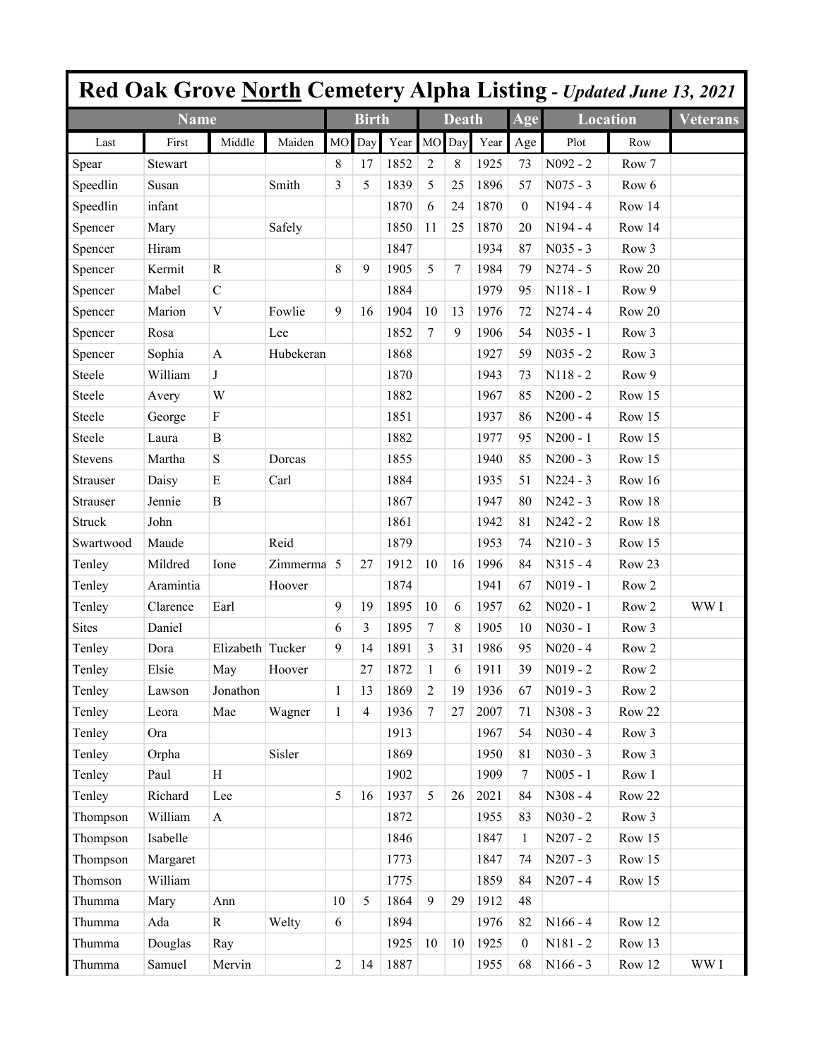|                 |             |                  |           |                |                |      |                |                 |      |                         | Red Oak Grove North Cemetery Alpha Listing - Updated June 13, 2021 |                  |                 |
|-----------------|-------------|------------------|-----------|----------------|----------------|------|----------------|-----------------|------|-------------------------|--------------------------------------------------------------------|------------------|-----------------|
|                 | <b>Name</b> |                  |           |                | <b>Birth</b>   |      |                | <b>Death</b>    |      | $\overline{\text{Age}}$ | <b>Location</b>                                                    |                  | <b>Veterans</b> |
| Last            | First       | Middle           | Maiden    | M <sub>O</sub> | Day            | Year | MO             | Day             | Year | Age                     | Plot                                                               | Row              |                 |
| Spear           | Stewart     |                  |           | 8              | 17             | 1852 | 2              | 8               | 1925 | 73                      | $N092 - 2$                                                         | Row 7            |                 |
| Speedlin        | Susan       |                  | Smith     | 3              | 5              | 1839 | 5              | 25              | 1896 | 57                      | $N075 - 3$                                                         | Row 6            |                 |
| Speedlin        | infant      |                  |           |                |                | 1870 | 6              | 24              | 1870 | $\theta$                | $N194 - 4$                                                         | Row 14           |                 |
| Spencer         | Mary        |                  | Safely    |                |                | 1850 | 11             | 25              | 1870 | 20                      | $N194 - 4$                                                         | Row 14           |                 |
| Spencer         | Hiram       |                  |           |                |                | 1847 |                |                 | 1934 | 87                      | $N035 - 3$                                                         | Row 3            |                 |
| Spencer         | Kermit      | $\mathbb{R}$     |           | 8              | 9              | 1905 | 5              | $7\phantom{.0}$ | 1984 | 79                      | $N274 - 5$                                                         | Row 20           |                 |
| Spencer         | Mabel       | $\mathcal{C}$    |           |                |                | 1884 |                |                 | 1979 | 95                      | $N118 - 1$                                                         | Row 9            |                 |
| Spencer         | Marion      | $\mathbf V$      | Fowlie    | 9              | 16             | 1904 | 10             | 13              | 1976 | 72                      | $N274 - 4$                                                         | Row 20           |                 |
| Spencer         | Rosa        |                  | Lee       |                |                | 1852 | $\overline{7}$ | 9               | 1906 | 54                      | $N035 - 1$                                                         | Row 3            |                 |
| Spencer         | Sophia      | $\mathbf{A}$     | Hubekeran |                |                | 1868 |                |                 | 1927 | 59                      | $N035 - 2$                                                         | Row 3            |                 |
| Steele          | William     | J                |           |                |                | 1870 |                |                 | 1943 | 73                      | $N118 - 2$                                                         | Row 9            |                 |
| Steele          | Avery       | W                |           |                |                | 1882 |                |                 | 1967 | 85                      | $N200 - 2$                                                         | Row 15           |                 |
| Steele          | George      | F                |           |                |                | 1851 |                |                 | 1937 | 86                      | $N200 - 4$                                                         | Row 15           |                 |
| Steele          | Laura       | B                |           |                |                | 1882 |                |                 | 1977 | 95                      | $N200 - 1$                                                         | Row 15           |                 |
| <b>Stevens</b>  | Martha      | ${\bf S}$        | Dorcas    |                |                | 1855 |                |                 | 1940 | 85                      | $N200 - 3$                                                         | Row 15           |                 |
| Strauser        | Daisy       | E                | Carl      |                |                | 1884 |                |                 | 1935 | 51                      | $N224 - 3$                                                         | Row 16           |                 |
| <b>Strauser</b> | Jennie      | $\mathbf B$      |           |                |                | 1867 |                |                 | 1947 | 80                      | $N242 - 3$                                                         | Row 18           |                 |
| <b>Struck</b>   | John        |                  |           |                |                | 1861 |                |                 | 1942 | 81                      | $N242 - 2$                                                         | Row 18           |                 |
| Swartwood       | Maude       |                  | Reid      |                |                | 1879 |                |                 | 1953 | 74                      | $N210 - 3$                                                         | Row 15           |                 |
| Tenley          | Mildred     | Ione             | Zimmerma  | 5              | 27             | 1912 | 10             | 16              | 1996 | 84                      | $N315 - 4$                                                         | Row 23           |                 |
| Tenley          | Aramintia   |                  | Hoover    |                |                | 1874 |                |                 | 1941 | 67                      | $N019 - 1$                                                         | Row <sub>2</sub> |                 |
| Tenley          | Clarence    | Earl             |           | 9              | 19             | 1895 | 10             | 6               | 1957 | 62                      | $N020 - 1$                                                         | Row <sub>2</sub> | WW I            |
| <b>Sites</b>    | Daniel      |                  |           | 6              | 3              | 1895 | 7              | 8               | 1905 | 10                      | $N030 - 1$                                                         | Row 3            |                 |
| Tenley          | Dora        | Elizabeth Tucker |           | 9              | 14             | 1891 | 3              | 31              | 1986 | 95                      | $N020 - 4$                                                         | Row 2            |                 |
| Tenley          | Elsie       | May              | Hoover    |                | 27             | 1872 | 1              | 6               | 1911 | 39                      | $N019 - 2$                                                         | Row 2            |                 |
| Tenley          | Lawson      | Jonathon         |           | 1              | 13             | 1869 | $\overline{2}$ | 19              | 1936 | 67                      | $N019 - 3$                                                         | Row 2            |                 |
| Tenley          | Leora       | Mae              | Wagner    | $\mathbf{1}$   | $\overline{4}$ | 1936 | $\tau$         | 27              | 2007 | 71                      | N308 - 3                                                           | Row 22           |                 |
| Tenley          | Ora         |                  |           |                |                | 1913 |                |                 | 1967 | 54                      | $N030 - 4$                                                         | Row 3            |                 |
| Tenley          | Orpha       |                  | Sisler    |                |                | 1869 |                |                 | 1950 | 81                      | $N030 - 3$                                                         | Row 3            |                 |
| Tenley          | Paul        | H                |           |                |                | 1902 |                |                 | 1909 | 7                       | $N005 - 1$                                                         | Row 1            |                 |
| Tenley          | Richard     | Lee              |           | 5              | 16             | 1937 | 5              | 26              | 2021 | 84                      | $N308 - 4$                                                         | Row 22           |                 |
| Thompson        | William     | $\mathbf{A}$     |           |                |                | 1872 |                |                 | 1955 | 83                      | $N030 - 2$                                                         | Row 3            |                 |
| Thompson        | Isabelle    |                  |           |                |                | 1846 |                |                 | 1847 | $\mathbf{1}$            | $N207 - 2$                                                         | Row 15           |                 |
| Thompson        | Margaret    |                  |           |                |                | 1773 |                |                 | 1847 | 74                      | $N207 - 3$                                                         | Row 15           |                 |
| Thomson         | William     |                  |           |                |                | 1775 |                |                 | 1859 | 84                      | $N207 - 4$                                                         | Row 15           |                 |
| Thumma          | Mary        | Ann              |           | 10             | 5              | 1864 | 9              | 29              | 1912 | 48                      |                                                                    |                  |                 |
| Thumma          | Ada         | $\mathbf R$      | Welty     | 6              |                | 1894 |                |                 | 1976 | 82                      | $N166 - 4$                                                         | Row 12           |                 |
| Thumma          | Douglas     | Ray              |           |                |                | 1925 | 10             | 10              | 1925 | $\mathbf{0}$            | $N181 - 2$                                                         | Row 13           |                 |
| Thumma          | Samuel      | Mervin           |           | $\overline{2}$ | 14             | 1887 |                |                 | 1955 | 68                      | $N166 - 3$                                                         | Row 12           | WW I            |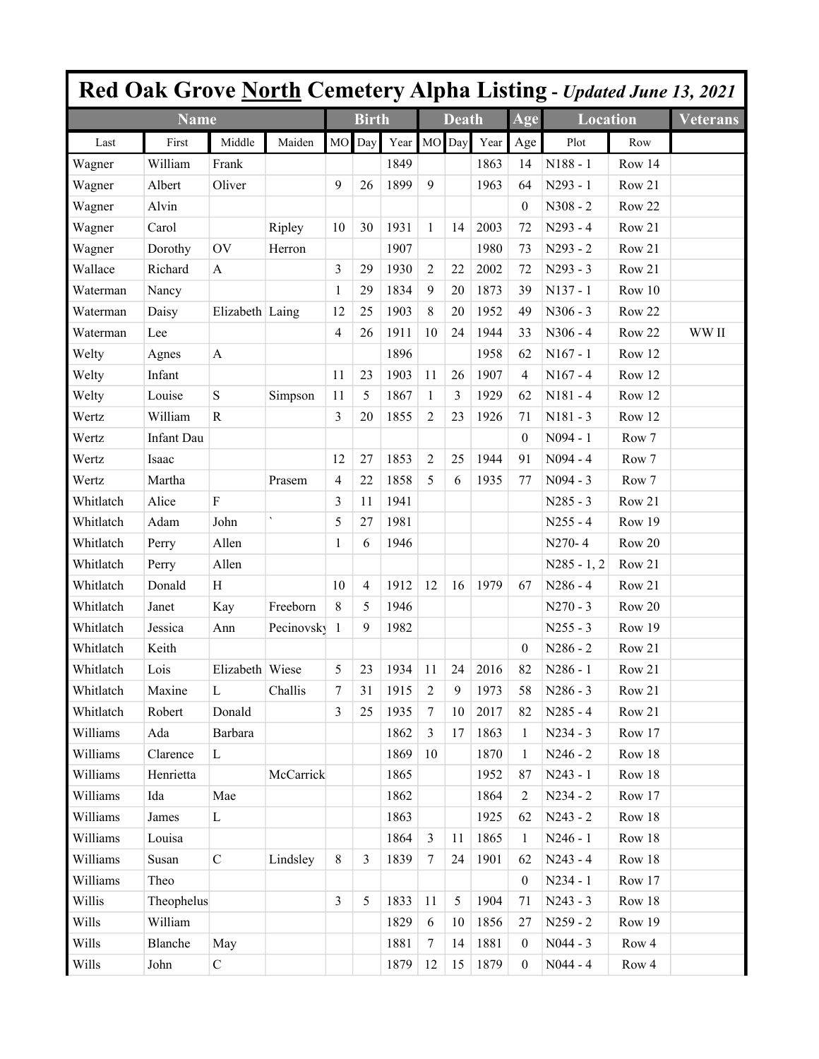|           |                   |                 |                          |                |                |      |                |              |      |                  | Red Oak Grove North Cemetery Alpha Listing - Updated June 13, 2021 |        |                 |
|-----------|-------------------|-----------------|--------------------------|----------------|----------------|------|----------------|--------------|------|------------------|--------------------------------------------------------------------|--------|-----------------|
|           | <b>Name</b>       |                 |                          |                | <b>Birth</b>   |      |                | <b>Death</b> |      | Age              | <b>Location</b>                                                    |        | <b>Veterans</b> |
| Last      | First             | Middle          | Maiden                   | <b>MO</b>      | Day            | Year | <b>MO</b>      | Day          | Year | Age              | Plot                                                               | Row    |                 |
| Wagner    | William           | Frank           |                          |                |                | 1849 |                |              | 1863 | 14               | $N188 - 1$                                                         | Row 14 |                 |
| Wagner    | Albert            | Oliver          |                          | 9              | 26             | 1899 | $\overline{9}$ |              | 1963 | 64               | N293 - 1                                                           | Row 21 |                 |
| Wagner    | Alvin             |                 |                          |                |                |      |                |              |      | $\boldsymbol{0}$ | N308 - 2                                                           | Row 22 |                 |
| Wagner    | Carol             |                 | Ripley                   | 10             | 30             | 1931 | $\mathbf{1}$   | 14           | 2003 | 72               | $N293 - 4$                                                         | Row 21 |                 |
| Wagner    | Dorothy           | OV              | Herron                   |                |                | 1907 |                |              | 1980 | 73               | $N293 - 2$                                                         | Row 21 |                 |
| Wallace   | Richard           | $\mathbf{A}$    |                          | 3              | 29             | 1930 | $\overline{2}$ | 22           | 2002 | 72               | $N293 - 3$                                                         | Row 21 |                 |
| Waterman  | Nancy             |                 |                          | 1              | 29             | 1834 | 9              | 20           | 1873 | 39               | $N137 - 1$                                                         | Row 10 |                 |
| Waterman  | Daisy             | Elizabeth Laing |                          | 12             | 25             | 1903 | 8              | 20           | 1952 | 49               | $N306 - 3$                                                         | Row 22 |                 |
| Waterman  | Lee               |                 |                          | 4              | 26             | 1911 | 10             | 24           | 1944 | 33               | $N306 - 4$                                                         | Row 22 | WW II           |
| Welty     | Agnes             | A               |                          |                |                | 1896 |                |              | 1958 | 62               | $N167 - 1$                                                         | Row 12 |                 |
| Welty     | Infant            |                 |                          | 11             | 23             | 1903 | 11             | 26           | 1907 | 4                | $N167 - 4$                                                         | Row 12 |                 |
| Welty     | Louise            | ${\bf S}$       | Simpson                  | 11             | 5              | 1867 | 1              | 3            | 1929 | 62               | $N181 - 4$                                                         | Row 12 |                 |
| Wertz     | William           | $\mathbb{R}$    |                          | 3              | 20             | 1855 | $\overline{c}$ | 23           | 1926 | 71               | $N181 - 3$                                                         | Row 12 |                 |
| Wertz     | <b>Infant Dau</b> |                 |                          |                |                |      |                |              |      | $\theta$         | N094 - 1                                                           | Row 7  |                 |
| Wertz     | Isaac             |                 |                          | 12             | 27             | 1853 | $\overline{2}$ | 25           | 1944 | 91               | $N094 - 4$                                                         | Row 7  |                 |
| Wertz     | Martha            |                 | Prasem                   | 4              | 22             | 1858 | 5              | 6            | 1935 | 77               | $N094 - 3$                                                         | Row 7  |                 |
| Whitlatch | Alice             | $\mathbf{F}$    |                          | 3              | 11             | 1941 |                |              |      |                  | $N285 - 3$                                                         | Row 21 |                 |
| Whitlatch | Adam              | John            | $\overline{\phantom{a}}$ | 5              | 27             | 1981 |                |              |      |                  | $N255 - 4$                                                         | Row 19 |                 |
| Whitlatch | Perry             | Allen           |                          | 1              | 6              | 1946 |                |              |      |                  | N270-4                                                             | Row 20 |                 |
| Whitlatch | Perry             | Allen           |                          |                |                |      |                |              |      |                  | $N285 - 1, 2$                                                      | Row 21 |                 |
| Whitlatch | Donald            | H               |                          | 10             | $\overline{4}$ | 1912 | 12             | 16           | 1979 | 67               | $N286 - 4$                                                         | Row 21 |                 |
| Whitlatch | Janet             | Kay             | Freeborn                 | 8              | 5              | 1946 |                |              |      |                  | $N270 - 3$                                                         | Row 20 |                 |
| Whitlatch | Jessica           | Ann             | Pecinovsky               | 1              | 9              | 1982 |                |              |      |                  | $N255 - 3$                                                         | Row 19 |                 |
| Whitlatch | Keith             |                 |                          |                |                |      |                |              |      | $\theta$         | $N286 - 2$                                                         | Row 21 |                 |
| Whitlatch | Lois              | Elizabeth Wiese |                          | 5              | 23             | 1934 | 11             | 24           | 2016 | 82               | $N286 - 1$                                                         | Row 21 |                 |
| Whitlatch | Maxine            | L               | Challis                  | 7              | 31             | 1915 | $\overline{2}$ | 9            | 1973 | 58               | $N286 - 3$                                                         | Row 21 |                 |
| Whitlatch | Robert            | Donald          |                          | 3              | 25             | 1935 | $\tau$         | 10           | 2017 | 82               | $N285 - 4$                                                         | Row 21 |                 |
| Williams  | Ada               | Barbara         |                          |                |                | 1862 | $\overline{3}$ | 17           | 1863 | 1                | $N234 - 3$                                                         | Row 17 |                 |
| Williams  | Clarence          | $\mathbf L$     |                          |                |                | 1869 | 10             |              | 1870 | 1                | $N246 - 2$                                                         | Row 18 |                 |
| Williams  | Henrietta         |                 | McCarrick                |                |                | 1865 |                |              | 1952 | 87               | $N243 - 1$                                                         | Row 18 |                 |
| Williams  | Ida               | Mae             |                          |                |                | 1862 |                |              | 1864 | $\overline{2}$   | $N234 - 2$                                                         | Row 17 |                 |
| Williams  | James             | $\mathbf L$     |                          |                |                | 1863 |                |              | 1925 | 62               | $N243 - 2$                                                         | Row 18 |                 |
| Williams  | Louisa            |                 |                          |                |                | 1864 | $\overline{3}$ | 11           | 1865 | 1                | $N246 - 1$                                                         | Row 18 |                 |
| Williams  | Susan             | $\mathsf C$     | Lindsley                 | 8              | 3              | 1839 | $\overline{7}$ | 24           | 1901 | 62               | $N243 - 4$                                                         | Row 18 |                 |
| Williams  | Theo              |                 |                          |                |                |      |                |              |      | $\mathbf{0}$     | $N234 - 1$                                                         | Row 17 |                 |
| Willis    | Theophelus        |                 |                          | $\overline{3}$ | 5              | 1833 | 11             | 5            | 1904 | 71               | $N243 - 3$                                                         | Row 18 |                 |
| Wills     | William           |                 |                          |                |                | 1829 | 6              | 10           | 1856 | 27               | $N259 - 2$                                                         | Row 19 |                 |
| Wills     | Blanche           | May             |                          |                |                | 1881 | $\tau$         | 14           | 1881 | $\boldsymbol{0}$ | $N044 - 3$                                                         | Row 4  |                 |
| Wills     | John              | $\mathbf C$     |                          |                |                | 1879 | 12             | 15           | 1879 | $\overline{0}$   | $N044 - 4$                                                         | Row 4  |                 |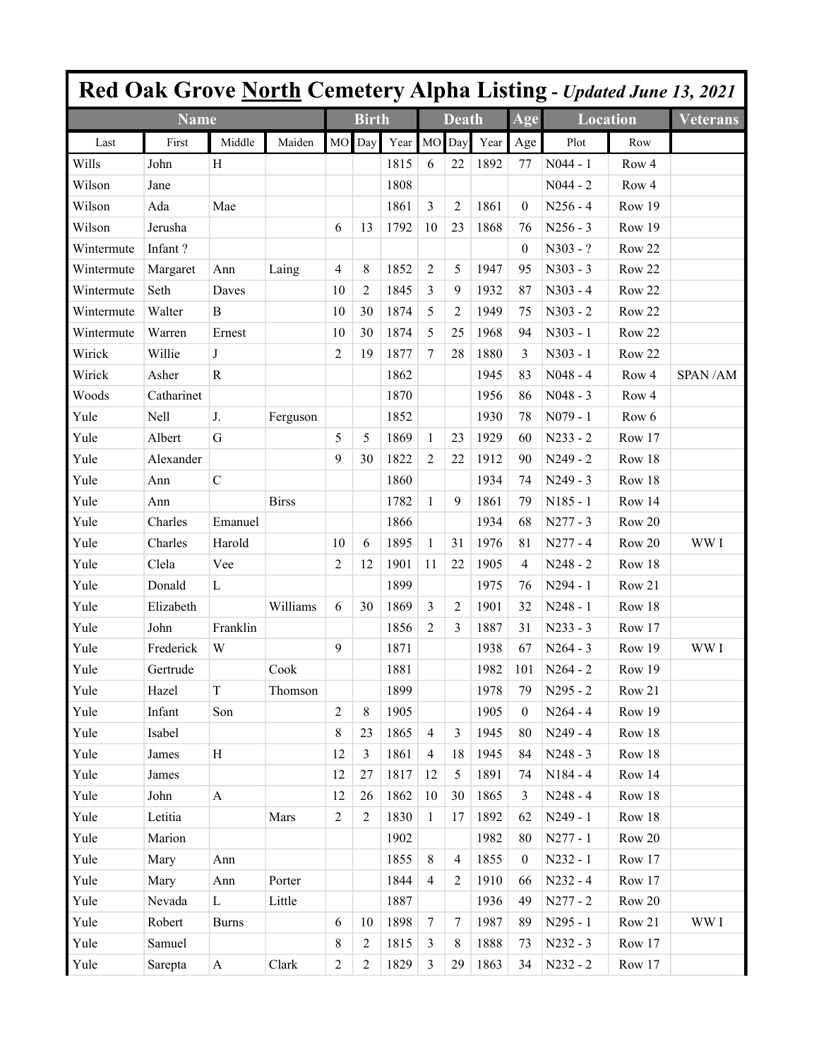|            |             |               |              |                |                |      |                  |                |      |                  |                 |                  | <b>Red Oak Grove North Cemetery Alpha Listing - Updated June 13, 2021</b> |
|------------|-------------|---------------|--------------|----------------|----------------|------|------------------|----------------|------|------------------|-----------------|------------------|---------------------------------------------------------------------------|
|            | <b>Name</b> |               |              |                | <b>Birth</b>   |      |                  | <b>Death</b>   |      | Age              | <b>Location</b> |                  | <b>Veterans</b>                                                           |
| Last       | First       | Middle        | Maiden       | <b>MO</b>      | Day            | Year | MO               | Day            | Year | Age              | Plot            | Row              |                                                                           |
| Wills      | John        | H             |              |                |                | 1815 | 6                | 22             | 1892 | 77               | $N044 - 1$      | Row 4            |                                                                           |
| Wilson     | Jane        |               |              |                |                | 1808 |                  |                |      |                  | $N044 - 2$      | Row <sub>4</sub> |                                                                           |
| Wilson     | Ada         | Mae           |              |                |                | 1861 | 3                | 2              | 1861 | $\theta$         | $N256 - 4$      | Row 19           |                                                                           |
| Wilson     | Jerusha     |               |              | 6              | 13             | 1792 | 10               | 23             | 1868 | 76               | $N256 - 3$      | Row 19           |                                                                           |
| Wintermute | Infant?     |               |              |                |                |      |                  |                |      | $\theta$         | $N303 - ?$      | Row 22           |                                                                           |
| Wintermute | Margaret    | Ann           | Laing        | 4              | 8              | 1852 | $\overline{2}$   | 5              | 1947 | 95               | $N303 - 3$      | Row 22           |                                                                           |
| Wintermute | Seth        | Daves         |              | 10             | 2              | 1845 | 3                | 9              | 1932 | 87               | $N303 - 4$      | Row 22           |                                                                           |
| Wintermute | Walter      | B             |              | 10             | 30             | 1874 | 5                | $\overline{2}$ | 1949 | 75               | $N303 - 2$      | Row 22           |                                                                           |
| Wintermute | Warren      | Ernest        |              | 10             | 30             | 1874 | 5                | 25             | 1968 | 94               | $N303 - 1$      | Row 22           |                                                                           |
| Wirick     | Willie      | J             |              | $\overline{c}$ | 19             | 1877 | $\boldsymbol{7}$ | 28             | 1880 | 3                | $N303 - 1$      | Row 22           |                                                                           |
| Wirick     | Asher       | $\mathbb{R}$  |              |                |                | 1862 |                  |                | 1945 | 83               | $N048 - 4$      | Row 4            | SPAN/AM                                                                   |
| Woods      | Catharinet  |               |              |                |                | 1870 |                  |                | 1956 | 86               | $N048 - 3$      | Row <sub>4</sub> |                                                                           |
| Yule       | Nell        | J.            | Ferguson     |                |                | 1852 |                  |                | 1930 | 78               | $N079 - 1$      | Row 6            |                                                                           |
| Yule       | Albert      | G             |              | 5              | 5              | 1869 | 1                | 23             | 1929 | 60               | $N233 - 2$      | Row 17           |                                                                           |
| Yule       | Alexander   |               |              | 9              | 30             | 1822 | $\overline{c}$   | 22             | 1912 | 90               | $N249 - 2$      | Row 18           |                                                                           |
| Yule       | Ann         | $\mathcal{C}$ |              |                |                | 1860 |                  |                | 1934 | 74               | $N249 - 3$      | Row 18           |                                                                           |
| Yule       | Ann         |               | <b>Birss</b> |                |                | 1782 | 1                | 9              | 1861 | 79               | $N185 - 1$      | Row 14           |                                                                           |
| Yule       | Charles     | Emanuel       |              |                |                | 1866 |                  |                | 1934 | 68               | $N277 - 3$      | Row 20           |                                                                           |
| Yule       | Charles     | Harold        |              | 10             | 6              | 1895 | 1                | 31             | 1976 | 81               | $N277 - 4$      | Row 20           | WW I                                                                      |
| Yule       | Clela       | Vee           |              | $\overline{2}$ | 12             | 1901 | 11               | 22             | 1905 | 4                | $N248 - 2$      | Row 18           |                                                                           |
| Yule       | Donald      | L             |              |                |                | 1899 |                  |                | 1975 | 76               | $N294 - 1$      | Row 21           |                                                                           |
| Yule       | Elizabeth   |               | Williams     | 6              | 30             | 1869 | 3                | 2              | 1901 | 32               | $N248 - 1$      | Row 18           |                                                                           |
| Yule       | John        | Franklin      |              |                |                | 1856 | $\overline{2}$   | 3              | 1887 | 31               | $N233 - 3$      | Row 17           |                                                                           |
| Yule       | Frederick   | W             |              | 9              |                | 1871 |                  |                | 1938 | 67               | $N264 - 3$      | Row 19           | WW I                                                                      |
| Yule       | Gertrude    |               | Cook         |                |                | 1881 |                  |                | 1982 | 101              | $N264 - 2$      | Row 19           |                                                                           |
| Yule       | Hazel       | $\mathbf T$   | Thomson      |                |                | 1899 |                  |                | 1978 | 79               | N295 - 2        | Row 21           |                                                                           |
| Yule       | Infant      | Son           |              | $\overline{2}$ | $\,8\,$        | 1905 |                  |                | 1905 | $\theta$         | $N264 - 4$      | Row 19           |                                                                           |
| Yule       | Isabel      |               |              | 8              | 23             | 1865 | $\overline{4}$   | 3              | 1945 | 80               | $N249 - 4$      | Row 18           |                                                                           |
| Yule       | James       | H             |              | 12             | $\overline{3}$ | 1861 | $\overline{4}$   | 18             | 1945 | 84               | $N248 - 3$      | Row 18           |                                                                           |
| Yule       | James       |               |              | 12             | 27             | 1817 | 12               | 5              | 1891 | 74               | $N184 - 4$      | Row 14           |                                                                           |
| Yule       | John        | $\mathbf{A}$  |              | 12             | 26             | 1862 | 10               | 30             | 1865 | 3                | $N248 - 4$      | Row 18           |                                                                           |
| Yule       | Letitia     |               | Mars         | $\overline{c}$ | $\overline{2}$ | 1830 | $\mathbf{1}$     | 17             | 1892 | 62               | N249 - 1        | Row 18           |                                                                           |
| Yule       | Marion      |               |              |                |                | 1902 |                  |                | 1982 | 80               | $N277 - 1$      | Row 20           |                                                                           |
| Yule       | Mary        | Ann           |              |                |                | 1855 | $8\,$            | $\overline{4}$ | 1855 | $\boldsymbol{0}$ | N232 - 1        | Row 17           |                                                                           |
| Yule       | Mary        | Ann           | Porter       |                |                | 1844 | $\overline{4}$   | 2              | 1910 | 66               | $N232 - 4$      | Row 17           |                                                                           |
| Yule       | Nevada      | L             | Little       |                |                | 1887 |                  |                | 1936 | 49               | $N277 - 2$      | Row 20           |                                                                           |
| Yule       | Robert      | <b>Burns</b>  |              | 6              | 10             | 1898 | $\tau$           | $\tau$         | 1987 | 89               | N295 - 1        | Row 21           | WW I                                                                      |
| Yule       | Samuel      |               |              | 8              | $\overline{2}$ | 1815 | $\overline{3}$   | 8              | 1888 | 73               | $N232 - 3$      | Row 17           |                                                                           |
| Yule       | Sarepta     | $\mathbf{A}$  | Clark        | $\overline{c}$ | 2              | 1829 | $\overline{3}$   | 29             | 1863 | 34               | $N232 - 2$      | Row 17           |                                                                           |